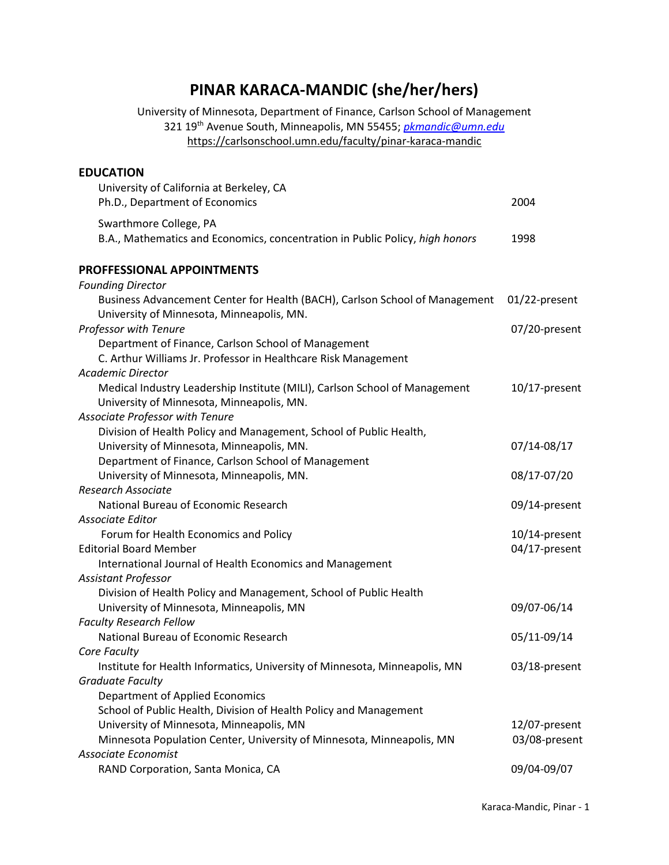# **PINAR KARACA-MANDIC (she/her/hers)**

University of Minnesota, Department of Finance, Carlson School of Management 321 19th Avenue South, Minneapolis, MN 55455; *[pkmandic@umn.edu](mailto:pkmandic@umn.edu)*  <https://carlsonschool.umn.edu/faculty/pinar-karaca-mandic>

# **EDUCATION** University of California at Berkeley, CA Ph.D., Department of Economics 2004 Swarthmore College, PA B.A., Mathematics and Economics, concentration in Public Policy, *high honors* 1998 **PROFFESSIONAL APPOINTMENTS** *Founding Director* Business Advancement Center for Health (BACH), Carlson School of Management 01/22-present University of Minnesota, Minneapolis, MN. *Professor with Tenure* 07/20-present Department of Finance, Carlson School of Management C. Arthur Williams Jr. Professor in Healthcare Risk Management *Academic Director* Medical Industry Leadership Institute (MILI), Carlson School of Management 10/17-present University of Minnesota, Minneapolis, MN. *Associate Professor with Tenure* Division of Health Policy and Management, School of Public Health, University of Minnesota, Minneapolis, MN. 67/14-08/17 Department of Finance, Carlson School of Management University of Minnesota, Minneapolis, MN. 08/17-07/20 *Research Associate* National Bureau of Economic Research 09/14-present *Associate Editor*  Forum for Health Economics and Policy 10/14-present Editorial Board Member 04/17-present International Journal of Health Economics and Management *Assistant Professor*  Division of Health Policy and Management, School of Public Health University of Minnesota, Minneapolis, MN 09/07-06/14 *Faculty Research Fellow* National Bureau of Economic Research 05/11-09/14 *Core Faculty* Institute for Health Informatics, University of Minnesota, Minneapolis, MN 03/18-present *Graduate Faculty* Department of Applied Economics School of Public Health, Division of Health Policy and Management University of Minnesota, Minneapolis, MN 12/07-present Minnesota Population Center, University of Minnesota, Minneapolis, MN 03/08-present *Associate Economist* RAND Corporation, Santa Monica, CA 09/04-09/07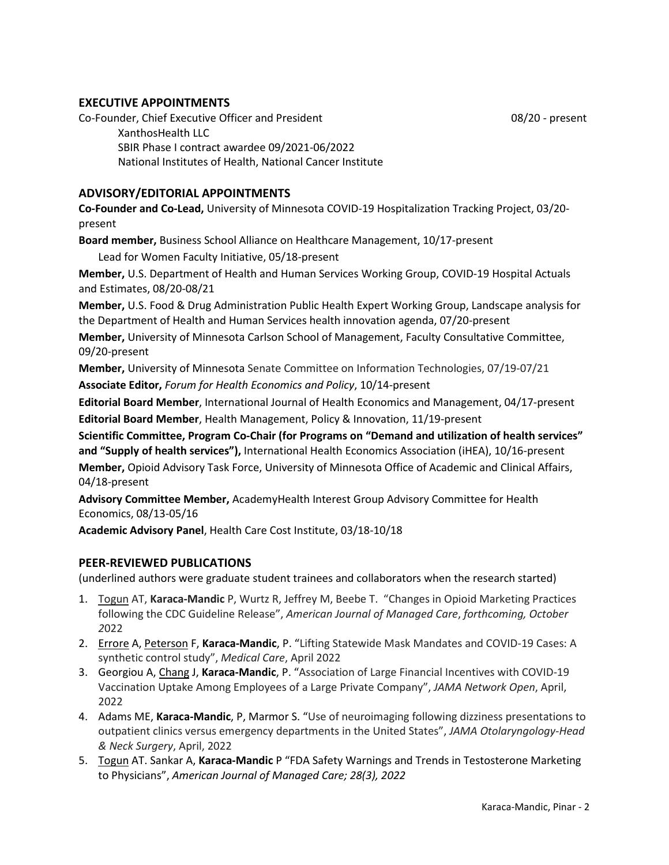## **EXECUTIVE APPOINTMENTS**

Co-Founder, Chief Executive Officer and President 08/20 - present 08/20 - present XanthosHealth LLC SBIR Phase I contract awardee 09/2021-06/2022 National Institutes of Health, National Cancer Institute

## **ADVISORY/EDITORIAL APPOINTMENTS**

**Co-Founder and Co-Lead,** University of Minnesota COVID-19 Hospitalization Tracking Project, 03/20 present

**Board member,** Business School Alliance on Healthcare Management, 10/17-present

Lead for Women Faculty Initiative, 05/18-present

**Member,** U.S. Department of Health and Human Services Working Group, COVID-19 Hospital Actuals and Estimates, 08/20-08/21

**Member,** U.S. Food & Drug Administration Public Health Expert Working Group, Landscape analysis for the Department of Health and Human Services health innovation agenda, 07/20-present

**Member,** University of Minnesota Carlson School of Management, Faculty Consultative Committee, 09/20-present

**Member,** University of Minnesota Senate Committee on Information Technologies, 07/19-07/21 **Associate Editor,** *Forum for Health Economics and Policy*, 10/14-present

**Editorial Board Member**, International Journal of Health Economics and Management, 04/17-present **Editorial Board Member**, Health Management, Policy & Innovation, 11/19-present

**Scientific Committee, Program Co-Chair (for Programs on "Demand and utilization of health services" and "Supply of health services"),** International Health Economics Association (iHEA), 10/16-present **Member,** Opioid Advisory Task Force, University of Minnesota Office of Academic and Clinical Affairs, 04/18-present

**Advisory Committee Member,** AcademyHealth Interest Group Advisory Committee for Health Economics, 08/13-05/16

**Academic Advisory Panel**, Health Care Cost Institute, 03/18-10/18

## **PEER-REVIEWED PUBLICATIONS**

(underlined authors were graduate student trainees and collaborators when the research started)

- 1. Togun AT, **Karaca-Mandic** P, Wurtz R, Jeffrey M, Beebe T. "Changes in Opioid Marketing Practices following the CDC Guideline Release", *American Journal of Managed Care*, *forthcoming, October 2*022
- 2. Errore A, Peterson F, **Karaca-Mandic**, P. "Lifting Statewide Mask Mandates and COVID-19 Cases: A synthetic control study", *Medical Care*, April 2022
- 3. Georgiou A, Chang J, **Karaca-Mandic**, P. "Association of Large Financial Incentives with COVID-19 Vaccination Uptake Among Employees of a Large Private Company", *JAMA Network Open*, April, 2022
- 4. Adams ME, **Karaca-Mandic**, P, Marmor S. "Use of neuroimaging following dizziness presentations to outpatient clinics versus emergency departments in the United States", *JAMA Otolaryngology-Head & Neck Surgery*, April, 2022
- 5. Togun AT. Sankar A, **Karaca-Mandic** P "FDA Safety Warnings and Trends in Testosterone Marketing to Physicians", *American Journal of Managed Care; 28(3), 2022*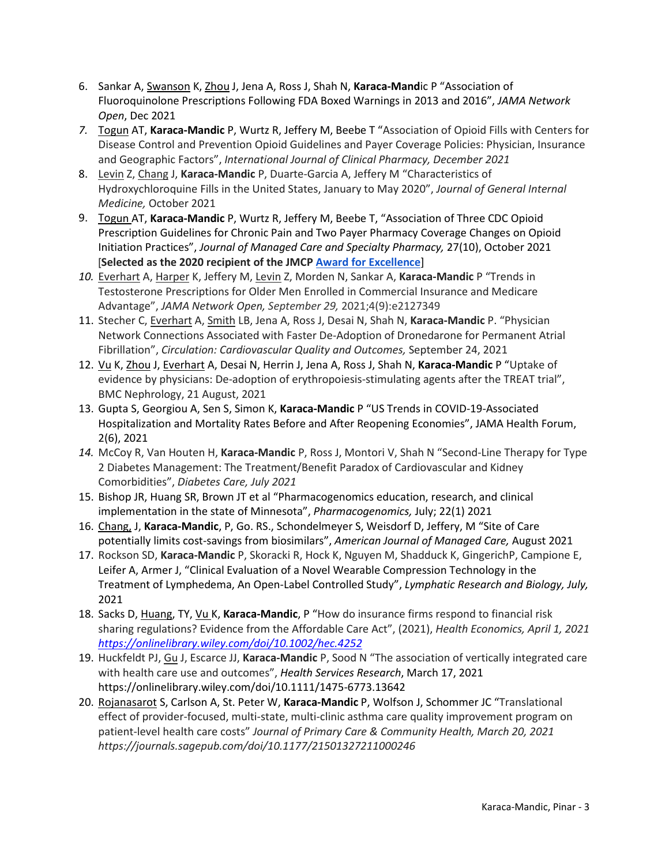- 6. Sankar A, Swanson K, Zhou J, Jena A, Ross J, Shah N, **Karaca-Mand**ic P "Association of Fluoroquinolone Prescriptions Following FDA Boxed Warnings in 2013 and 2016", *JAMA Network Open*, Dec 2021
- *7.* Togun AT, **Karaca-Mandic** P, Wurtz R, Jeffery M, Beebe T "Association of Opioid Fills with Centers for Disease Control and Prevention Opioid Guidelines and Payer Coverage Policies: Physician, Insurance and Geographic Factors", *International Journal of Clinical Pharmacy, December 2021*
- 8. Levin Z, Chang J, **Karaca-Mandic** P, Duarte-Garcia A, Jeffery M "Characteristics of Hydroxychloroquine Fills in the United States, January to May 2020", *Journal of General Internal Medicine,* October 2021
- 9. Togun AT, **Karaca-Mandic** P, Wurtz R, Jeffery M, Beebe T, "Association of Three CDC Opioid Prescription Guidelines for Chronic Pain and Two Payer Pharmacy Coverage Changes on Opioid Initiation Practices", *Journal of Managed Care and Specialty Pharmacy,* 27(10), October 2021 [**Selected as the 2020 recipient of the JMCP [Award for Excellence](https://www.jmcp.org/page/AwardforExcellence)**]
- *10.* Everhart A, Harper K, Jeffery M, Levin Z, Morden N, Sankar A, **Karaca-Mandic** P "Trends in Testosterone Prescriptions for Older Men Enrolled in Commercial Insurance and Medicare Advantage", *JAMA Network Open, September 29,* 2021;4(9):e2127349
- 11. Stecher C, Everhart A, Smith LB, Jena A, Ross J, Desai N, Shah N, **Karaca-Mandic** P. "Physician Network Connections Associated with Faster De-Adoption of Dronedarone for Permanent Atrial Fibrillation", *Circulation: Cardiovascular Quality and Outcomes,* September 24, 2021
- 12. Vu K, Zhou J, Everhart A, Desai N, Herrin J, Jena A, Ross J, Shah N, **Karaca-Mandic** P "Uptake of evidence by physicians: De-adoption of erythropoiesis-stimulating agents after the TREAT trial", BMC Nephrology, 21 August, 2021
- 13. Gupta S, Georgiou A, Sen S, Simon K, **Karaca-Mandic** P "US Trends in COVID-19-Associated Hospitalization and Mortality Rates Before and After Reopening Economies", JAMA Health Forum, 2(6), 2021
- *14.* McCoy R, Van Houten H, **Karaca-Mandic** P, Ross J, Montori V, Shah N "Second-Line Therapy for Type 2 Diabetes Management: The Treatment/Benefit Paradox of Cardiovascular and Kidney Comorbidities", *Diabetes Care, July 2021*
- 15. Bishop JR, Huang SR, Brown JT et al "Pharmacogenomics education, research, and clinical implementation in the state of Minnesota", *Pharmacogenomics,* July; 22(1) 2021
- 16. Chang, J, **Karaca-Mandic**, P, Go. RS., Schondelmeyer S, Weisdorf D, Jeffery, M "Site of Care potentially limits cost-savings from biosimilars", *American Journal of Managed Care,* August 2021
- 17. Rockson SD, **Karaca-Mandic** P, Skoracki R, Hock K, Nguyen M, Shadduck K, GingerichP, Campione E, Leifer A, Armer J, "Clinical Evaluation of a Novel Wearable Compression Technology in the Treatment of Lymphedema, An Open-Label Controlled Study", *Lymphatic Research and Biology, July,*  2021
- 18. Sacks D, Huang, TY, Vu K, **Karaca-Mandic**, P "How do insurance firms respond to financial risk sharing regulations? Evidence from the Affordable Care Act", (2021), *Health Economics, April 1, 2021 <https://onlinelibrary.wiley.com/doi/10.1002/hec.4252>*
- 19. Huckfeldt PJ, Gu J, Escarce JJ, **Karaca-Mandic** P, Sood N "The association of vertically integrated care with health care use and outcomes", *Health Services Research*, March 17, 2021 https://onlinelibrary.wiley.com/doi/10.1111/1475-6773.13642
- 20. Rojanasarot S, Carlson A, St. Peter W, **Karaca-Mandic** P, Wolfson J, Schommer JC "Translational effect of provider-focused, multi-state, multi-clinic asthma care quality improvement program on patient-level health care costs" *Journal of Primary Care & Community Health, March 20, 2021 https://journals.sagepub.com/doi/10.1177/21501327211000246*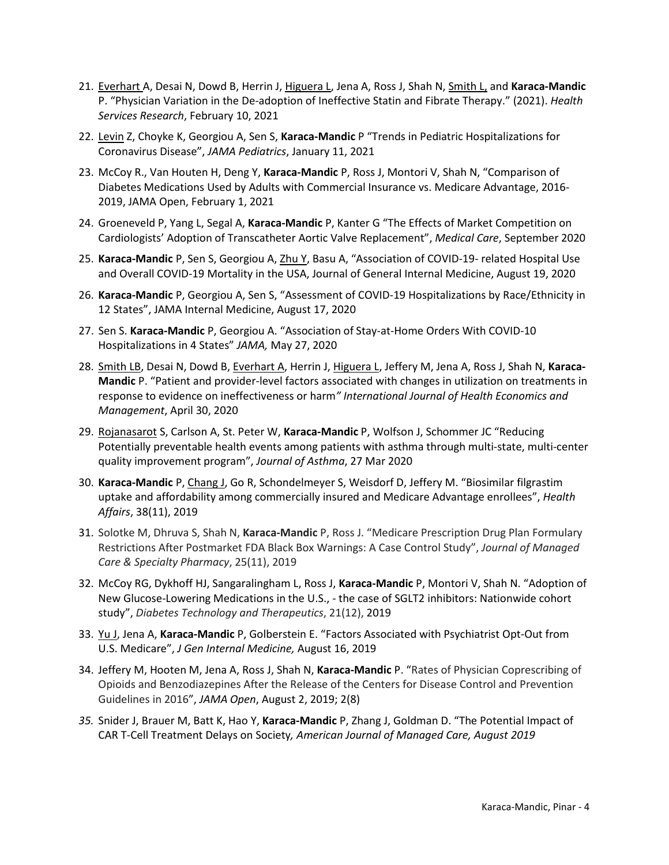- 21. Everhart A, Desai N, Dowd B, Herrin J, Higuera L, Jena A, Ross J, Shah N, Smith L, and **Karaca-Mandic** P. "Physician Variation in the De-adoption of Ineffective Statin and Fibrate Therapy." (2021). *Health Services Research*, February 10, 2021
- 22. Levin Z, Choyke K, Georgiou A, Sen S, **Karaca-Mandic** P "Trends in Pediatric Hospitalizations for Coronavirus Disease", *JAMA Pediatrics*, January 11, 2021
- 23. McCoy R., Van Houten H, Deng Y, **Karaca-Mandic** P, Ross J, Montori V, Shah N, "Comparison of Diabetes Medications Used by Adults with Commercial Insurance vs. Medicare Advantage, 2016- 2019, JAMA Open, February 1, 2021
- 24. Groeneveld P, Yang L, Segal A, **Karaca-Mandic** P, Kanter G "The Effects of Market Competition on Cardiologists' Adoption of Transcatheter Aortic Valve Replacement", *Medical Care*, September 2020
- 25. **Karaca-Mandic** P, Sen S, Georgiou A, Zhu Y, Basu A, "Association of COVID-19- related Hospital Use and Overall COVID-19 Mortality in the USA, Journal of General Internal Medicine, August 19, 2020
- 26. **Karaca-Mandic** P, Georgiou A, Sen S, "Assessment of COVID-19 Hospitalizations by Race/Ethnicity in 12 States", JAMA Internal Medicine, August 17, 2020
- 27. Sen S. **Karaca-Mandic** P, Georgiou A. "Association of Stay-at-Home Orders With COVID-10 Hospitalizations in 4 States" *JAMA,* May 27, 2020
- 28. Smith LB, Desai N, Dowd B, Everhart A, Herrin J, Higuera L, Jeffery M, Jena A, Ross J, Shah N, **Karaca-Mandic** P. "Patient and provider-level factors associated with changes in utilization on treatments in response to evidence on ineffectiveness or harm*" International Journal of Health Economics and Management*, April 30, 2020
- 29. Rojanasarot S, Carlson A, St. Peter W, **Karaca-Mandic** P, Wolfson J, Schommer JC "Reducing Potentially preventable health events among patients with asthma through multi-state, multi-center quality improvement program", *Journal of Asthma*, 27 Mar 2020
- 30. **Karaca-Mandic** P, Chang J, Go R, Schondelmeyer S, Weisdorf D, Jeffery M. "Biosimilar filgrastim uptake and affordability among commercially insured and Medicare Advantage enrollees", *Health Affairs*, 38(11), 2019
- 31. Solotke M, Dhruva S, Shah N, **Karaca-Mandic** P, Ross J. "Medicare Prescription Drug Plan Formulary Restrictions After Postmarket FDA Black Box Warnings: A Case Control Study", *Journal of Managed Care & Specialty Pharmacy*, 25(11), 2019
- 32. McCoy RG, Dykhoff HJ, Sangaralingham L, Ross J, **Karaca-Mandic** P, Montori V, Shah N. "Adoption of New Glucose-Lowering Medications in the U.S., - the case of SGLT2 inhibitors: Nationwide cohort study", *Diabetes Technology and Therapeutics*, 21(12), 2019
- 33. Yu J, Jena A, **Karaca-Mandic** P, Golberstein E. "Factors Associated with Psychiatrist Opt-Out from U.S. Medicare", *J Gen Internal Medicine,* August 16, 2019
- 34. Jeffery M, Hooten M, Jena A, Ross J, Shah N, **Karaca-Mandic** P. "Rates of Physician Coprescribing of Opioids and Benzodiazepines After the Release of the Centers for Disease Control and Prevention Guidelines in 2016", *JAMA Open*, August 2, 2019; 2(8)
- *35.* Snider J, Brauer M, Batt K, Hao Y, **Karaca-Mandic** P, Zhang J, Goldman D. "The Potential Impact of CAR T-Cell Treatment Delays on Society*, American Journal of Managed Care, August 2019*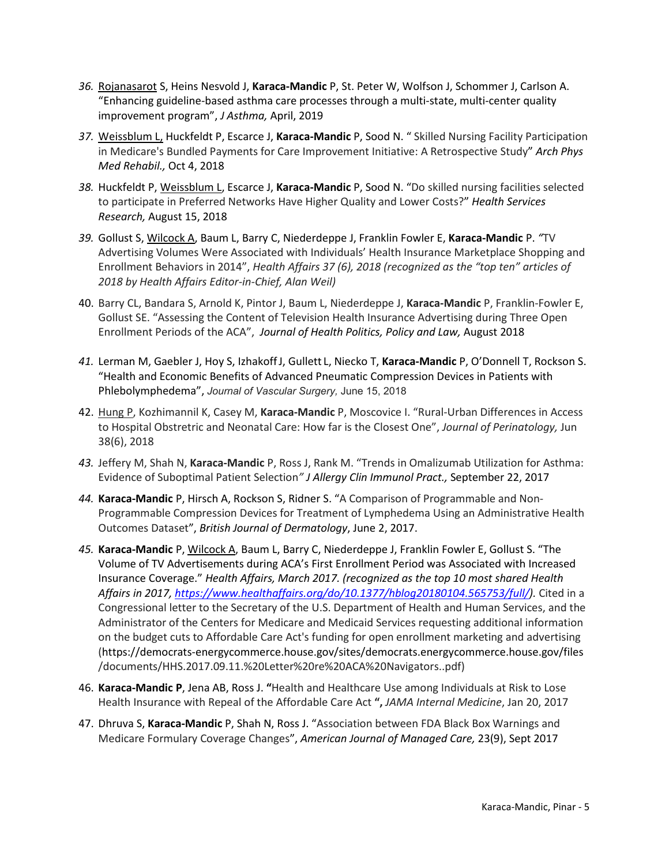- *36.* Rojanasarot S, Heins Nesvold J, **Karaca-Mandic** P, St. Peter W, Wolfson J, Schommer J, Carlson A. "Enhancing guideline-based asthma care processes through a multi-state, multi-center quality improvement program", *J Asthma,* April, 2019
- *37.* Weissblum L, Huckfeldt P, Escarce J, **Karaca-Mandic** P, Sood N. " Skilled Nursing Facility Participation in Medicare's Bundled Payments for Care Improvement Initiative: A Retrospective Study" *Arch Phys Med Rehabil.,* Oct 4, 2018
- *38.* Huckfeldt P, Weissblum L, Escarce J, **Karaca-Mandic** P, Sood N. "Do skilled nursing facilities selected to participate in Preferred Networks Have Higher Quality and Lower Costs?" *Health Services Research,* August 15, 2018
- *39.* Gollust S, Wilcock A, Baum L, Barry C, Niederdeppe J, Franklin Fowler E, **Karaca-Mandic** P. *"*TV Advertising Volumes Were Associated with Individuals' Health Insurance Marketplace Shopping and Enrollment Behaviors in 2014", *Health Affairs 37 (6), 2018 (recognized as the "top ten" articles of 2018 by Health Affairs Editor-in-Chief, Alan Weil)*
- 40. Barry CL, Bandara S, Arnold K, Pintor J, Baum L, Niederdeppe J, **Karaca-Mandic** P, Franklin-Fowler E, Gollust SE. "Assessing the Content of Television Health Insurance Advertising during Three Open Enrollment Periods of the ACA", *Journal of Health Politics, Policy and Law,* August 2018
- *41.* Lerman M, Gaebler J, Hoy S, IzhakoffJ, Gullett L, Niecko T, **Karaca-Mandic** P, O'Donnell T, Rockson S. "Health and Economic Benefits of Advanced Pneumatic Compression Devices in Patients with Phlebolymphedema", *Journal of Vascular Surgery,* June 15, 2018
- 42. Hung P, Kozhimannil K, Casey M, **Karaca-Mandic** P, Moscovice I. "Rural-Urban Differences in Access to Hospital Obstretric and Neonatal Care: How far is the Closest One", *Journal of Perinatology,* Jun 38(6), 2018
- *43.* Jeffery M, Shah N, **Karaca-Mandic** P, Ross J, Rank M. "Trends in Omalizumab Utilization for Asthma: Evidence of Suboptimal Patient Selection*" J Allergy Clin Immunol Pract.,* September 22, 2017
- *44.* **Karaca-Mandic** P, Hirsch A, Rockson S, Ridner S. "A Comparison of Programmable and Non-Programmable Compression Devices for Treatment of Lymphedema Using an Administrative Health Outcomes Dataset", *British Journal of Dermatology*, June 2, 2017.
- *45.* **Karaca-Mandic** P, Wilcock A, Baum L, Barry C, Niederdeppe J, Franklin Fowler E, Gollust S. "The Volume of TV Advertisements during ACA's First Enrollment Period was Associated with Increased Insurance Coverage." *Health Affairs, March 2017. (recognized as the top 10 most shared Health Affairs in 2017, [https://www.healthaffairs.org/do/10.1377/hblog20180104.565753/full/\)](https://www.healthaffairs.org/do/10.1377/hblog20180104.565753/full/).* Cited in a Congressional letter to the Secretary of the U.S. Department of Health and Human Services, and the Administrator of the Centers for Medicare and Medicaid Services requesting additional information on the budget cuts to Affordable Care Act's funding for open enrollment marketing and advertising [\(https://democrats-energycommerce.house.gov/sites/democrats.energycommerce.house.gov/files](https://democrats-energycommerce.house.gov/sites/democrats.energycommerce.house.gov/files) /documents/HHS.2017.09.11.%20Letter%20re%20ACA%20Navigators..pdf)
- 46. **Karaca-Mandic P**, Jena AB, Ross J. **"**Health and Healthcare Use among Individuals at Risk to Lose Health Insurance with Repeal of the Affordable Care Act **",** *JAMA Internal Medicine*, Jan 20, 2017
- 47. Dhruva S, **Karaca-Mandic** P, Shah N, Ross J. "Association between FDA Black Box Warnings and Medicare Formulary Coverage Changes", *American Journal of Managed Care,* 23(9), Sept 2017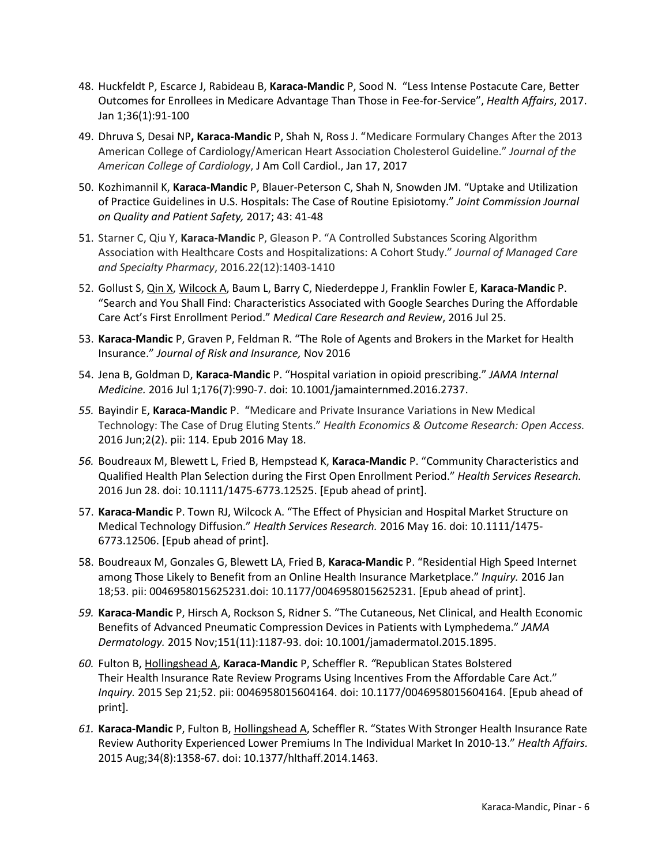- 48. Huckfeldt P, Escarce J, Rabideau B, **Karaca-Mandic** P, Sood N. "Less Intense Postacute Care, Better Outcomes for Enrollees in Medicare Advantage Than Those in Fee-for-Service", *Health Affairs*, 2017. Jan 1;36(1):91-100
- 49. Dhruva S, Desai NP**, Karaca-Mandic** P, Shah N, Ross J. "Medicare Formulary Changes After the 2013 American College of Cardiology/American Heart Association Cholesterol Guideline." *Journal of the American College of Cardiology*, J Am Coll Cardiol., Jan 17, 2017
- 50. Kozhimannil K, **Karaca-Mandic** P, Blauer-Peterson C, Shah N, Snowden JM. "Uptake and Utilization of Practice Guidelines in U.S. Hospitals: The Case of Routine Episiotomy." *Joint Commission Journal on Quality and Patient Safety,* 2017; 43: 41-48
- 51. Starner C, Qiu Y, **Karaca-Mandic** P, Gleason P. "A Controlled Substances Scoring Algorithm Association with Healthcare Costs and Hospitalizations: A Cohort Study." *Journal of Managed Care and Specialty Pharmacy*, 2016.22(12):1403-1410
- 52. Gollust S, Qin X, Wilcock A, Baum L, Barry C, Niederdeppe J, Franklin Fowler E, **Karaca-Mandic** P. "Search and You Shall Find: Characteristics Associated with Google Searches During the Affordable Care Act's First Enrollment Period." *Medical Care Research and Review*, 2016 Jul 25.
- 53. **Karaca-Mandic** P, Graven P, Feldman R. "The Role of Agents and Brokers in the Market for Health Insurance." *Journal of Risk and Insurance,* Nov 2016
- 54. Jena B, Goldman D, **Karaca-Mandic** P. "Hospital variation in opioid prescribing." *JAMA Internal Medicine.* 2016 Jul 1;176(7):990-7. doi: 10.1001/jamainternmed.2016.2737.
- *55.* Bayindir E, **Karaca-Mandic** P. "Medicare and Private Insurance Variations in New Medical Technology: The Case of Drug Eluting Stents." *Health Economics & Outcome Research: Open Access.* 2016 Jun;2(2). pii: 114. Epub 2016 May 18.
- *56.* Boudreaux M, Blewett L, Fried B, Hempstead K, **Karaca-Mandic** P. "Community Characteristics and Qualified Health Plan Selection during the First Open Enrollment Period." *Health Services Research.*  2016 Jun 28. doi: 10.1111/1475-6773.12525. [Epub ahead of print].
- 57. **Karaca-Mandic** P. Town RJ, Wilcock A. "The Effect of Physician and Hospital Market Structure on Medical Technology Diffusion." *Health Services Research.* 2016 May 16. doi: 10.1111/1475- 6773.12506. [Epub ahead of print].
- 58. Boudreaux M, Gonzales G, Blewett LA, Fried B, **Karaca-Mandic** P. "Residential High Speed Internet among Those Likely to Benefit from an Online Health Insurance Marketplace." *Inquiry.* 2016 Jan 18;53. pii: 0046958015625231.doi: 10.1177/0046958015625231. [Epub ahead of print].
- *59.* **Karaca-Mandic** P, Hirsch A, Rockson S, Ridner S. "The Cutaneous, Net Clinical, and Health Economic Benefits of Advanced Pneumatic Compression Devices in Patients with Lymphedema." *JAMA Dermatology.* 2015 Nov;151(11):1187-93. doi: 10.1001/jamadermatol.2015.1895.
- *60.* Fulton B, Hollingshead A, **Karaca-Mandic** P, Scheffler R. *"*Republican States Bolstered Their Health Insurance Rate Review Programs Using Incentives From the Affordable Care Act." *Inquiry.* 2015 Sep 21;52. pii: 0046958015604164. doi: 10.1177/0046958015604164. [Epub ahead of print].
- *61.* **Karaca-Mandic** P, Fulton B, Hollingshead A, Scheffler R. "States With Stronger Health Insurance Rate Review Authority Experienced Lower Premiums In The Individual Market In 2010-13." *Health Affairs.*  2015 Aug;34(8):1358-67. doi: 10.1377/hlthaff.2014.1463.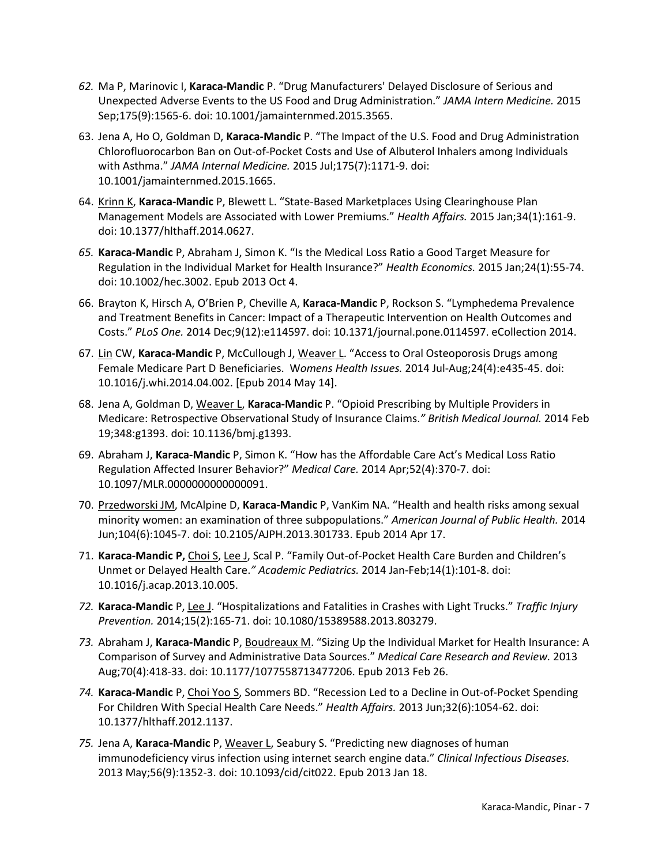- *62.* Ma P, Marinovic I, **Karaca-Mandic** P. "Drug Manufacturers' Delayed Disclosure of Serious and Unexpected Adverse Events to the US Food and Drug Administration." *JAMA Intern Medicine.* 2015 Sep;175(9):1565-6. doi: 10.1001/jamainternmed.2015.3565.
- 63. Jena A, Ho O, Goldman D, **Karaca-Mandic** P. "The Impact of the U.S. Food and Drug Administration Chlorofluorocarbon Ban on Out-of-Pocket Costs and Use of Albuterol Inhalers among Individuals with Asthma." *JAMA Internal Medicine.* 2015 Jul;175(7):1171-9. doi: 10.1001/jamainternmed.2015.1665.
- 64. Krinn K, **Karaca-Mandic** P, Blewett L. "State-Based Marketplaces Using Clearinghouse Plan Management Models are Associated with Lower Premiums." *Health Affairs.* 2015 Jan;34(1):161-9. doi: 10.1377/hlthaff.2014.0627.
- *65.* **Karaca-Mandic** P, Abraham J, Simon K. "Is the Medical Loss Ratio a Good Target Measure for Regulation in the Individual Market for Health Insurance?" *Health Economics.* 2015 Jan;24(1):55-74. doi: 10.1002/hec.3002. Epub 2013 Oct 4.
- 66. Brayton K, Hirsch A, O'Brien P, Cheville A, **Karaca-Mandic** P, Rockson S. "Lymphedema Prevalence and Treatment Benefits in Cancer: Impact of a Therapeutic Intervention on Health Outcomes and Costs." *PLoS One.* 2014 Dec;9(12):e114597. doi: 10.1371/journal.pone.0114597. eCollection 2014.
- 67. Lin CW, **Karaca-Mandic** P, McCullough J, Weaver L. "Access to Oral Osteoporosis Drugs among Female Medicare Part D Beneficiaries. W*omens Health Issues.* 2014 Jul-Aug;24(4):e435-45. doi: 10.1016/j.whi.2014.04.002. [Epub 2014 May 14].
- 68. Jena A, Goldman D, Weaver L, **Karaca-Mandic** P. "Opioid Prescribing by Multiple Providers in Medicare: Retrospective Observational Study of Insurance Claims.*" British Medical Journal.* 2014 Feb 19;348:g1393. doi: 10.1136/bmj.g1393.
- 69. Abraham J, **Karaca-Mandic** P, Simon K. "How has the Affordable Care Act's Medical Loss Ratio Regulation Affected Insurer Behavior?" *Medical Care.* 2014 Apr;52(4):370-7. doi: 10.1097/MLR.0000000000000091.
- 70. Przedworski JM, McAlpine D, **Karaca-Mandic** P, VanKim NA. "Health and health risks among sexual minority women: an examination of three subpopulations." *American Journal of Public Health.* 2014 Jun;104(6):1045-7. doi: 10.2105/AJPH.2013.301733. Epub 2014 Apr 17.
- 71. **Karaca-Mandic P,** Choi S, Lee J, Scal P. "Family Out-of-Pocket Health Care Burden and Children's Unmet or Delayed Health Care.*" Academic Pediatrics.* 2014 Jan-Feb;14(1):101-8. doi: 10.1016/j.acap.2013.10.005.
- *72.* **Karaca-Mandic** P, Lee J. "Hospitalizations and Fatalities in Crashes with Light Trucks." *Traffic Injury Prevention.* 2014;15(2):165-71. doi: 10.1080/15389588.2013.803279.
- *73.* Abraham J, **Karaca-Mandic** P, Boudreaux M. "Sizing Up the Individual Market for Health Insurance: A Comparison of Survey and Administrative Data Sources." *Medical Care Research and Review.* 2013 Aug;70(4):418-33. doi: 10.1177/1077558713477206. Epub 2013 Feb 26.
- *74.* **Karaca-Mandic** P, Choi Yoo S, Sommers BD. "Recession Led to a Decline in Out-of-Pocket Spending For Children With Special Health Care Needs." *Health Affairs.* 2013 Jun;32(6):1054-62. doi: 10.1377/hlthaff.2012.1137.
- *75.* Jena A, **Karaca-Mandic** P, Weaver L, Seabury S. "Predicting new diagnoses of human immunodeficiency virus infection using internet search engine data." *Clinical Infectious Diseases.* 2013 May;56(9):1352-3. doi: 10.1093/cid/cit022. Epub 2013 Jan 18.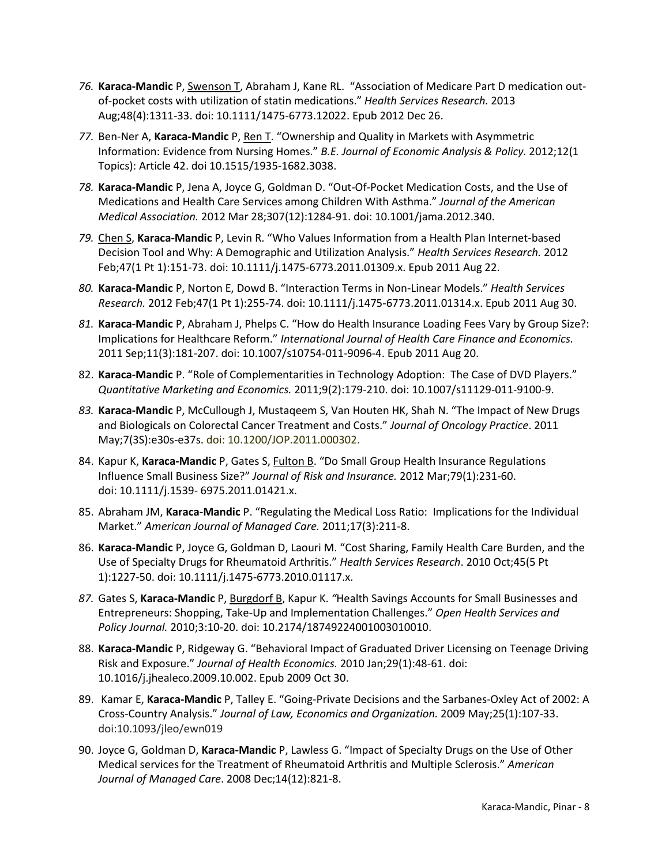- *76.* **Karaca-Mandic** P, Swenson T, Abraham J, Kane RL. "Association of Medicare Part D medication outof-pocket costs with utilization of statin medications." *Health Services Research.* 2013 Aug;48(4):1311-33. doi: 10.1111/1475-6773.12022. Epub 2012 Dec 26.
- *77.* Ben-Ner A, **Karaca-Mandic** P, Ren T. "Ownership and Quality in Markets with Asymmetric Information: Evidence from Nursing Homes." *B.E. Journal of Economic Analysis & Policy.* 2012;12(1 Topics): Article 42. doi 10.1515/1935-1682.3038.
- *78.* **Karaca-Mandic** P, Jena A, Joyce G, Goldman D. "Out-Of-Pocket Medication Costs, and the Use of Medications and Health Care Services among Children With Asthma." *Journal of the American Medical Association.* 2012 Mar 28;307(12):1284-91. doi: 10.1001/jama.2012.340.
- *79.* Chen S, **Karaca-Mandic** P, Levin R. "Who Values Information from a Health Plan Internet-based Decision Tool and Why: A Demographic and Utilization Analysis." *Health Services Research.* 2012 Feb;47(1 Pt 1):151-73. doi: 10.1111/j.1475-6773.2011.01309.x. Epub 2011 Aug 22.
- *80.* **Karaca-Mandic** P, Norton E, Dowd B. "Interaction Terms in Non-Linear Models." *Health Services Research.* 2012 Feb;47(1 Pt 1):255-74. doi: 10.1111/j.1475-6773.2011.01314.x. Epub 2011 Aug 30.
- *81.* **Karaca-Mandic** P, Abraham J, Phelps C. "How do Health Insurance Loading Fees Vary by Group Size?: Implications for Healthcare Reform." *International Journal of Health Care Finance and Economics.*  2011 Sep;11(3):181-207. doi: 10.1007/s10754-011-9096-4. Epub 2011 Aug 20.
- 82. **Karaca-Mandic** P. "Role of Complementarities in Technology Adoption: The Case of DVD Players." *Quantitative Marketing and Economics.* 2011;9(2):179-210. doi: 10.1007/s11129-011-9100-9.
- *83.* **Karaca-Mandic** P, McCullough J, Mustaqeem S, Van Houten HK, Shah N. "The Impact of New Drugs and Biologicals on Colorectal Cancer Treatment and Costs." *Journal of Oncology Practice*. 2011 May;7(3S):e30s-e37s. doi: 10.1200/JOP.2011.000302.
- 84. Kapur K, **Karaca-Mandic** P, Gates S, Fulton B. "Do Small Group Health Insurance Regulations Influence Small Business Size?" *Journal of Risk and Insurance.* 2012 Mar;79(1):231-60. doi: 10.1111/j.1539- 6975.2011.01421.x.
- 85. Abraham JM, **Karaca-Mandic** P. "Regulating the Medical Loss Ratio: Implications for the Individual Market." *American Journal of Managed Care.* 2011;17(3):211-8.
- 86. **Karaca-Mandic** P, Joyce G, Goldman D, Laouri M. "Cost Sharing, Family Health Care Burden, and the Use of Specialty Drugs for Rheumatoid Arthritis." *Health Services Research*. 2010 Oct;45(5 Pt 1):1227-50. doi: 10.1111/j.1475-6773.2010.01117.x.
- *87.* Gates S, **Karaca-Mandic** P, Burgdorf B, Kapur K. *"*Health Savings Accounts for Small Businesses and Entrepreneurs: Shopping, Take-Up and Implementation Challenges." *Open Health Services and Policy Journal.* 2010;3:10-20. doi: 10.2174/18749224001003010010.
- 88. **Karaca-Mandic** P, Ridgeway G. "Behavioral Impact of Graduated Driver Licensing on Teenage Driving Risk and Exposure." *Journal of Health Economics.* 2010 Jan;29(1):48-61. doi: 10.1016/j.jhealeco.2009.10.002. Epub 2009 Oct 30.
- 89. Kamar E, **Karaca-Mandic** P, Talley E. "Going-Private Decisions and the Sarbanes-Oxley Act of 2002: A Cross-Country Analysis." *Journal of Law, Economics and Organization.* 2009 May;25(1):107-33. doi:10.1093/jleo/ewn019
- 90. Joyce G, Goldman D, **Karaca-Mandic** P, Lawless G. "Impact of Specialty Drugs on the Use of Other Medical services for the Treatment of Rheumatoid Arthritis and Multiple Sclerosis." *American Journal of Managed Care*. 2008 Dec;14(12):821-8.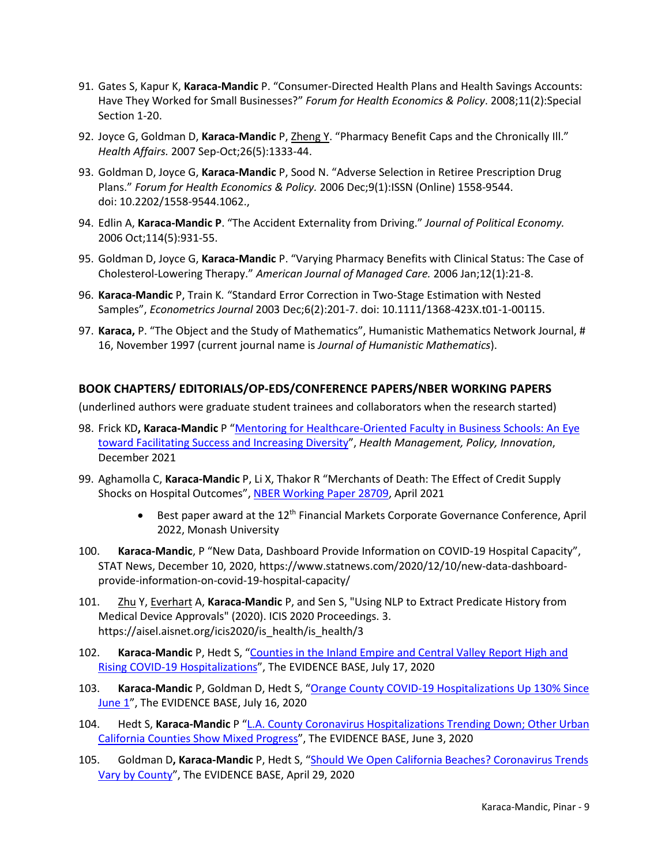- 91. Gates S, Kapur K, **Karaca-Mandic** P. "Consumer-Directed Health Plans and Health Savings Accounts: Have They Worked for Small Businesses?" *Forum for Health Economics & Policy*. 2008;11(2):Special Section 1-20.
- 92. Joyce G, Goldman D, **Karaca-Mandic** P, Zheng Y. "Pharmacy Benefit Caps and the Chronically Ill." *Health Affairs.* 2007 Sep-Oct;26(5):1333-44.
- 93. Goldman D, Joyce G, **Karaca-Mandic** P, Sood N. "Adverse Selection in Retiree Prescription Drug Plans." *Forum for Health Economics & Policy.* 2006 Dec;9(1):ISSN (Online) 1558-9544. doi: 10.2202/1558-9544.1062.,
- 94. Edlin A, **Karaca-Mandic P**. "The Accident Externality from Driving." *Journal of Political Economy.*  2006 Oct;114(5):931-55.
- 95. Goldman D, Joyce G, **Karaca-Mandic** P. "Varying Pharmacy Benefits with Clinical Status: The Case of Cholesterol-Lowering Therapy." *American Journal of Managed Care.* 2006 Jan;12(1):21-8.
- 96. **Karaca-Mandic** P, Train K*.* "Standard Error Correction in Two-Stage Estimation with Nested Samples", *Econometrics Journal* 2003 Dec;6(2):201-7. doi: 10.1111/1368-423X.t01-1-00115.
- 97. **Karaca,** P. "The Object and the Study of Mathematics", Humanistic Mathematics Network Journal, # 16, November 1997 (current journal name is *Journal of Humanistic Mathematics*).

## **BOOK CHAPTERS/ EDITORIALS/OP-EDS/CONFERENCE PAPERS/NBER WORKING PAPERS**

(underlined authors were graduate student trainees and collaborators when the research started)

- 98. Frick KD**, Karaca-Mandic** P ["Mentoring for Healthcare-Oriented Faculty in Business](https://hmpi.org/2021/12/06/mentoring-for-healthcare-oriented-faculty-in-business-schools-an-eye-toward-facilitating-success-and-increasing-diversity/) Schools: An Eye [toward Facilitating Success and Increasing Diversity"](https://hmpi.org/2021/12/06/mentoring-for-healthcare-oriented-faculty-in-business-schools-an-eye-toward-facilitating-success-and-increasing-diversity/), *Health Management, Policy, Innovation*, December 2021
- 99. Aghamolla C, **Karaca-Mandic** P, Li X, Thakor R "Merchants of Death: The Effect of Credit Supply Shocks on Hospital Outcomes", [NBER Working Paper 28709,](https://www.nber.org/papers/w28709) April 2021
	- **•** Best paper award at the  $12<sup>th</sup>$  Financial Markets Corporate Governance Conference, April 2022, Monash University
- 100. **Karaca-Mandic**, P "New Data, Dashboard Provide Information on COVID-19 Hospital Capacity", STAT News, December 10, 2020, https://www.statnews.com/2020/12/10/new-data-dashboardprovide-information-on-covid-19-hospital-capacity/
- 101. Zhu Y, Everhart A, **Karaca-Mandic** P, and Sen S, "Using NLP to Extract Predicate History from Medical Device Approvals" (2020). ICIS 2020 Proceedings. 3. https://aisel.aisnet.org/icis2020/is\_health/is\_health/3
- 102. **Karaca-Mandic** P, Hedt S, "Counties in the Inland [Empire and Central Valley Report High](https://healthpolicy.usc.edu/evidence-base/counties-in-the-inland-empire-and-central-valley-report-high-and-rising-covid-19-hospitalizations/) and [Rising COVID-19 Hospitalizations"](https://healthpolicy.usc.edu/evidence-base/counties-in-the-inland-empire-and-central-valley-report-high-and-rising-covid-19-hospitalizations/), The EVIDENCE BASE, July 17, 2020
- 103. **Karaca-Mandic** P, Goldman D, Hedt S, "Orange County COVID-19 [Hospitalizations Up 130% Since](https://healthpolicy.usc.edu/evidence-base/orange-county-covid-19-hospitalizations-have-increased-130-since-june-1/) [June 1"](https://healthpolicy.usc.edu/evidence-base/orange-county-covid-19-hospitalizations-have-increased-130-since-june-1/), The EVIDENCE BASE, July 16, 2020
- 104. Hedt S, **Karaca-Mandic** P ["L.A. County Coronavirus Hospitalizations](https://healthpolicy.usc.edu/evidence-base/l-a-county-coronavirus-hospitalizations-trending-down-other-urban-california-counties-show-mixed-progress/) Trending Down; Other Urban [California Counties Show Mixed Progress"](https://healthpolicy.usc.edu/evidence-base/l-a-county-coronavirus-hospitalizations-trending-down-other-urban-california-counties-show-mixed-progress/), The EVIDENCE BASE, June 3, 2020
- 105. Goldman D**, Karaca-Mandic** P, Hedt S, ["Should We Open California Beaches? Coronavirus Trends](https://healthpolicy.usc.edu/evidence-base/should-we-open-california-beaches-california-coronavirus-trends-vary-by-county/)  Vary by [County"](https://healthpolicy.usc.edu/evidence-base/should-we-open-california-beaches-california-coronavirus-trends-vary-by-county/), The EVIDENCE BASE, April 29, 2020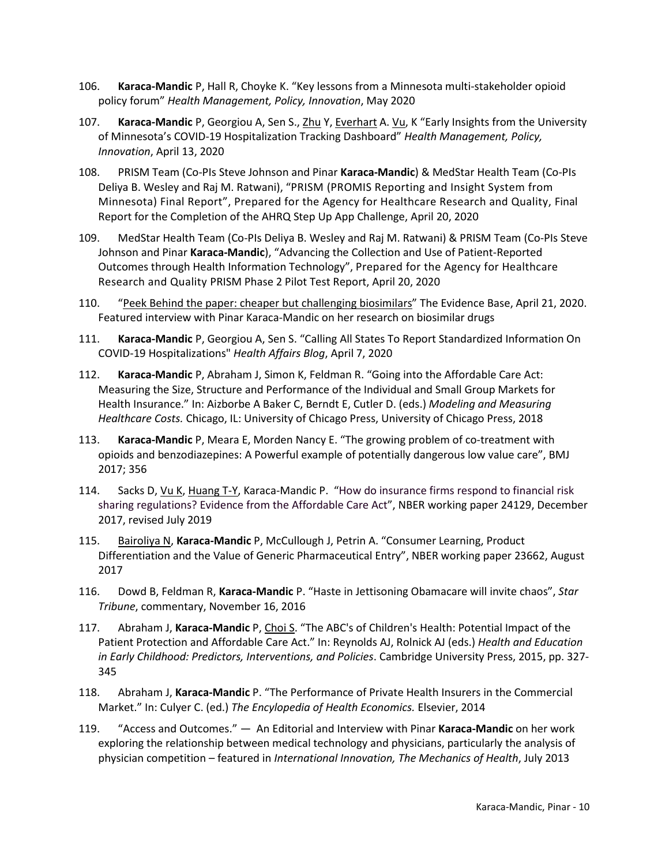- 106. **Karaca-Mandic** P, Hall R, Choyke K. "Key lessons from a Minnesota multi-stakeholder opioid policy forum" *Health Management, Policy, Innovation*, May 2020
- 107. **Karaca-Mandic** P, Georgiou A, Sen S., Zhu Y, Everhart A. Vu, K "Early Insights from the University of Minnesota's COVID-19 Hospitalization Tracking Dashboard" *Health Management, Policy, Innovation*, April 13, 2020
- 108. PRISM Team (Co-PIs Steve Johnson and Pinar **Karaca-Mandic**) & MedStar Health Team (Co-PIs Deliya B. Wesley and Raj M. Ratwani), "PRISM (PROMIS Reporting and Insight System from Minnesota) Final Report", Prepared for the Agency for Healthcare Research and Quality, Final Report for the Completion of the AHRQ Step Up App Challenge, April 20, 2020
- 109. MedStar Health Team (Co-PIs Deliya B. Wesley and Raj M. Ratwani) & PRISM Team (Co-PIs Steve Johnson and Pinar **Karaca-Mandic**), "Advancing the Collection and Use of Patient-Reported Outcomes through Health Information Technology", Prepared for the Agency for Healthcare Research and Quality PRISM Phase 2 Pilot Test Report, April 20, 2020
- 110. ["Peek Behind the paper: cheaper but challenging biosimilars"](https://www.evidencebaseonline.com/users/211204-the-evidence-base/posts/66490-peek-behind-the-paper-cheaper-but-challenging-biosimilars?utm_source=social&utm_medium=social&utm_campaign=PKM%20PBP) The Evidence Base, April 21, 2020. Featured interview with Pinar Karaca-Mandic on her research on biosimilar drugs
- 111. **Karaca-Mandic** P, Georgiou A, Sen S. "Calling All States To Report Standardized Information On COVID-19 Hospitalizations" *Health Affairs Blog*, April 7, 2020
- 112. **Karaca-Mandic** P, Abraham J, Simon K, Feldman R. "Going into the Affordable Care Act: Measuring the Size, Structure and Performance of the Individual and Small Group Markets for Health Insurance." In: Aizborbe A Baker C, Berndt E, Cutler D. (eds.) *Modeling and Measuring Healthcare Costs.* Chicago, IL: University of Chicago Press, University of Chicago Press, 2018
- 113. **Karaca-Mandic** P, Meara E, Morden Nancy E. "The growing problem of co-treatment with opioids and benzodiazepines: A Powerful example of potentially dangerous low value care", BMJ 2017; 356
- 114. Sacks D, Vu K, Huang T-Y, Karaca-Mandic P. "How do insurance firms respond to financial risk sharing regulations? Evidence from the Affordable Care Act", NBER working paper 24129, December 2017, revised July 2019
- 115. Bairoliya N, **Karaca-Mandic** P, McCullough J, Petrin A. "Consumer Learning, Product Differentiation and the Value of Generic Pharmaceutical Entry", NBER working paper 23662, August 2017
- 116. Dowd B, Feldman R, **Karaca-Mandic** P. "Haste in Jettisoning Obamacare will invite chaos", *Star Tribune*, commentary, November 16, 2016
- 117. Abraham J, **Karaca-Mandic** P, Choi S. "The ABC's of Children's Health: Potential Impact of the Patient Protection and Affordable Care Act." In: Reynolds AJ, Rolnick AJ (eds.) *Health and Education in Early Childhood: Predictors, Interventions, and Policies*. Cambridge University Press, 2015, pp. 327- 345
- 118. Abraham J, **Karaca-Mandic** P. "The Performance of Private Health Insurers in the Commercial Market." In: Culyer C. (ed.) *The Encylopedia of Health Economics.* Elsevier, 2014
- 119. "Access and Outcomes." ― An Editorial and Interview with Pinar **Karaca-Mandic** on her work exploring the relationship between medical technology and physicians, particularly the analysis of physician competition *–* featured in *International Innovation, The Mechanics of Health*, July 2013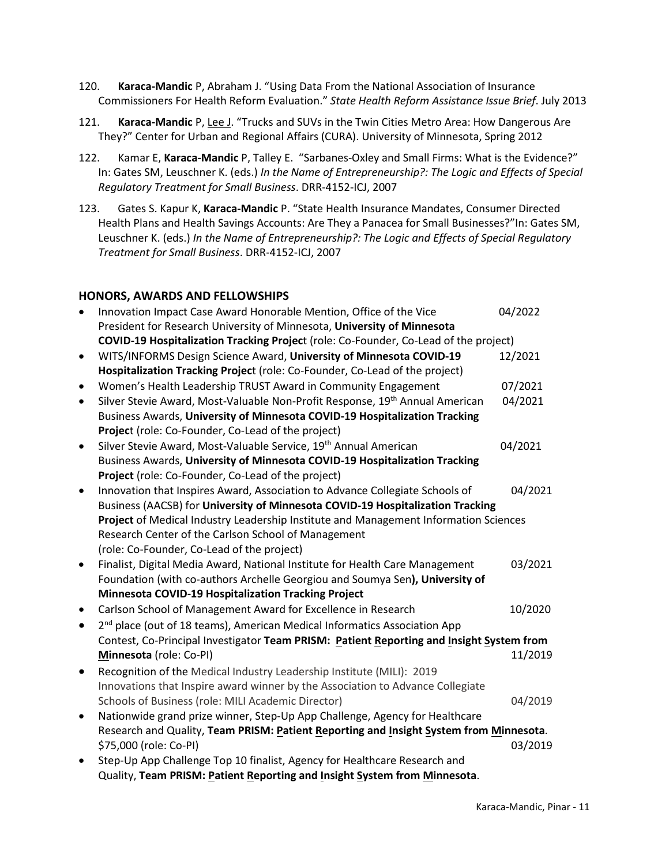- 120. **Karaca-Mandic** P, Abraham J. "Using Data From the National Association of Insurance Commissioners For Health Reform Evaluation." *State Health Reform Assistance Issue Brief*. July 2013
- 121. **Karaca-Mandic** P, Lee J. "Trucks and SUVs in the Twin Cities Metro Area: How Dangerous Are They?" Center for Urban and Regional Affairs (CURA). University of Minnesota, Spring 2012
- 122. Kamar E, **Karaca-Mandic** P, Talley E. "Sarbanes-Oxley and Small Firms: What is the Evidence?" In: Gates SM, Leuschner K. (eds.) *In the Name of Entrepreneurship?: The Logic and Effects of Special Regulatory Treatment for Small Business*. DRR-4152-ICJ, 2007
- 123. Gates S. Kapur K, **Karaca-Mandic** P. "State Health Insurance Mandates, Consumer Directed Health Plans and Health Savings Accounts: Are They a Panacea for Small Businesses?"In: Gates SM, Leuschner K. (eds.) *In the Name of Entrepreneurship?: The Logic and Effects of Special Regulatory Treatment for Small Business*. DRR-4152-ICJ, 2007

## **HONORS, AWARDS AND FELLOWSHIPS**

| $\bullet$ | Innovation Impact Case Award Honorable Mention, Office of the Vice                       | 04/2022 |
|-----------|------------------------------------------------------------------------------------------|---------|
|           | President for Research University of Minnesota, University of Minnesota                  |         |
|           | COVID-19 Hospitalization Tracking Project (role: Co-Founder, Co-Lead of the project)     |         |
| $\bullet$ | WITS/INFORMS Design Science Award, University of Minnesota COVID-19                      | 12/2021 |
|           | Hospitalization Tracking Project (role: Co-Founder, Co-Lead of the project)              |         |
| $\bullet$ | Women's Health Leadership TRUST Award in Community Engagement                            | 07/2021 |
| $\bullet$ | Silver Stevie Award, Most-Valuable Non-Profit Response, 19 <sup>th</sup> Annual American | 04/2021 |
|           | Business Awards, University of Minnesota COVID-19 Hospitalization Tracking               |         |
|           | Project (role: Co-Founder, Co-Lead of the project)                                       |         |
| $\bullet$ | Silver Stevie Award, Most-Valuable Service, 19 <sup>th</sup> Annual American             | 04/2021 |
|           | Business Awards, University of Minnesota COVID-19 Hospitalization Tracking               |         |
|           | Project (role: Co-Founder, Co-Lead of the project)                                       |         |
| $\bullet$ | Innovation that Inspires Award, Association to Advance Collegiate Schools of             | 04/2021 |
|           | Business (AACSB) for University of Minnesota COVID-19 Hospitalization Tracking           |         |
|           | Project of Medical Industry Leadership Institute and Management Information Sciences     |         |
|           | Research Center of the Carlson School of Management                                      |         |
|           | (role: Co-Founder, Co-Lead of the project)                                               |         |
| ٠         | Finalist, Digital Media Award, National Institute for Health Care Management             | 03/2021 |
|           | Foundation (with co-authors Archelle Georgiou and Soumya Sen), University of             |         |
|           | <b>Minnesota COVID-19 Hospitalization Tracking Project</b>                               |         |
| ٠         | Carlson School of Management Award for Excellence in Research                            | 10/2020 |
| $\bullet$ | 2 <sup>nd</sup> place (out of 18 teams), American Medical Informatics Association App    |         |
|           | Contest, Co-Principal Investigator Team PRISM: Patient Reporting and Insight System from |         |
|           | Minnesota (role: Co-PI)                                                                  | 11/2019 |
| ٠         | Recognition of the Medical Industry Leadership Institute (MILI): 2019                    |         |
|           | Innovations that Inspire award winner by the Association to Advance Collegiate           |         |
|           | Schools of Business (role: MILI Academic Director)                                       | 04/2019 |
| $\bullet$ | Nationwide grand prize winner, Step-Up App Challenge, Agency for Healthcare              |         |
|           | Research and Quality, Team PRISM: Patient Reporting and Insight System from Minnesota.   |         |
|           | \$75,000 (role: Co-PI)                                                                   | 03/2019 |
|           | Step-Up App Challenge Top 10 finalist, Agency for Healthcare Research and                |         |
|           |                                                                                          |         |
|           | Quality, Team PRISM: Patient Reporting and Insight System from Minnesota.                |         |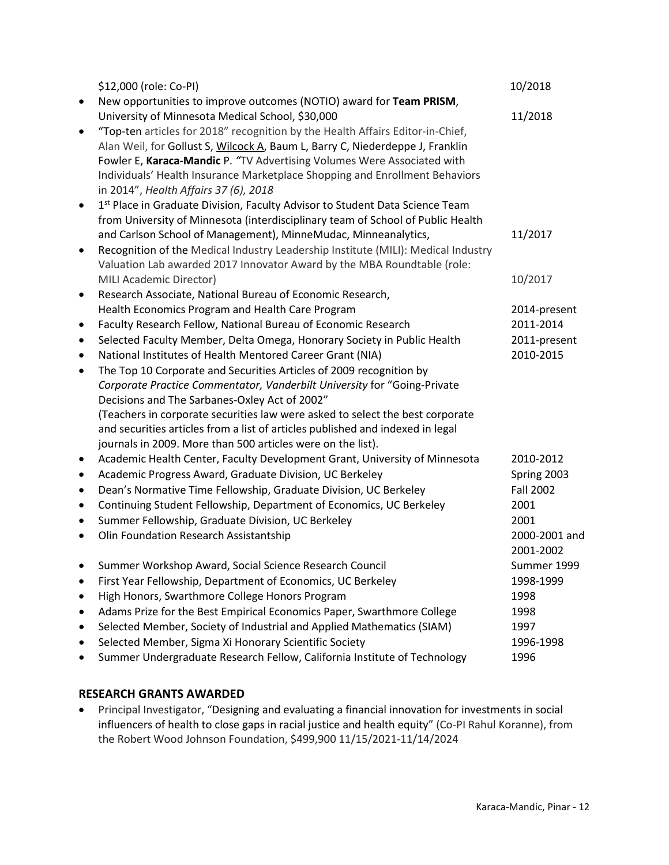|           | \$12,000 (role: Co-PI)                                                            | 10/2018          |
|-----------|-----------------------------------------------------------------------------------|------------------|
| $\bullet$ | New opportunities to improve outcomes (NOTIO) award for Team PRISM,               |                  |
|           | University of Minnesota Medical School, \$30,000                                  | 11/2018          |
| $\bullet$ | "Top-ten articles for 2018" recognition by the Health Affairs Editor-in-Chief,    |                  |
|           | Alan Weil, for Gollust S, Wilcock A, Baum L, Barry C, Niederdeppe J, Franklin     |                  |
|           | Fowler E, Karaca-Mandic P. "TV Advertising Volumes Were Associated with           |                  |
|           | Individuals' Health Insurance Marketplace Shopping and Enrollment Behaviors       |                  |
|           | in 2014", Health Affairs 37 (6), 2018                                             |                  |
| $\bullet$ | 1st Place in Graduate Division, Faculty Advisor to Student Data Science Team      |                  |
|           | from University of Minnesota (interdisciplinary team of School of Public Health   |                  |
|           | and Carlson School of Management), MinneMudac, Minneanalytics,                    | 11/2017          |
| $\bullet$ | Recognition of the Medical Industry Leadership Institute (MILI): Medical Industry |                  |
|           | Valuation Lab awarded 2017 Innovator Award by the MBA Roundtable (role:           |                  |
|           | MILI Academic Director)                                                           | 10/2017          |
| $\bullet$ | Research Associate, National Bureau of Economic Research,                         |                  |
|           | Health Economics Program and Health Care Program                                  | 2014-present     |
| $\bullet$ | Faculty Research Fellow, National Bureau of Economic Research                     | 2011-2014        |
| $\bullet$ | Selected Faculty Member, Delta Omega, Honorary Society in Public Health           | 2011-present     |
| $\bullet$ | National Institutes of Health Mentored Career Grant (NIA)                         | 2010-2015        |
| $\bullet$ | The Top 10 Corporate and Securities Articles of 2009 recognition by               |                  |
|           | Corporate Practice Commentator, Vanderbilt University for "Going-Private          |                  |
|           | Decisions and The Sarbanes-Oxley Act of 2002"                                     |                  |
|           | (Teachers in corporate securities law were asked to select the best corporate     |                  |
|           | and securities articles from a list of articles published and indexed in legal    |                  |
|           | journals in 2009. More than 500 articles were on the list).                       |                  |
| $\bullet$ | Academic Health Center, Faculty Development Grant, University of Minnesota        | 2010-2012        |
| $\bullet$ | Academic Progress Award, Graduate Division, UC Berkeley                           | Spring 2003      |
| $\bullet$ | Dean's Normative Time Fellowship, Graduate Division, UC Berkeley                  | <b>Fall 2002</b> |
| $\bullet$ | Continuing Student Fellowship, Department of Economics, UC Berkeley               | 2001             |
| $\bullet$ | Summer Fellowship, Graduate Division, UC Berkeley                                 | 2001             |
| $\bullet$ | Olin Foundation Research Assistantship                                            | 2000-2001 and    |
|           |                                                                                   | 2001-2002        |
|           | Summer Workshop Award, Social Science Research Council                            | Summer 1999      |
|           | First Year Fellowship, Department of Economics, UC Berkeley                       | 1998-1999        |
| ٠         | High Honors, Swarthmore College Honors Program                                    | 1998             |
| $\bullet$ | Adams Prize for the Best Empirical Economics Paper, Swarthmore College            | 1998             |
|           | Selected Member, Society of Industrial and Applied Mathematics (SIAM)             | 1997             |
|           | Selected Member, Sigma Xi Honorary Scientific Society                             | 1996-1998        |
|           | Summer Undergraduate Research Fellow, California Institute of Technology          | 1996             |

# **RESEARCH GRANTS AWARDED**

• Principal Investigator, "Designing and evaluating a financial innovation for investments in social influencers of health to close gaps in racial justice and health equity" (Co-PI Rahul Koranne), from the Robert Wood Johnson Foundation, \$499,900 11/15/2021-11/14/2024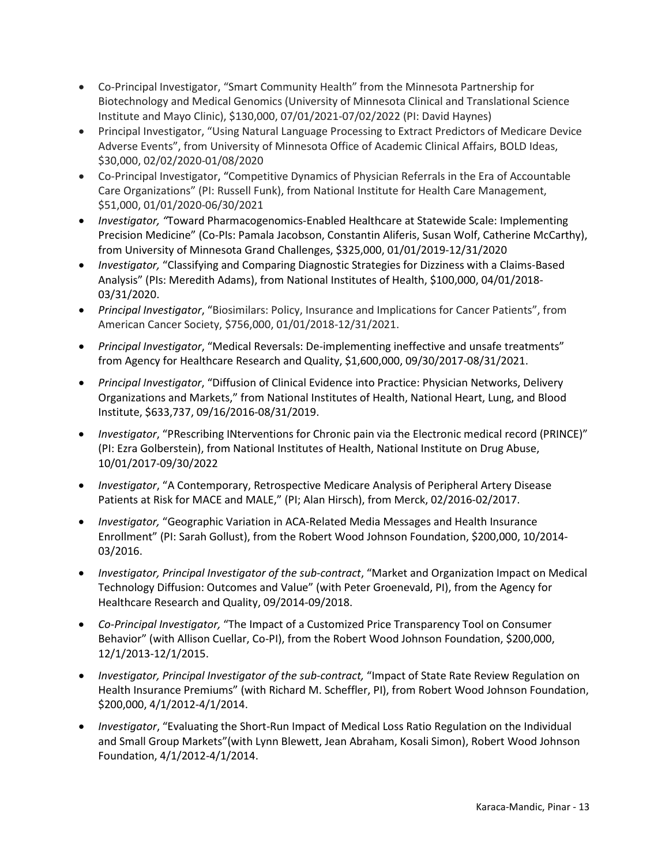- Co-Principal Investigator, "Smart Community Health" from the Minnesota Partnership for Biotechnology and Medical Genomics (University of Minnesota Clinical and Translational Science Institute and Mayo Clinic), \$130,000, 07/01/2021-07/02/2022 (PI: David Haynes)
- Principal Investigator, "Using Natural Language Processing to Extract Predictors of Medicare Device Adverse Events", from University of Minnesota Office of Academic Clinical Affairs, BOLD Ideas, \$30,000, 02/02/2020-01/08/2020
- Co-Principal Investigator, "Competitive Dynamics of Physician Referrals in the Era of Accountable Care Organizations" (PI: Russell Funk), from National Institute for Health Care Management, \$51,000, 01/01/2020-06/30/2021
- *Investigator, "*Toward Pharmacogenomics-Enabled Healthcare at Statewide Scale: Implementing Precision Medicine" (Co-PIs: Pamala Jacobson, Constantin Aliferis, Susan Wolf, Catherine McCarthy), from University of Minnesota Grand Challenges, \$325,000, 01/01/2019-12/31/2020
- *Investigator,* "Classifying and Comparing Diagnostic Strategies for Dizziness with a Claims-Based Analysis" (PIs: Meredith Adams), from National Institutes of Health, \$100,000, 04/01/2018- 03/31/2020.
- *Principal Investigator*, "Biosimilars: Policy, Insurance and Implications for Cancer Patients", from American Cancer Society, \$756,000, 01/01/2018-12/31/2021.
- *Principal Investigator*, "Medical Reversals: De-implementing ineffective and unsafe treatments" from Agency for Healthcare Research and Quality, \$1,600,000, 09/30/2017-08/31/2021.
- *Principal Investigator*, "Diffusion of Clinical Evidence into Practice: Physician Networks, Delivery Organizations and Markets," from National Institutes of Health, National Heart, Lung, and Blood Institute, \$633,737, 09/16/2016-08/31/2019.
- *Investigator*, "PRescribing INterventions for Chronic pain via the Electronic medical record (PRINCE)" (PI: Ezra Golberstein), from National Institutes of Health, National Institute on Drug Abuse, 10/01/2017-09/30/2022
- *Investigator*, "A Contemporary, Retrospective Medicare Analysis of Peripheral Artery Disease Patients at Risk for MACE and MALE," (PI; Alan Hirsch), from Merck, 02/2016-02/2017.
- *Investigator,* "Geographic Variation in ACA-Related Media Messages and Health Insurance Enrollment" (PI: Sarah Gollust), from the Robert Wood Johnson Foundation, \$200,000, 10/2014- 03/2016.
- *Investigator, Principal Investigator of the sub-contract*, "Market and Organization Impact on Medical Technology Diffusion: Outcomes and Value" (with Peter Groenevald, PI), from the Agency for Healthcare Research and Quality, 09/2014-09/2018.
- *Co-Principal Investigator,* "The Impact of a Customized Price Transparency Tool on Consumer Behavior" (with Allison Cuellar, Co-PI), from the Robert Wood Johnson Foundation, \$200,000, 12/1/2013-12/1/2015.
- *Investigator, Principal Investigator of the sub-contract,* "Impact of State Rate Review Regulation on Health Insurance Premiums" (with Richard M. Scheffler, PI), from Robert Wood Johnson Foundation, \$200,000, 4/1/2012-4/1/2014.
- *Investigator*, "Evaluating the Short-Run Impact of Medical Loss Ratio Regulation on the Individual and Small Group Markets"(with Lynn Blewett, Jean Abraham, Kosali Simon), Robert Wood Johnson Foundation, 4/1/2012-4/1/2014.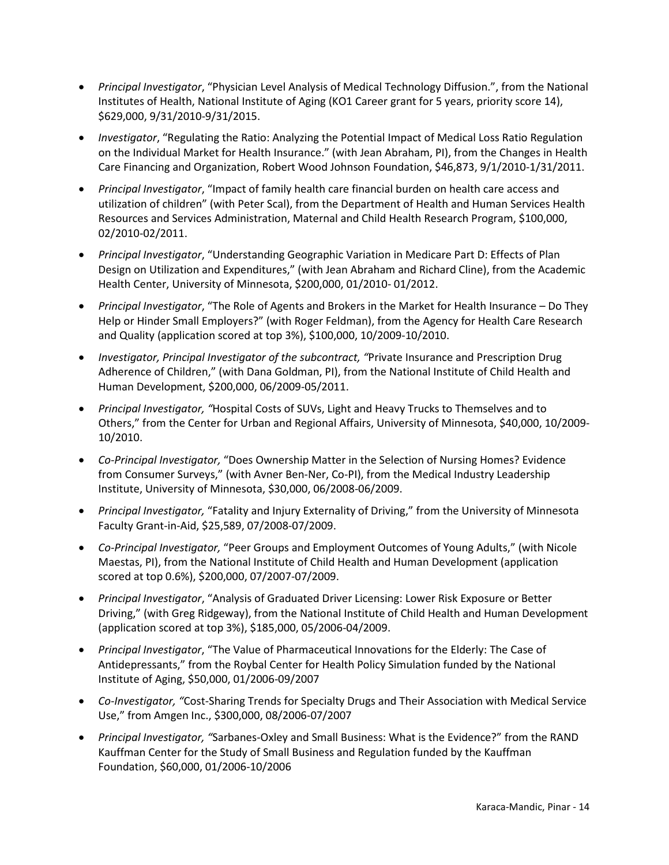- *Principal Investigator*, "Physician Level Analysis of Medical Technology Diffusion.", from the National Institutes of Health, National Institute of Aging (KO1 Career grant for 5 years, priority score 14), \$629,000, 9/31/2010-9/31/2015.
- *Investigator*, "Regulating the Ratio: Analyzing the Potential Impact of Medical Loss Ratio Regulation on the Individual Market for Health Insurance." (with Jean Abraham, PI), from the Changes in Health Care Financing and Organization, Robert Wood Johnson Foundation, \$46,873, 9/1/2010-1/31/2011.
- *Principal Investigator*, "Impact of family health care financial burden on health care access and utilization of children" (with Peter Scal), from the Department of Health and Human Services Health Resources and Services Administration, Maternal and Child Health Research Program, \$100,000, 02/2010-02/2011.
- *Principal Investigator*, "Understanding Geographic Variation in Medicare Part D: Effects of Plan Design on Utilization and Expenditures," (with Jean Abraham and Richard Cline), from the Academic Health Center, University of Minnesota, \$200,000, 01/2010- 01/2012.
- *Principal Investigator*, "The Role of Agents and Brokers in the Market for Health Insurance Do They Help or Hinder Small Employers?" (with Roger Feldman), from the Agency for Health Care Research and Quality (application scored at top 3%), \$100,000, 10/2009-10/2010.
- *Investigator, Principal Investigator of the subcontract, "*Private Insurance and Prescription Drug Adherence of Children," (with Dana Goldman, PI), from the National Institute of Child Health and Human Development, \$200,000, 06/2009-05/2011.
- *Principal Investigator, "*Hospital Costs of SUVs, Light and Heavy Trucks to Themselves and to Others," from the Center for Urban and Regional Affairs, University of Minnesota, \$40,000, 10/2009- 10/2010.
- *Co-Principal Investigator,* "Does Ownership Matter in the Selection of Nursing Homes? Evidence from Consumer Surveys," (with Avner Ben-Ner, Co-PI), from the Medical Industry Leadership Institute, University of Minnesota, \$30,000, 06/2008-06/2009.
- *Principal Investigator,* "Fatality and Injury Externality of Driving," from the University of Minnesota Faculty Grant-in-Aid, \$25,589, 07/2008-07/2009.
- *Co-Principal Investigator,* "Peer Groups and Employment Outcomes of Young Adults," (with Nicole Maestas, PI), from the National Institute of Child Health and Human Development (application scored at top 0.6%), \$200,000, 07/2007-07/2009.
- *Principal Investigator*, "Analysis of Graduated Driver Licensing: Lower Risk Exposure or Better Driving," (with Greg Ridgeway), from the National Institute of Child Health and Human Development (application scored at top 3%), \$185,000, 05/2006-04/2009.
- *Principal Investigator*, "The Value of Pharmaceutical Innovations for the Elderly: The Case of Antidepressants," from the Roybal Center for Health Policy Simulation funded by the National Institute of Aging, \$50,000, 01/2006-09/2007
- *Co-Investigator, "*Cost-Sharing Trends for Specialty Drugs and Their Association with Medical Service Use," from Amgen Inc., \$300,000, 08/2006-07/2007
- *Principal Investigator, "*Sarbanes-Oxley and Small Business: What is the Evidence?" from the RAND Kauffman Center for the Study of Small Business and Regulation funded by the Kauffman Foundation, \$60,000, 01/2006-10/2006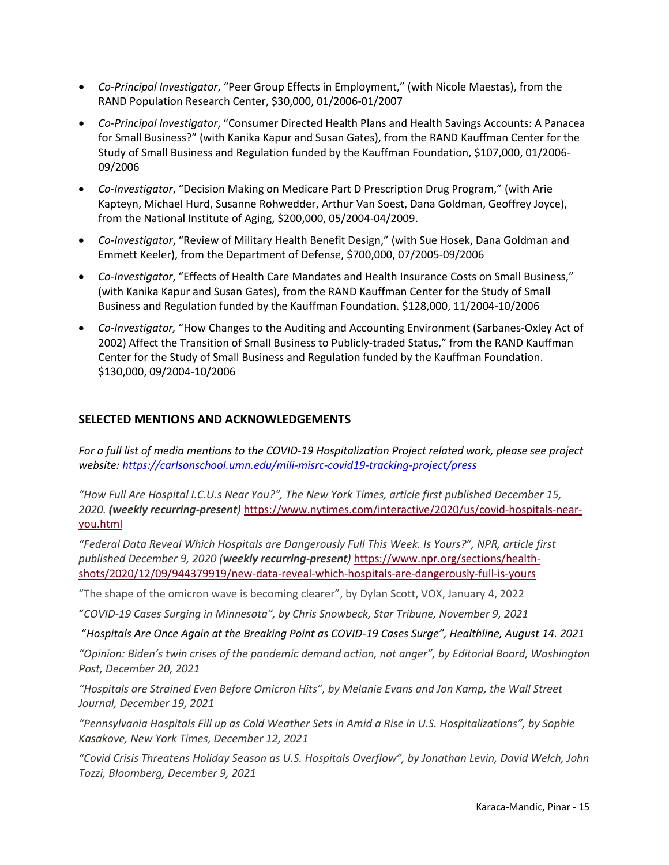- *Co-Principal Investigator*, "Peer Group Effects in Employment," (with Nicole Maestas), from the RAND Population Research Center, \$30,000, 01/2006-01/2007
- *Co-Principal Investigator*, "Consumer Directed Health Plans and Health Savings Accounts: A Panacea for Small Business?" (with Kanika Kapur and Susan Gates), from the RAND Kauffman Center for the Study of Small Business and Regulation funded by the Kauffman Foundation, \$107,000, 01/2006- 09/2006
- *Co-Investigator*, "Decision Making on Medicare Part D Prescription Drug Program," (with Arie Kapteyn, Michael Hurd, Susanne Rohwedder, Arthur Van Soest, Dana Goldman, Geoffrey Joyce), from the National Institute of Aging, \$200,000, 05/2004-04/2009.
- *Co-Investigator*, "Review of Military Health Benefit Design," (with Sue Hosek, Dana Goldman and Emmett Keeler), from the Department of Defense, \$700,000, 07/2005-09/2006
- *Co-Investigator*, "Effects of Health Care Mandates and Health Insurance Costs on Small Business," (with Kanika Kapur and Susan Gates), from the RAND Kauffman Center for the Study of Small Business and Regulation funded by the Kauffman Foundation. \$128,000, 11/2004-10/2006
- *Co-Investigator,* "How Changes to the Auditing and Accounting Environment (Sarbanes-Oxley Act of 2002) Affect the Transition of Small Business to Publicly-traded Status," from the RAND Kauffman Center for the Study of Small Business and Regulation funded by the Kauffman Foundation. \$130,000, 09/2004-10/2006

## **SELECTED MENTIONS AND ACKNOWLEDGEMENTS**

*For a full list of media mentions to the COVID-19 Hospitalization Project related work, please see project website:<https://carlsonschool.umn.edu/mili-misrc-covid19-tracking-project/press>*

*"How Full Are Hospital I.C.U.s Near You?", The New York Times, article first published December 15, 2020. (weekly recurring-present)* [https://www.nytimes.com/interactive/2020/us/covid-hospitals-near](https://www.nytimes.com/interactive/2020/us/covid-hospitals-near-you.html)[you.html](https://www.nytimes.com/interactive/2020/us/covid-hospitals-near-you.html)

*"Federal Data Reveal Which Hospitals are Dangerously Full This Week. Is Yours?", NPR, article first published December 9, 2020 (weekly recurring-present)* [https://www.npr.org/sections/health](https://www.npr.org/sections/health-shots/2020/12/09/944379919/new-data-reveal-which-hospitals-are-dangerously-full-is-yours)[shots/2020/12/09/944379919/new-data-reveal-which-hospitals-are-dangerously-full-is-yours](https://www.npr.org/sections/health-shots/2020/12/09/944379919/new-data-reveal-which-hospitals-are-dangerously-full-is-yours)

"The shape of the omicron wave is becoming clearer", by Dylan Scott, VOX, January 4, 2022

"*COVID-19 Cases Surging in Minnesota", by Chris Snowbeck, Star Tribune, November 9, 2021*

"*Hospitals Are Once Again at the Breaking Point as COVID-19 Cases Surge", Healthline, August 14. 2021*

*"Opinion: Biden's twin crises of the pandemic demand action, not anger", by Editorial Board, Washington Post, December 20, 2021*

*"Hospitals are Strained Even Before Omicron Hits", by Melanie Evans and Jon Kamp, the Wall Street Journal, December 19, 2021*

*"Pennsylvania Hospitals Fill up as Cold Weather Sets in Amid a Rise in U.S. Hospitalizations", by Sophie Kasakove, New York Times, December 12, 2021*

*"Covid Crisis Threatens Holiday Season as U.S. Hospitals Overflow", by Jonathan Levin, David Welch, John Tozzi, Bloomberg, December 9, 2021*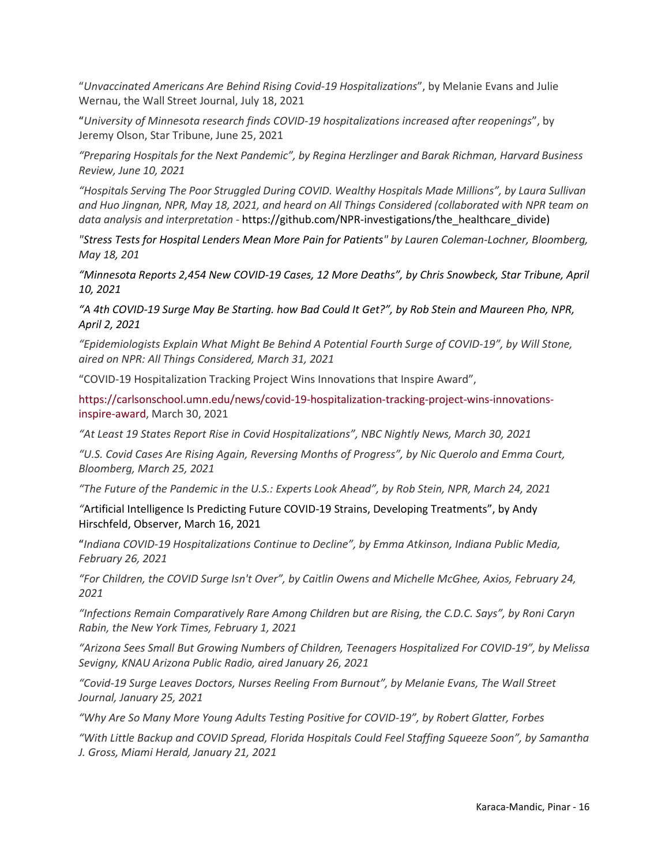"*Unvaccinated Americans Are Behind Rising Covid-19 Hospitalizations*", by Melanie Evans and Julie Wernau, the Wall Street Journal, July 18, 2021

"*University of Minnesota research finds COVID-19 hospitalizations increased after reopenings*", by Jeremy Olson, Star Tribune, June 25, 2021

*"Preparing Hospitals for the Next Pandemic", by Regina Herzlinger and Barak Richman, Harvard Business Review, June 10, 2021*

*"Hospitals Serving The Poor Struggled During COVID. Wealthy Hospitals Made Millions", by Laura Sullivan and Huo Jingnan, NPR, May 18, 2021, and heard on All Things Considered (collaborated with NPR team on data analysis and interpretation -* https://github.com/NPR-investigations/the\_healthcare\_divide)

*"Stress Tests for Hospital Lenders Mean More Pain for Patients" by Lauren Coleman-Lochner, Bloomberg, May 18, 201*

*"Minnesota Reports 2,454 New COVID-19 Cases, 12 More Deaths", by Chris Snowbeck, Star Tribune, April 10, 2021*

*"A 4th COVID-19 Surge May Be Starting. how Bad Could It Get?", by Rob Stein and Maureen Pho, NPR, April 2, 2021* 

*"Epidemiologists Explain What Might Be Behind A Potential Fourth Surge of COVID-19", by Will Stone, aired on NPR: All Things Considered, March 31, 2021*

"COVID-19 Hospitalization Tracking Project Wins Innovations that Inspire Award",

[https://carlsonschool.umn.edu/news/covid-19-hospitalization-tracking-project-wins-innovations](https://carlsonschool.umn.edu/news/covid-19-hospitalization-tracking-project-wins-innovations-inspire-award)[inspire-award,](https://carlsonschool.umn.edu/news/covid-19-hospitalization-tracking-project-wins-innovations-inspire-award) March 30, 2021

*"At Least 19 States Report Rise in Covid Hospitalizations", NBC Nightly News, March 30, 2021*

*"U.S. Covid Cases Are Rising Again, Reversing Months of Progress", by Nic Querolo and Emma Court, Bloomberg, March 25, 2021*

*"The Future of the Pandemic in the U.S.: Experts Look Ahead", by Rob Stein, NPR, March 24, 2021*

*"*Artificial Intelligence Is Predicting Future COVID-19 Strains, Developing Treatments", by Andy Hirschfeld, Observer, March 16, 2021

"*Indiana COVID-19 Hospitalizations Continue to Decline", by Emma Atkinson, Indiana Public Media, February 26, 2021*

*"For Children, the COVID Surge Isn't Over", by Caitlin Owens and Michelle McGhee, Axios, February 24, 2021* 

*"Infections Remain Comparatively Rare Among Children but are Rising, the C.D.C. Says", by Roni Caryn Rabin, the New York Times, February 1, 2021* 

*"Arizona Sees Small But Growing Numbers of Children, Teenagers Hospitalized For COVID-19", by Melissa Sevigny, KNAU Arizona Public Radio, aired January 26, 2021* 

*"Covid-19 Surge Leaves Doctors, Nurses Reeling From Burnout", by Melanie Evans, The Wall Street Journal, January 25, 2021*

*"Why Are So Many More Young Adults Testing Positive for COVID-19", by Robert Glatter, Forbes*

*"With Little Backup and COVID Spread, Florida Hospitals Could Feel Staffing Squeeze Soon", by Samantha J. Gross, Miami Herald, January 21, 2021*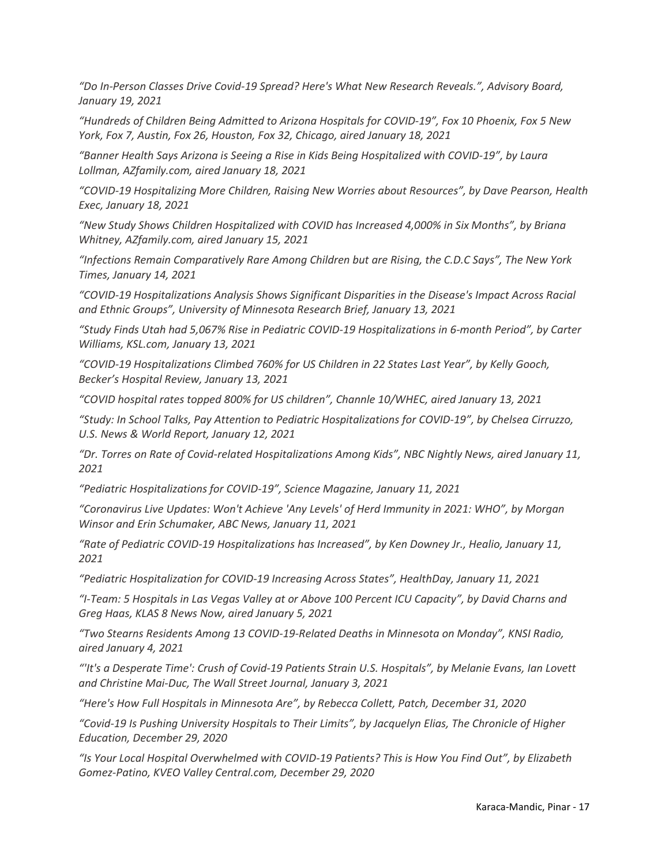*"Do In-Person Classes Drive Covid-19 Spread? Here's What New Research Reveals.", Advisory Board, January 19, 2021*

*"Hundreds of Children Being Admitted to Arizona Hospitals for COVID-19", Fox 10 Phoenix, Fox 5 New York, Fox 7, Austin, Fox 26, Houston, Fox 32, Chicago, aired January 18, 2021*

*"Banner Health Says Arizona is Seeing a Rise in Kids Being Hospitalized with COVID-19", by Laura Lollman, AZfamily.com, aired January 18, 2021*

*"COVID-19 Hospitalizing More Children, Raising New Worries about Resources", by Dave Pearson, Health Exec, January 18, 2021* 

*"New Study Shows Children Hospitalized with COVID has Increased 4,000% in Six Months", by Briana Whitney, AZfamily.com, aired January 15, 2021*

*"Infections Remain Comparatively Rare Among Children but are Rising, the C.D.C Says", The New York Times, January 14, 2021*

*"COVID-19 Hospitalizations Analysis Shows Significant Disparities in the Disease's Impact Across Racial and Ethnic Groups", University of Minnesota Research Brief, January 13, 2021*

*"Study Finds Utah had 5,067% Rise in Pediatric COVID-19 Hospitalizations in 6-month Period", by Carter Williams, KSL.com, January 13, 2021*

*"COVID-19 Hospitalizations Climbed 760% for US Children in 22 States Last Year", by Kelly Gooch, Becker's Hospital Review, January 13, 2021*

*"COVID hospital rates topped 800% for US children", Channle 10/WHEC, aired January 13, 2021*

*"Study: In School Talks, Pay Attention to Pediatric Hospitalizations for COVID-19", by Chelsea Cirruzzo, U.S. News & World Report, January 12, 2021* 

*"Dr. Torres on Rate of Covid-related Hospitalizations Among Kids", NBC Nightly News, aired January 11, 2021*

*"Pediatric Hospitalizations for COVID-19", Science Magazine, January 11, 2021*

*"Coronavirus Live Updates: Won't Achieve 'Any Levels' of Herd Immunity in 2021: WHO", by Morgan Winsor and Erin Schumaker, ABC News, January 11, 2021*

*"Rate of Pediatric COVID-19 Hospitalizations has Increased", by Ken Downey Jr., Healio, January 11, 2021* 

*"Pediatric Hospitalization for COVID-19 Increasing Across States", HealthDay, January 11, 2021* 

*"I-Team: 5 Hospitals in Las Vegas Valley at or Above 100 Percent ICU Capacity", by David Charns and Greg Haas, KLAS 8 News Now, aired January 5, 2021* 

*"Two Stearns Residents Among 13 COVID-19-Related Deaths in Minnesota on Monday", KNSI Radio, aired January 4, 2021* 

*"'It's a Desperate Time': Crush of Covid-19 Patients Strain U.S. Hospitals", by Melanie Evans, Ian Lovett and Christine Mai-Duc, The Wall Street Journal, January 3, 2021*

*"Here's How Full Hospitals in Minnesota Are", by Rebecca Collett, Patch, December 31, 2020* 

*"Covid-19 Is Pushing University Hospitals to Their Limits", by Jacquelyn Elias, The Chronicle of Higher Education, December 29, 2020*

*"Is Your Local Hospital Overwhelmed with COVID-19 Patients? This is How You Find Out", by Elizabeth Gomez-Patino, KVEO Valley Central.com, December 29, 2020*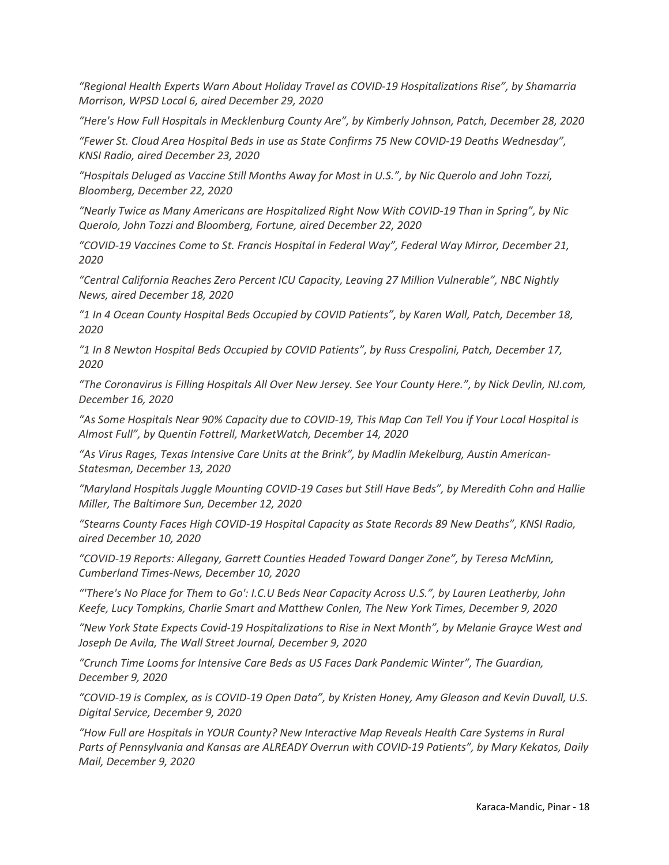*"Regional Health Experts Warn About Holiday Travel as COVID-19 Hospitalizations Rise", by Shamarria Morrison, WPSD Local 6, aired December 29, 2020* 

*"Here's How Full Hospitals in Mecklenburg County Are", by Kimberly Johnson, Patch, December 28, 2020* 

*"Fewer St. Cloud Area Hospital Beds in use as State Confirms 75 New COVID-19 Deaths Wednesday", KNSI Radio, aired December 23, 2020*

*"Hospitals Deluged as Vaccine Still Months Away for Most in U.S.", by Nic Querolo and John Tozzi, Bloomberg, December 22, 2020* 

*"Nearly Twice as Many Americans are Hospitalized Right Now With COVID-19 Than in Spring", by Nic Querolo, John Tozzi and Bloomberg, Fortune, aired December 22, 2020* 

*"COVID-19 Vaccines Come to St. Francis Hospital in Federal Way", Federal Way Mirror, December 21, 2020* 

*"Central California Reaches Zero Percent ICU Capacity, Leaving 27 Million Vulnerable", NBC Nightly News, aired December 18, 2020* 

*"1 In 4 Ocean County Hospital Beds Occupied by COVID Patients", by Karen Wall, Patch, December 18, 2020* 

*"1 In 8 Newton Hospital Beds Occupied by COVID Patients", by Russ Crespolini, Patch, December 17, 2020* 

*"The Coronavirus is Filling Hospitals All Over New Jersey. See Your County Here.", by Nick Devlin, NJ.com, December 16, 2020*

*"As Some Hospitals Near 90% Capacity due to COVID-19, This Map Can Tell You if Your Local Hospital is Almost Full", by Quentin Fottrell, MarketWatch, December 14, 2020* 

*"As Virus Rages, Texas Intensive Care Units at the Brink", by Madlin Mekelburg, Austin American-Statesman, December 13, 2020*

*"Maryland Hospitals Juggle Mounting COVID-19 Cases but Still Have Beds", by Meredith Cohn and Hallie Miller, The Baltimore Sun, December 12, 2020*

*"Stearns County Faces High COVID-19 Hospital Capacity as State Records 89 New Deaths", KNSI Radio, aired December 10, 2020* 

*"COVID-19 Reports: Allegany, Garrett Counties Headed Toward Danger Zone", by Teresa McMinn, Cumberland Times-News, December 10, 2020* 

*"'There's No Place for Them to Go': I.C.U Beds Near Capacity Across U.S.", by Lauren Leatherby, John Keefe, Lucy Tompkins, Charlie Smart and Matthew Conlen, The New York Times, December 9, 2020* 

*"New York State Expects Covid-19 Hospitalizations to Rise in Next Month", by Melanie Grayce West and Joseph De Avila, The Wall Street Journal, December 9, 2020* 

*"Crunch Time Looms for Intensive Care Beds as US Faces Dark Pandemic Winter", The Guardian, December 9, 2020* 

*"COVID-19 is Complex, as is COVID-19 Open Data", by Kristen Honey, Amy Gleason and Kevin Duvall, U.S. Digital Service, December 9, 2020* 

*"How Full are Hospitals in YOUR County? New Interactive Map Reveals Health Care Systems in Rural Parts of Pennsylvania and Kansas are ALREADY Overrun with COVID-19 Patients", by Mary Kekatos, Daily Mail, December 9, 2020*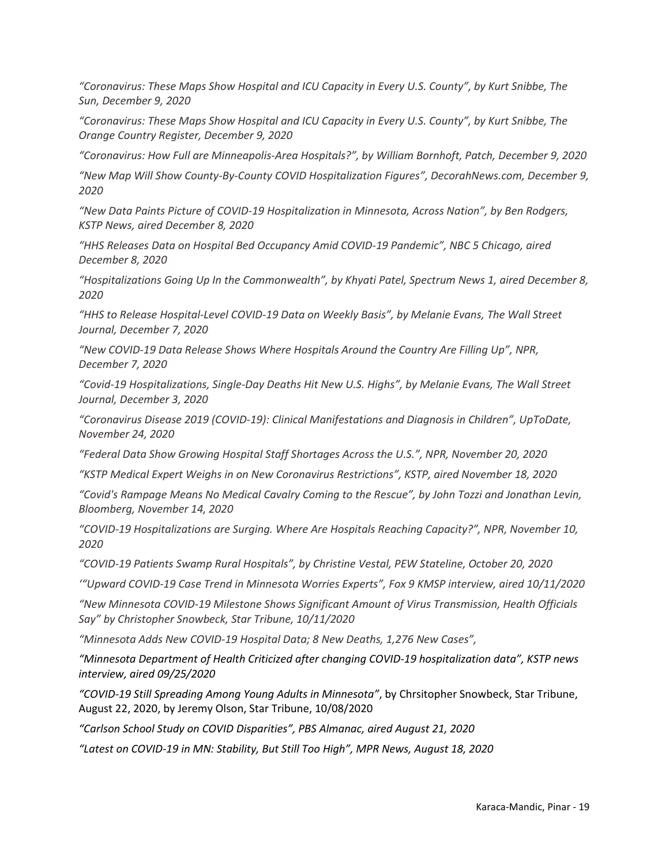*"Coronavirus: These Maps Show Hospital and ICU Capacity in Every U.S. County", by Kurt Snibbe, The Sun, December 9, 2020* 

*"Coronavirus: These Maps Show Hospital and ICU Capacity in Every U.S. County", by Kurt Snibbe, The Orange Country Register, December 9, 2020* 

*"Coronavirus: How Full are Minneapolis-Area Hospitals?", by William Bornhoft, Patch, December 9, 2020* 

*"New Map Will Show County-By-County COVID Hospitalization Figures", DecorahNews.com, December 9, 2020* 

*"New Data Paints Picture of COVID-19 Hospitalization in Minnesota, Across Nation", by Ben Rodgers, KSTP News, aired December 8, 2020*

*"HHS Releases Data on Hospital Bed Occupancy Amid COVID-19 Pandemic", NBC 5 Chicago, aired December 8, 2020* 

*"Hospitalizations Going Up In the Commonwealth", by Khyati Patel, Spectrum News 1, aired December 8, 2020* 

*"HHS to Release Hospital-Level COVID-19 Data on Weekly Basis", by Melanie Evans, The Wall Street Journal, December 7, 2020* 

*"New COVID-19 Data Release Shows Where Hospitals Around the Country Are Filling Up", NPR, December 7, 2020* 

*"Covid-19 Hospitalizations, Single-Day Deaths Hit New U.S. Highs", by Melanie Evans, The Wall Street Journal, December 3, 2020* 

*"Coronavirus Disease 2019 (COVID-19): Clinical Manifestations and Diagnosis in Children", UpToDate, November 24, 2020* 

*"Federal Data Show Growing Hospital Staff Shortages Across the U.S.", NPR, November 20, 2020* 

*"KSTP Medical Expert Weighs in on New Coronavirus Restrictions", KSTP, aired November 18, 2020* 

*"Covid's Rampage Means No Medical Cavalry Coming to the Rescue", by John Tozzi and Jonathan Levin, Bloomberg, November 14, 2020* 

*"COVID-19 Hospitalizations are Surging. Where Are Hospitals Reaching Capacity?", NPR, November 10, 2020*

*"COVID-19 Patients Swamp Rural Hospitals", by Christine Vestal, PEW Stateline, October 20, 2020*

*'"Upward COVID-19 Case Trend in Minnesota Worries Experts", Fox 9 KMSP interview, aired 10/11/2020*

*"New Minnesota COVID-19 Milestone Shows Significant Amount of Virus Transmission, Health Officials Say" by Christopher Snowbeck, Star Tribune, 10/11/2020*

*"Minnesota Adds New COVID-19 Hospital Data; 8 New Deaths, 1,276 New Cases",* 

*"Minnesota Department of Health Criticized after changing COVID-19 hospitalization data", KSTP news interview, aired 09/25/2020*

*"COVID-19 Still Spreading Among Young Adults in Minnesota"*, by Chrsitopher Snowbeck, Star Tribune, August 22, 2020, by Jeremy Olson, Star Tribune, 10/08/2020

*"Carlson School Study on COVID Disparities", PBS Almanac, aired August 21, 2020* 

*"Latest on COVID-19 in MN: Stability, But Still Too High", MPR News, August 18, 2020*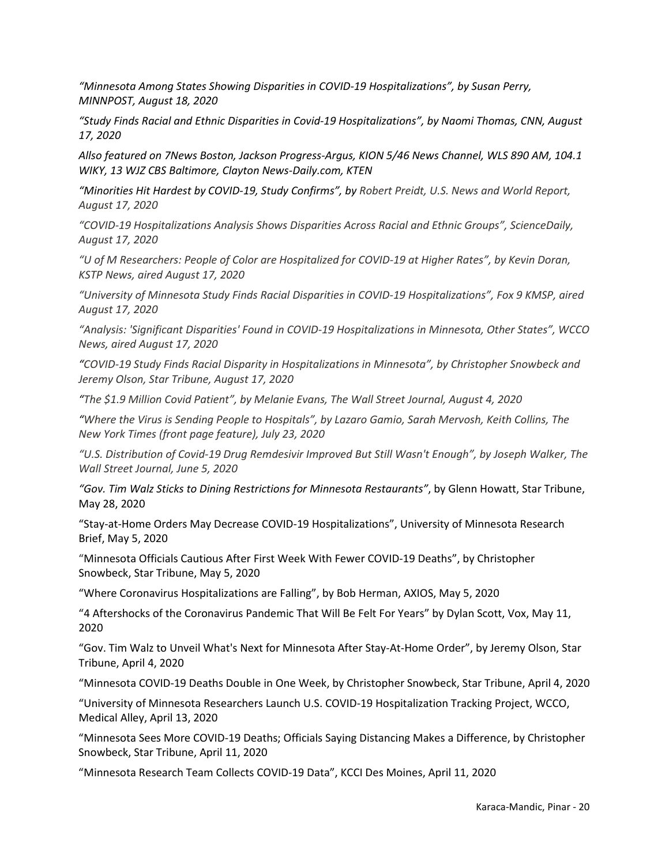*"Minnesota Among States Showing Disparities in COVID-19 Hospitalizations", by Susan Perry, MINNPOST, August 18, 2020*

*"Study Finds Racial and Ethnic Disparities in Covid-19 Hospitalizations", by Naomi Thomas, CNN, August 17, 2020*

*Allso featured on [7News Boston,](https://whdh.com/news/study-finds-racial-and-ethnic-disparities-in-covid-19-hospitalizations/) [Jackson Progress-Argus,](https://www.jacksonprogress-argus.com/features/health/study-finds-racial-and-ethnic-disparities-in-covid-19-hospitalizations/article_586e6415-66d8-5f32-af31-09b4698c0c20.html) KION 5/46 News Channel, WLS [890 AM,](https://www.wlsam.com/news/study-finds-racial-and-ethnic-disparities-in-covid-19-hospitalizations/) [104.1](https://wiky.com/2020/08/17/study-finds-racial-and-ethnic-disparities-in-covid-19-hospitalizations-update-1/)  [WIKY,](https://wiky.com/2020/08/17/study-finds-racial-and-ethnic-disparities-in-covid-19-hospitalizations-update-1/) [13 WJZ CBS Baltimore,](https://baltimore.cbslocal.com/2020/08/17/study-finds-racial-ethnic-disparities-in-covid-19-hospitalizations/) [Clayton News-Daily.com,](https://www.news-daily.com/features/health/study-finds-racial-and-ethnic-disparities-in-covid-19-hospitalizations/article_a49d447c-05a9-582a-9e6b-38d4c5653838.html) KTEN* 

*"Minorities Hit Hardest by COVID-19, Study Confirms", by Robert Preidt, U.S. News and World Report, August 17, 2020*

*"COVID-19 Hospitalizations Analysis Shows Disparities Across Racial and Ethnic Groups", ScienceDaily, August 17, 2020*

*"U of M Researchers: People of Color are Hospitalized for COVID-19 at Higher Rates", by Kevin Doran, KSTP News, aired August 17, 2020*

*"University of Minnesota Study Finds Racial Disparities in COVID-19 Hospitalizations", Fox 9 KMSP, aired August 17, 2020*

*"Analysis: 'Significant Disparities' Found in COVID-19 Hospitalizations in Minnesota, Other States", WCCO News, aired August 17, 2020*

*"COVID-19 Study Finds Racial Disparity in Hospitalizations in Minnesota", by Christopher Snowbeck and Jeremy Olson, Star Tribune, August 17, 2020*

*"The \$1.9 Million Covid Patient", by Melanie Evans, The Wall Street Journal, August 4, 2020*

*"Where the Virus is Sending People to Hospitals", by Lazaro Gamio, Sarah Mervosh, Keith Collins, The New York Times (front page feature), July 23, 2020*

*"U.S. Distribution of Covid-19 Drug Remdesivir Improved But Still Wasn't Enough", by Joseph Walker, The Wall Street Journal, June 5, 2020*

*"Gov. Tim Walz Sticks to Dining Restrictions for Minnesota Restaurants"*, by Glenn Howatt, Star Tribune, May 28, 2020

"Stay-at-Home Orders May Decrease COVID-19 Hospitalizations", University of Minnesota Research Brief, May 5, 2020

"Minnesota Officials Cautious After First Week With Fewer COVID-19 Deaths", by Christopher Snowbeck, Star Tribune, May 5, 2020

"Where Coronavirus Hospitalizations are Falling", by Bob Herman, AXIOS, May 5, 2020

"4 Aftershocks of the Coronavirus Pandemic That Will Be Felt For Years" by Dylan Scott, Vox, May 11, 2020

"Gov. Tim Walz to Unveil What's Next for Minnesota After Stay-At-Home Order", by Jeremy Olson, Star Tribune, April 4, 2020

"Minnesota COVID-19 Deaths Double in One Week, by Christopher Snowbeck, Star Tribune, April 4, 2020

"University of Minnesota Researchers Launch U.S. COVID-19 Hospitalization Tracking Project, WCCO, Medical Alley, April 13, 2020

"Minnesota Sees More COVID-19 Deaths; Officials Saying Distancing Makes a Difference, by Christopher Snowbeck, Star Tribune, April 11, 2020

"Minnesota Research Team Collects COVID-19 Data", KCCI Des Moines, April 11, 2020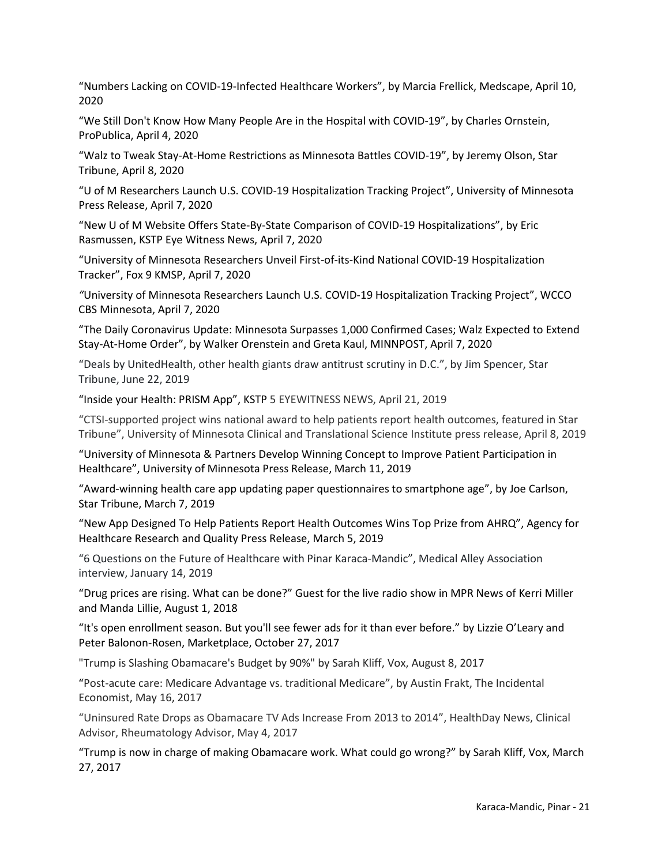"Numbers Lacking on COVID-19-Infected Healthcare Workers", by Marcia Frellick, Medscape, April 10, 2020

"We Still Don't Know How Many People Are in the Hospital with COVID-19", by Charles Ornstein, ProPublica, April 4, 2020

"Walz to Tweak Stay-At-Home Restrictions as Minnesota Battles COVID-19", by Jeremy Olson, Star Tribune, April 8, 2020

"U of M Researchers Launch U.S. COVID-19 Hospitalization Tracking Project", University of Minnesota Press Release, April 7, 2020

"New U of M Website Offers State-By-State Comparison of COVID-19 Hospitalizations", by Eric Rasmussen, KSTP Eye Witness News, April 7, 2020

"University of Minnesota Researchers Unveil First-of-its-Kind National COVID-19 Hospitalization Tracker", Fox 9 KMSP, April 7, 2020

*"*University of Minnesota Researchers Launch U.S. COVID-19 Hospitalization Tracking Project", WCCO CBS Minnesota, April 7, 2020

"The Daily Coronavirus Update: Minnesota Surpasses 1,000 Confirmed Cases; Walz Expected to Extend Stay-At-Home Order", by Walker Orenstein and Greta Kaul, MINNPOST, April 7, 2020

"Deals by UnitedHealth, other health giants draw antitrust scrutiny in D.C.", by Jim Spencer, Star Tribune, June 22, 2019

"Inside your Health: PRISM App", KSTP 5 EYEWITNESS NEWS, April 21, 2019

"CTSI-supported project wins national award to help patients report health outcomes, featured in Star Tribune", University of Minnesota Clinical and Translational Science Institute press release, April 8, 2019

"University of Minnesota & Partners Develop Winning Concept to Improve Patient Participation in Healthcare", University of Minnesota Press Release, March 11, 2019

"Award-winning health care app updating paper questionnaires to smartphone age", by Joe Carlson, Star Tribune, March 7, 2019

"New App Designed To Help Patients Report Health Outcomes Wins Top Prize from AHRQ", Agency for Healthcare Research and Quality Press Release, March 5, 2019

"6 Questions on the Future of Healthcare with Pinar Karaca-Mandic", Medical Alley Association interview, January 14, 2019

"Drug prices are rising. What can be done?" Guest for the live radio show in MPR News of Kerri Miller and Manda Lillie, August 1, 2018

"It's open enrollment season. But you'll see fewer ads for it than ever before." by Lizzie O'Leary and Peter Balonon-Rosen, Marketplace, October 27, 2017

"Trump is Slashing Obamacare's Budget by 90%" by Sarah Kliff, Vox, August 8, 2017

"Post-acute care: Medicare Advantage vs. traditional Medicare", by Austin Frakt, The Incidental Economist, May 16, 2017

"Uninsured Rate Drops as Obamacare TV Ads Increase From 2013 to 2014", HealthDay News, Clinical Advisor, Rheumatology Advisor, May 4, 2017

"Trump is now in charge of making Obamacare work. What could go wrong?" by Sarah Kliff, Vox, March 27, 2017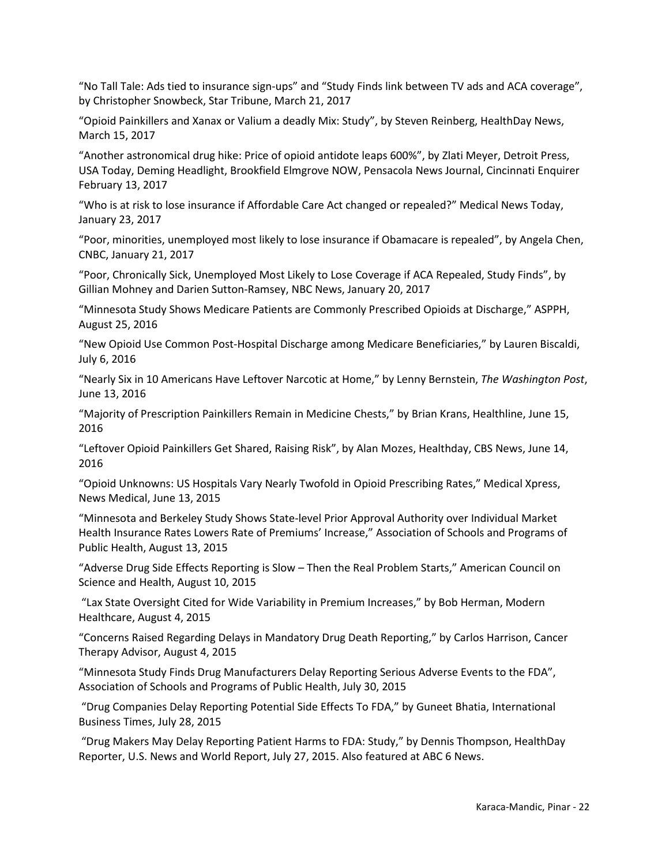"No Tall Tale: Ads tied to insurance sign-ups" and "Study Finds link between TV ads and ACA coverage", by Christopher Snowbeck, Star Tribune, March 21, 2017

"Opioid Painkillers and Xanax or Valium a deadly Mix: Study", by Steven Reinberg, HealthDay News, March 15, 2017

"Another astronomical drug hike: Price of opioid antidote leaps 600%", by Zlati Meyer, Detroit Press, USA Today[, Deming Headlight,](http://umn.us8.list-manage.com/track/click?u=d957cd042601ddafab53779a8&id=9c5cba19d4&e=19c5a41cd4) [Brookfield Elmgrove NOW,](http://umn.us8.list-manage1.com/track/click?u=d957cd042601ddafab53779a8&id=a34757a955&e=19c5a41cd4) [Pensacola News Journal,](http://umn.us8.list-manage.com/track/click?u=d957cd042601ddafab53779a8&id=4230239911&e=19c5a41cd4) [Cincinnati Enquirer](http://umn.us8.list-manage.com/track/click?u=d957cd042601ddafab53779a8&id=b25d9534aa&e=19c5a41cd4) February 13, 2017

"Who is at risk to lose insurance if Affordable Care Act changed or repealed?" Medical News Today, January 23, 2017

"Poor, minorities, unemployed most likely to lose insurance if Obamacare is repealed", by Angela Chen, CNBC, January 21, 2017

"Poor, Chronically Sick, Unemployed Most Likely to Lose Coverage if ACA Repealed, Study Finds", by Gillian Mohney and Darien Sutton-Ramsey, NBC News, January 20, 2017

"Minnesota Study Shows Medicare Patients are Commonly Prescribed Opioids at Discharge," ASPPH, August 25, 2016

"New Opioid Use Common Post-Hospital Discharge among Medicare Beneficiaries," by Lauren Biscaldi, July 6, 2016

"Nearly Six in 10 Americans Have Leftover Narcotic at Home," by Lenny Bernstein, *The Washington Post*, June 13, 2016

"Majority of Prescription Painkillers Remain in Medicine Chests," by Brian Krans, Healthline, June 15, 2016

"Leftover Opioid Painkillers Get Shared, Raising Risk", by Alan Mozes, Healthday, CBS News, June 14, 2016

"Opioid Unknowns: US Hospitals Vary Nearly Twofold in Opioid Prescribing Rates," Medical Xpress, News Medical, June 13, 2015

"Minnesota and Berkeley Study Shows State-level Prior Approval Authority over Individual Market Health Insurance Rates Lowers Rate of Premiums' Increase," Association of Schools and Programs of Public Health, August 13, 2015

"Adverse Drug Side Effects Reporting is Slow – Then the Real Problem Starts," American Council on Science and Health, August 10, 2015

"Lax State Oversight Cited for Wide Variability in Premium Increases," by Bob Herman, Modern Healthcare, August 4, 2015

"Concerns Raised Regarding Delays in Mandatory Drug Death Reporting," by Carlos Harrison, Cancer Therapy Advisor, August 4, 2015

"Minnesota Study Finds Drug Manufacturers Delay Reporting Serious Adverse Events to the FDA", Association of Schools and Programs of Public Health, July 30, 2015

"Drug Companies Delay Reporting Potential Side Effects To FDA," by Guneet Bhatia, International Business Times, July 28, 2015

 "Drug Makers May Delay Reporting Patient Harms to FDA: Study," by Dennis Thompson, HealthDay Reporter, U.S. News and World Report, July 27, 2015. Also featured at ABC 6 News.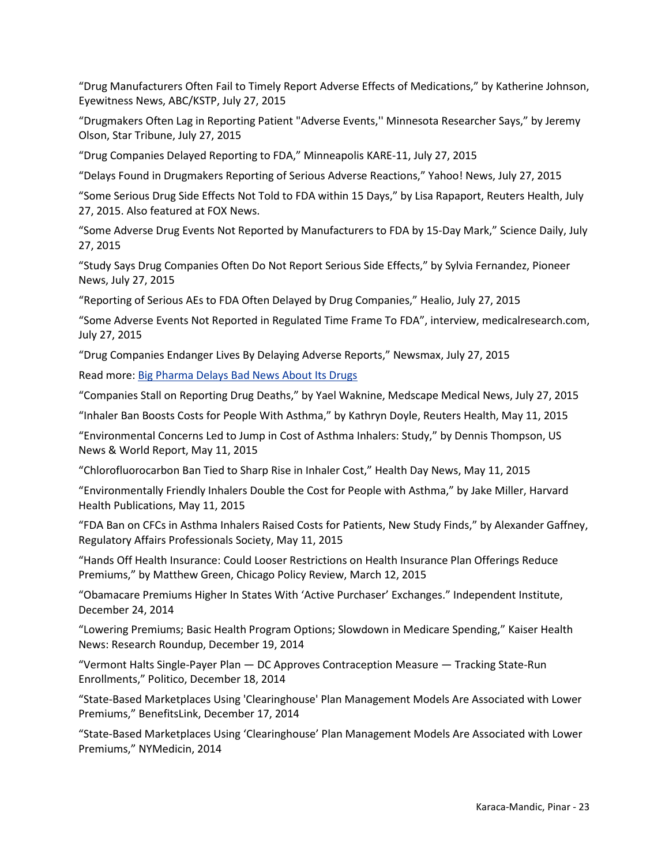"Drug Manufacturers Often Fail to Timely Report Adverse Effects of Medications," by Katherine Johnson, Eyewitness News, ABC/KSTP, July 27, 2015

"Drugmakers Often Lag in Reporting Patient "Adverse Events,'' Minnesota Researcher Says," by Jeremy Olson, Star Tribune, July 27, 2015

"Drug Companies Delayed Reporting to FDA," Minneapolis KARE-11, July 27, 2015

"Delays Found in Drugmakers Reporting of Serious Adverse Reactions," Yahoo! News, July 27, 2015

"Some Serious Drug Side Effects Not Told to FDA within 15 Days," by Lisa Rapaport, Reuters Health, July 27, 2015. Also featured at FOX News.

"Some Adverse Drug Events Not Reported by Manufacturers to FDA by 15-Day Mark," Science Daily, July 27, 2015

"Study Says Drug Companies Often Do Not Report Serious Side Effects," by Sylvia Fernandez, Pioneer News, July 27, 2015

"Reporting of Serious AEs to FDA Often Delayed by Drug Companies," Healio, July 27, 2015

"Some Adverse Events Not Reported in Regulated Time Frame To FDA", interview, medicalresearch.com, July 27, 2015

"Drug Companies Endanger Lives By Delaying Adverse Reports," Newsmax, July 27, 2015

Read more: Big Pharma [Delays Bad News About Its Drugs](http://www.newsmax.com/Health/Health-News/drug-companies-adverse-events/2015/07/27/id/659132/#ixzz46IiKr46E) 

"Companies Stall on Reporting Drug Deaths," by Yael Waknine, Medscape Medical News, July 27, 2015

"Inhaler Ban Boosts Costs for People With Asthma," by Kathryn Doyle, Reuters Health, May 11, 2015

"Environmental Concerns Led to Jump in Cost of Asthma Inhalers: Study," by Dennis Thompson, US News & World Report, May 11, 2015

"Chlorofluorocarbon Ban Tied to Sharp Rise in Inhaler Cost," Health Day News, May 11, 2015

"Environmentally Friendly Inhalers Double the Cost for People with Asthma," by Jake Miller, Harvard Health Publications, May 11, 2015

"FDA Ban on CFCs in Asthma Inhalers Raised Costs for Patients, New Study Finds," by Alexander Gaffney, Regulatory Affairs Professionals Society, May 11, 2015

"Hands Off Health Insurance: Could Looser Restrictions on Health Insurance Plan Offerings Reduce Premiums," by Matthew Green, Chicago Policy Review, March 12, 2015

"Obamacare Premiums Higher In States With 'Active Purchaser' Exchanges." Independent Institute, December 24, 2014

"Lowering Premiums; Basic Health Program Options; Slowdown in Medicare Spending," Kaiser Health News: Research Roundup, December 19, 2014

"Vermont Halts Single-Payer Plan — DC Approves Contraception Measure — Tracking State-Run Enrollments," Politico, December 18, 2014

"State-Based Marketplaces Using 'Clearinghouse' Plan Management Models Are Associated with Lower Premiums," BenefitsLink, December 17, 2014

"State-Based Marketplaces Using 'Clearinghouse' Plan Management Models Are Associated with Lower Premiums," NYMedicin, 2014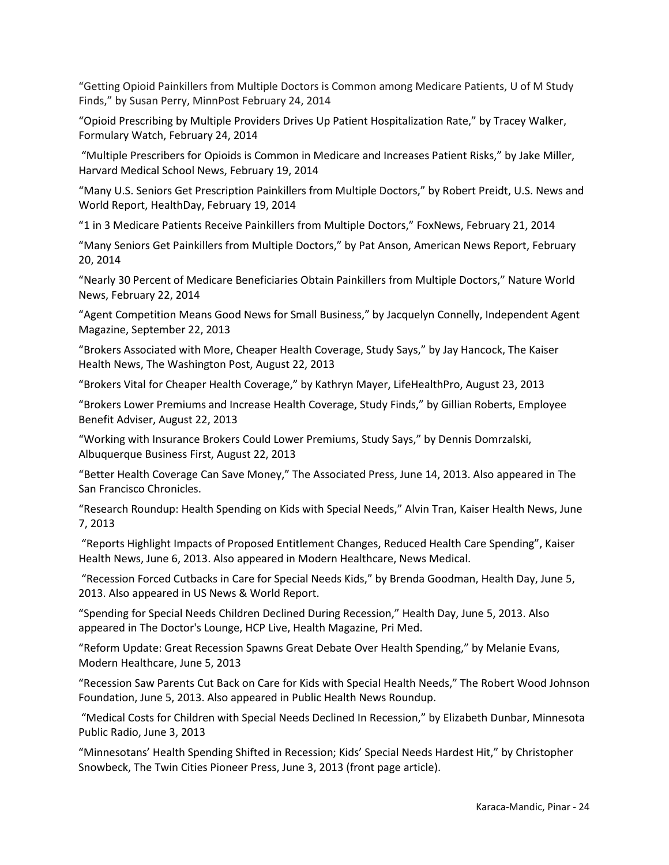"Getting Opioid Painkillers from Multiple Doctors is Common among Medicare Patients, U of M Study Finds," by Susan Perry, MinnPost February 24, 2014

"Opioid Prescribing by Multiple Providers Drives Up Patient Hospitalization Rate," by Tracey Walker, Formulary Watch, February 24, 2014

"Multiple Prescribers for Opioids is Common in Medicare and Increases Patient Risks," by Jake Miller, Harvard Medical School News, February 19, 2014

"Many U.S. Seniors Get Prescription Painkillers from Multiple Doctors," by Robert Preidt, U.S. News and World Report, HealthDay, February 19, 2014

"1 in 3 Medicare Patients Receive Painkillers from Multiple Doctors," FoxNews, February 21, 2014

"Many Seniors Get Painkillers from Multiple Doctors," by Pat Anson, American News Report, February 20, 2014

"Nearly 30 Percent of Medicare Beneficiaries Obtain Painkillers from Multiple Doctors," Nature World News, February 22, 2014

"Agent Competition Means Good News for Small Business," by Jacquelyn Connelly, Independent Agent Magazine, September 22, 2013

"Brokers Associated with More, Cheaper Health Coverage, Study Says," by Jay Hancock, The Kaiser Health News, The Washington Post, August 22, 2013

"Brokers Vital for Cheaper Health Coverage," by Kathryn Mayer, LifeHealthPro, August 23, 2013

"Brokers Lower Premiums and Increase Health Coverage, Study Finds," by Gillian Roberts, Employee Benefit Adviser, August 22, 2013

"Working with Insurance Brokers Could Lower Premiums, Study Says," by Dennis Domrzalski, Albuquerque Business First, August 22, 2013

"Better Health Coverage Can Save Money," The Associated Press, June 14, 2013. Also appeared in The San Francisco Chronicles.

"Research Roundup: Health Spending on Kids with Special Needs," Alvin Tran, Kaiser Health News, June 7, 2013

"Reports Highlight Impacts of Proposed Entitlement Changes, Reduced Health Care Spending", Kaiser Health News, June 6, 2013. Also appeared in Modern Healthcare, News Medical.

"Recession Forced Cutbacks in Care for Special Needs Kids," by Brenda Goodman, Health Day, June 5, 2013. Also appeared in US News & World Report.

"Spending for Special Needs Children Declined During Recession," Health Day, June 5, 2013. Also appeared in The Doctor's Lounge, HCP Live, Health Magazine, Pri Med.

"Reform Update: Great Recession Spawns Great Debate Over Health Spending," by Melanie Evans, Modern Healthcare, June 5, 2013

"Recession Saw Parents Cut Back on Care for Kids with Special Health Needs," The Robert Wood Johnson Foundation, June 5, 2013. Also appeared in Public Health News Roundup.

"Medical Costs for Children with Special Needs Declined In Recession," by Elizabeth Dunbar, Minnesota Public Radio, June 3, 2013

"Minnesotans' Health Spending Shifted in Recession; Kids' Special Needs Hardest Hit," by Christopher Snowbeck, The Twin Cities Pioneer Press, June 3, 2013 (front page article).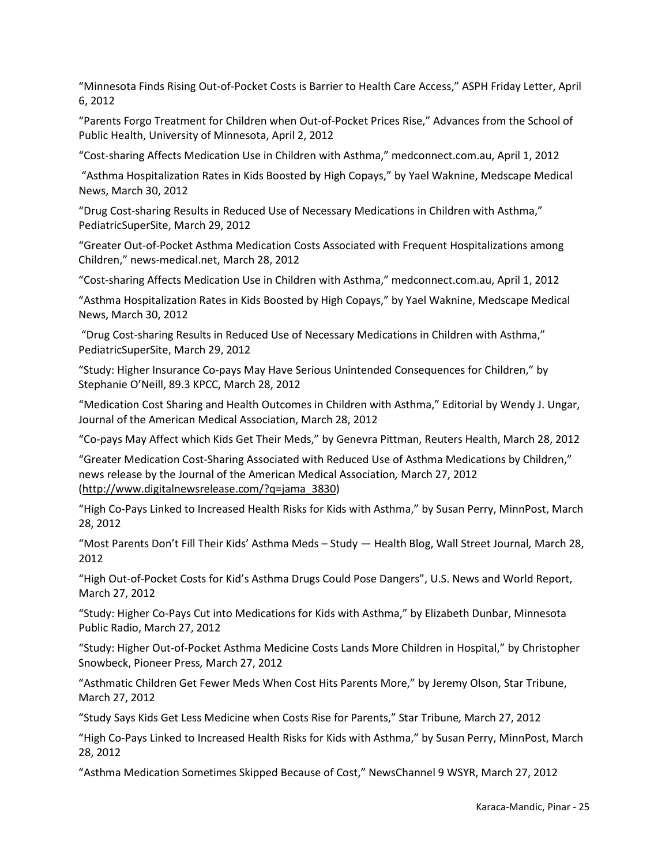"Minnesota Finds Rising Out-of-Pocket Costs is Barrier to Health Care Access," ASPH Friday Letter, April 6, 2012

"Parents Forgo Treatment for Children when Out-of-Pocket Prices Rise," Advances from the School of Public Health, University of Minnesota, April 2, 2012

"Cost-sharing Affects Medication Use in Children with Asthma," medconnect.com.au, April 1, 2012

"Asthma Hospitalization Rates in Kids Boosted by High Copays," by Yael Waknine, Medscape Medical News, March 30, 2012

"Drug Cost-sharing Results in Reduced Use of Necessary Medications in Children with Asthma," PediatricSuperSite, March 29, 2012

"Greater Out-of-Pocket Asthma Medication Costs Associated with Frequent Hospitalizations among Children," news-medical.net, March 28, 2012

"Cost-sharing Affects Medication Use in Children with Asthma," medconnect.com.au, April 1, 2012

"Asthma Hospitalization Rates in Kids Boosted by High Copays," by Yael Waknine, Medscape Medical News, March 30, 2012

 "Drug Cost-sharing Results in Reduced Use of Necessary Medications in Children with Asthma," PediatricSuperSite, March 29, 2012

"Study: Higher Insurance Co-pays May Have Serious Unintended Consequences for Children," by Stephanie O'Neill, 89.3 KPCC, March 28, 2012

"Medication Cost Sharing and Health Outcomes in Children with Asthma," Editorial by Wendy J. Ungar, Journal of the American Medical Association, March 28, 2012

"Co-pays May Affect which Kids Get Their Meds," by Genevra Pittman, Reuters Health, March 28, 2012

"Greater Medication Cost-Sharing Associated with Reduced Use of Asthma Medications by Children," news release by the Journal of the American Medical Association*,* March 27, 2012 [\(http://www.digitalnewsrelease.com/?q=jama\\_3830\)](http://www.digitalnewsrelease.com/?q=jama_3830)

"High Co-Pays Linked to Increased Health Risks for Kids with Asthma," by Susan Perry, MinnPost, March 28, 2012

"Most Parents Don't Fill Their Kids' Asthma Meds – Study ― Health Blog, Wall Street Journal*,* March 28, 2012

"High Out-of-Pocket Costs for Kid's Asthma Drugs Could Pose Dangers", U.S. News and World Report, March 27, 2012

"Study: Higher Co-Pays Cut into Medications for Kids with Asthma," by Elizabeth Dunbar, Minnesota Public Radio, March 27, 2012

"Study: Higher Out-of-Pocket Asthma Medicine Costs Lands More Children in Hospital," by Christopher Snowbeck, Pioneer Press*,* March 27, 2012

"Asthmatic Children Get Fewer Meds When Cost Hits Parents More," by Jeremy Olson, Star Tribune, March 27, 2012

"Study Says Kids Get Less Medicine when Costs Rise for Parents," Star Tribune*,* March 27, 2012

"High Co-Pays Linked to Increased Health Risks for Kids with Asthma," by Susan Perry, MinnPost, March 28, 2012

"Asthma Medication Sometimes Skipped Because of Cost," NewsChannel 9 WSYR, March 27, 2012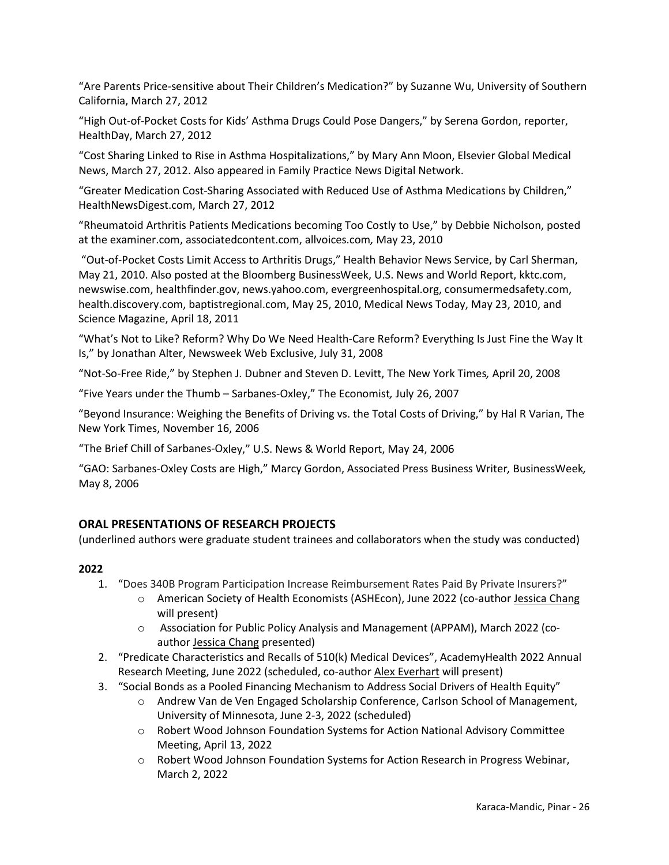"Are Parents Price-sensitive about Their Children's Medication?" by Suzanne Wu, University of Southern California, March 27, 2012

"High Out-of-Pocket Costs for Kids' Asthma Drugs Could Pose Dangers," by Serena Gordon, reporter, HealthDay, March 27, 2012

"Cost Sharing Linked to Rise in Asthma Hospitalizations," by Mary Ann Moon, Elsevier Global Medical News, March 27, 2012. Also appeared in Family Practice News Digital Network.

"Greater Medication Cost-Sharing Associated with Reduced Use of Asthma Medications by Children," HealthNewsDigest.com, March 27, 2012

"Rheumatoid Arthritis Patients Medications becoming Too Costly to Use," by Debbie Nicholson, posted at the examiner.com, associatedcontent.com, allvoices.com*,* May 23, 2010

"Out-of-Pocket Costs Limit Access to Arthritis Drugs," Health Behavior News Service, by Carl Sherman, May 21, 2010. Also posted at the Bloomberg BusinessWeek, U.S. News and World Report, kktc.com, newswise.com, healthfinder.gov, news.yahoo.com, evergreenhospital.org, consumermedsafety.com, health.discovery.com, baptistregional.com, May 25, 2010, Medical News Today, May 23, 2010, and Science Magazine, April 18, 2011

"What's Not to Like? Reform? Why Do We Need Health-Care Reform? Everything Is Just Fine the Way It Is," by Jonathan Alter, Newsweek Web Exclusive, July 31, 2008

"Not-So-Free Ride," by Stephen J. Dubner and Steven D. Levitt, The New York Times*,* April 20, 2008

"Five Years under the Thumb – Sarbanes-Oxley," The Economist*,* July 26, 2007

"Beyond Insurance: Weighing the Benefits of Driving vs. the Total Costs of Driving," by Hal R Varian, The New York Times, November 16, 2006

"The Brief Chill of Sarbanes-Oxley," U.S. News & World Report, May 24, 2006

"GAO: Sarbanes-Oxley Costs are High," Marcy Gordon, Associated Press Business Writer*,* BusinessWeek*,*  May 8, 2006

# **ORAL PRESENTATIONS OF RESEARCH PROJECTS**

(underlined authors were graduate student trainees and collaborators when the study was conducted)

- 1. "Does 340B Program Participation Increase Reimbursement Rates Paid By Private Insurers?"
	- o American Society of Health Economists (ASHEcon), June 2022 (co-author Jessica Chang will present)
	- o Association for Public Policy Analysis and Management (APPAM), March 2022 (coauthor Jessica Chang presented)
- 2. "Predicate Characteristics and Recalls of 510(k) Medical Devices", AcademyHealth 2022 Annual Research Meeting, June 2022 (scheduled, co-author Alex Everhart will present)
- 3. "Social Bonds as a Pooled Financing Mechanism to Address Social Drivers of Health Equity"
	- o Andrew Van de Ven Engaged Scholarship Conference, Carlson School of Management, University of Minnesota, June 2-3, 2022 (scheduled)
	- o Robert Wood Johnson Foundation Systems for Action National Advisory Committee Meeting, April 13, 2022
	- o Robert Wood Johnson Foundation Systems for Action Research in Progress Webinar, March 2, 2022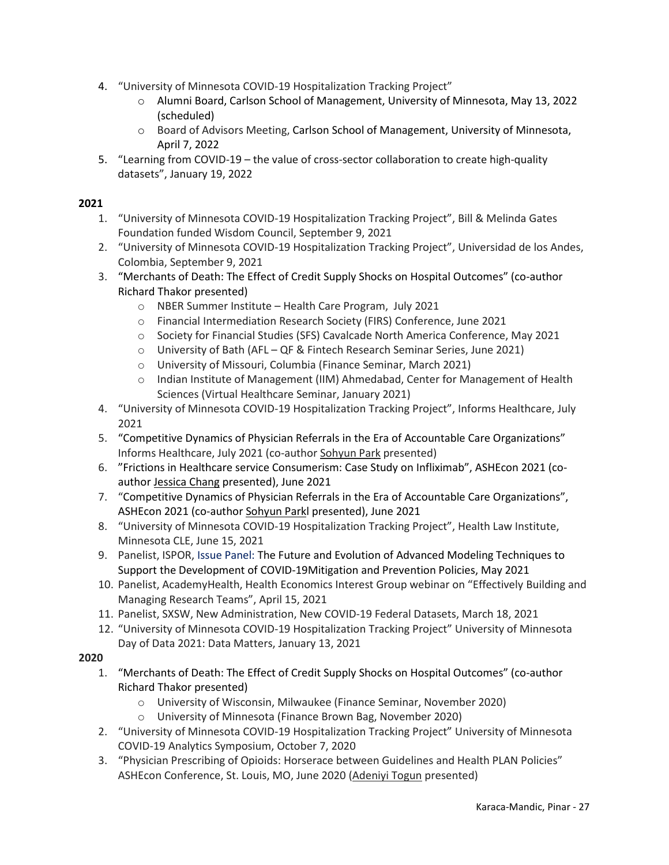- 4. "University of Minnesota COVID-19 Hospitalization Tracking Project"
	- o Alumni Board, Carlson School of Management, University of Minnesota, May 13, 2022 (scheduled)
	- o Board of Advisors Meeting, Carlson School of Management, University of Minnesota, April 7, 2022
- 5. "Learning from COVID-19 the value of cross-sector collaboration to create high-quality datasets", January 19, 2022

- 1. "University of Minnesota COVID-19 Hospitalization Tracking Project", Bill & Melinda Gates Foundation funded Wisdom Council, September 9, 2021
- 2. "University of Minnesota COVID-19 Hospitalization Tracking Project", Universidad de los Andes, Colombia, September 9, 2021
- 3. "Merchants of Death: The Effect of Credit Supply Shocks on Hospital Outcomes" (co-author Richard Thakor presented)
	- o NBER Summer Institute Health Care Program, July 2021
	- o Financial Intermediation Research Society (FIRS) Conference, June 2021
	- o Society for Financial Studies (SFS) Cavalcade North America Conference, May 2021
	- o University of Bath (AFL QF & Fintech Research Seminar Series, June 2021)
	- o University of Missouri, Columbia (Finance Seminar, March 2021)
	- $\circ$  Indian Institute of Management (IIM) Ahmedabad, Center for Management of Health Sciences (Virtual Healthcare Seminar, January 2021)
- 4. "University of Minnesota COVID-19 Hospitalization Tracking Project", Informs Healthcare, July 2021
- 5. "Competitive Dynamics of Physician Referrals in the Era of Accountable Care Organizations" Informs Healthcare, July 2021 (co-author Sohyun Park presented)
- 6. "Frictions in Healthcare service Consumerism: Case Study on Infliximab", ASHEcon 2021 (coauthor Jessica Chang presented), June 2021
- 7. "Competitive Dynamics of Physician Referrals in the Era of Accountable Care Organizations", ASHEcon 2021 (co-author Sohyun Parkl presented), June 2021
- 8. "University of Minnesota COVID-19 Hospitalization Tracking Project", Health Law Institute, Minnesota CLE, June 15, 2021
- 9. Panelist, ISPOR, Issue Panel: The Future and Evolution of Advanced Modeling Techniques to Support the Development of COVID-19Mitigation and Prevention Policies, May 2021
- 10. Panelist, AcademyHealth, Health Economics Interest Group webinar on "Effectively Building and Managing Research Teams", April 15, 2021
- 11. Panelist, SXSW, New Administration, New COVID-19 Federal Datasets, March 18, 2021
- 12. "University of Minnesota COVID-19 Hospitalization Tracking Project" University of Minnesota Day of Data 2021: Data Matters, January 13, 2021

- 1. "Merchants of Death: The Effect of Credit Supply Shocks on Hospital Outcomes" (co-author Richard Thakor presented)
	- o University of Wisconsin, Milwaukee (Finance Seminar, November 2020)
	- o University of Minnesota (Finance Brown Bag, November 2020)
- 2. "University of Minnesota COVID-19 Hospitalization Tracking Project" University of Minnesota COVID-19 Analytics Symposium, October 7, 2020
- 3. "Physician Prescribing of Opioids: Horserace between Guidelines and Health PLAN Policies" ASHEcon Conference, St. Louis, MO, June 2020 (Adeniyi Togun presented)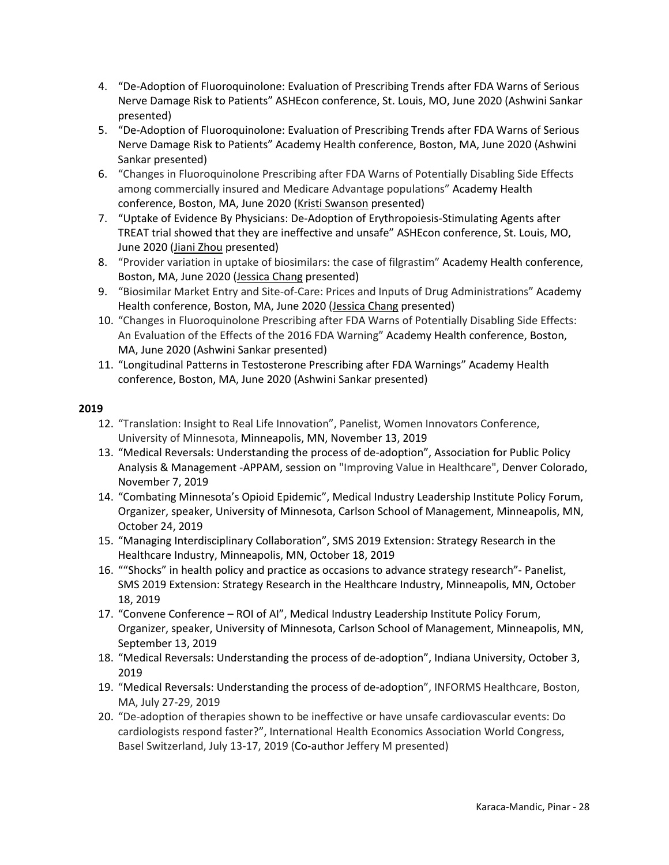- 4. "De-Adoption of Fluoroquinolone: Evaluation of Prescribing Trends after FDA Warns of Serious Nerve Damage Risk to Patients" ASHEcon conference, St. Louis, MO, June 2020 (Ashwini Sankar presented)
- 5. "De-Adoption of Fluoroquinolone: Evaluation of Prescribing Trends after FDA Warns of Serious Nerve Damage Risk to Patients" Academy Health conference, Boston, MA, June 2020 (Ashwini Sankar presented)
- 6. "Changes in Fluoroquinolone Prescribing after FDA Warns of Potentially Disabling Side Effects among commercially insured and Medicare Advantage populations" Academy Health conference, Boston, MA, June 2020 (Kristi Swanson presented)
- 7. "Uptake of Evidence By Physicians: De-Adoption of Erythropoiesis-Stimulating Agents after TREAT trial showed that they are ineffective and unsafe" ASHEcon conference, St. Louis, MO, June 2020 (Jiani Zhou presented)
- 8. "Provider variation in uptake of biosimilars: the case of filgrastim" Academy Health conference, Boston, MA, June 2020 (Jessica Chang presented)
- 9. "Biosimilar Market Entry and Site-of-Care: Prices and Inputs of Drug Administrations" Academy Health conference, Boston, MA, June 2020 (Jessica Chang presented)
- 10. "Changes in Fluoroquinolone Prescribing after FDA Warns of Potentially Disabling Side Effects: An Evaluation of the Effects of the 2016 FDA Warning" Academy Health conference, Boston, MA, June 2020 (Ashwini Sankar presented)
- 11. "Longitudinal Patterns in Testosterone Prescribing after FDA Warnings" Academy Health conference, Boston, MA, June 2020 (Ashwini Sankar presented)

- 12. "Translation: Insight to Real Life Innovation", Panelist, Women Innovators Conference, University of Minnesota, Minneapolis, MN, November 13, 2019
- 13. "Medical Reversals: Understanding the process of de-adoption", Association for Public Policy Analysis & Management -APPAM, session on "Improving Value in Healthcare", Denver Colorado, November 7, 2019
- 14. "Combating Minnesota's Opioid Epidemic", Medical Industry Leadership Institute Policy Forum, Organizer, speaker, University of Minnesota, Carlson School of Management, Minneapolis, MN, October 24, 2019
- 15. "Managing Interdisciplinary Collaboration", SMS 2019 Extension: Strategy Research in the Healthcare Industry, Minneapolis, MN, October 18, 2019
- 16. ""Shocks" in health policy and practice as occasions to advance strategy research"- Panelist, SMS 2019 Extension: Strategy Research in the Healthcare Industry, Minneapolis, MN, October 18, 2019
- 17. "Convene Conference ROI of AI", Medical Industry Leadership Institute Policy Forum, Organizer, speaker, University of Minnesota, Carlson School of Management, Minneapolis, MN, September 13, 2019
- 18. "Medical Reversals: Understanding the process of de-adoption", Indiana University, October 3, 2019
- 19. "Medical Reversals: Understanding the process of de-adoption", INFORMS Healthcare, Boston, MA, July 27-29, 2019
- 20. "De-adoption of therapies shown to be ineffective or have unsafe cardiovascular events: Do cardiologists respond faster?", International Health Economics Association World Congress, Basel Switzerland, July 13-17, 2019 (Co-author Jeffery M presented)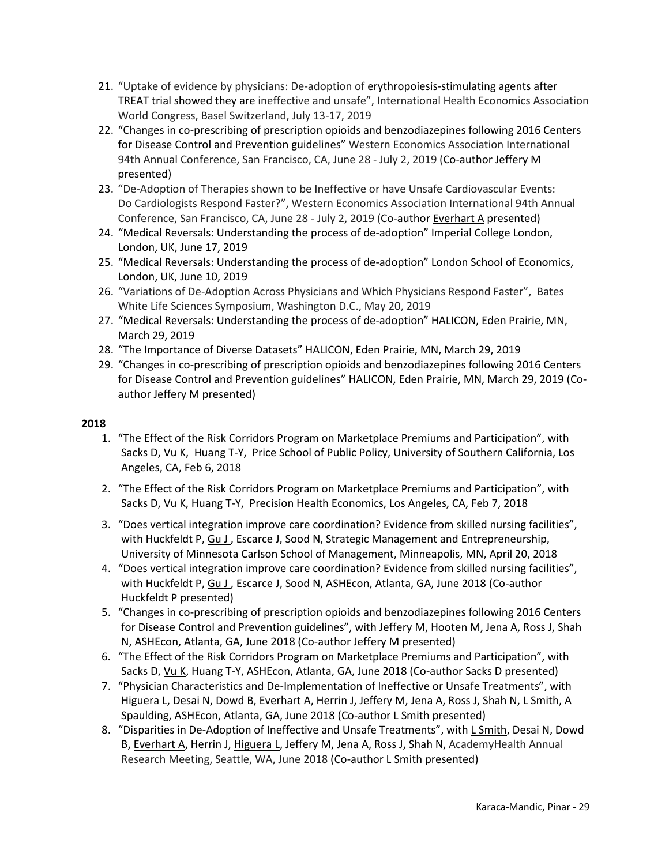- 21. "Uptake of evidence by physicians: De-adoption of erythropoiesis-stimulating agents after TREAT trial showed they are ineffective and unsafe", International Health Economics Association World Congress, Basel Switzerland, July 13-17, 2019
- 22. "Changes in co-prescribing of prescription opioids and benzodiazepines following 2016 Centers for Disease Control and Prevention guidelines" Western Economics Association International 94th Annual Conference, San Francisco, CA, June 28 - July 2, 2019 (Co-author Jeffery M presented)
- 23. "De-Adoption of Therapies shown to be Ineffective or have Unsafe Cardiovascular Events: Do Cardiologists Respond Faster?", Western Economics Association International 94th Annual Conference, San Francisco, CA, June 28 - July 2, 2019 (Co-author Everhart A presented)
- 24. "Medical Reversals: Understanding the process of de-adoption" Imperial College London, London, UK, June 17, 2019
- 25. "Medical Reversals: Understanding the process of de-adoption" London School of Economics, London, UK, June 10, 2019
- 26. "Variations of De-Adoption Across Physicians and Which Physicians Respond Faster", Bates White Life Sciences Symposium, Washington D.C., May 20, 2019
- 27. "Medical Reversals: Understanding the process of de-adoption" HALICON, Eden Prairie, MN, March 29, 2019
- 28. "The Importance of Diverse Datasets" HALICON, Eden Prairie, MN, March 29, 2019
- 29. "Changes in co-prescribing of prescription opioids and benzodiazepines following 2016 Centers for Disease Control and Prevention guidelines" HALICON, Eden Prairie, MN, March 29, 2019 (Coauthor Jeffery M presented)

- 1. "The Effect of the Risk Corridors Program on Marketplace Premiums and Participation", with Sacks D, Vu K, Huang T-Y, Price School of Public Policy, University of Southern California, Los Angeles, CA, Feb 6, 2018
- 2. "The Effect of the Risk Corridors Program on Marketplace Premiums and Participation", with Sacks D, Vu K, Huang T-Y, Precision Health Economics, Los Angeles, CA, Feb 7, 2018
- 3. "Does vertical integration improve care coordination? Evidence from skilled nursing facilities", with Huckfeldt P, Gu J, Escarce J, Sood N, Strategic Management and Entrepreneurship, University of Minnesota Carlson School of Management, Minneapolis, MN, April 20, 2018
- 4. "Does vertical integration improve care coordination? Evidence from skilled nursing facilities", with Huckfeldt P, Gu J , Escarce J, Sood N, ASHEcon, Atlanta, GA, June 2018 (Co-author Huckfeldt P presented)
- 5. "Changes in co-prescribing of prescription opioids and benzodiazepines following 2016 Centers for Disease Control and Prevention guidelines", with Jeffery M, Hooten M, Jena A, Ross J, Shah N, ASHEcon, Atlanta, GA, June 2018 (Co-author Jeffery M presented)
- 6. "The Effect of the Risk Corridors Program on Marketplace Premiums and Participation", with Sacks D, Vu K, Huang T-Y, ASHEcon, Atlanta, GA, June 2018 (Co-author Sacks D presented)
- 7. "Physician Characteristics and De-Implementation of Ineffective or Unsafe Treatments", with Higuera L, Desai N, Dowd B, Everhart A, Herrin J, Jeffery M, Jena A, Ross J, Shah N, L Smith, A Spaulding, ASHEcon, Atlanta, GA, June 2018 (Co-author L Smith presented)
- 8. "Disparities in De-Adoption of Ineffective and Unsafe Treatments", with L Smith, Desai N, Dowd B, Everhart A, Herrin J, Higuera L, Jeffery M, Jena A, Ross J, Shah N, AcademyHealth Annual Research Meeting, Seattle, WA, June 2018 (Co-author L Smith presented)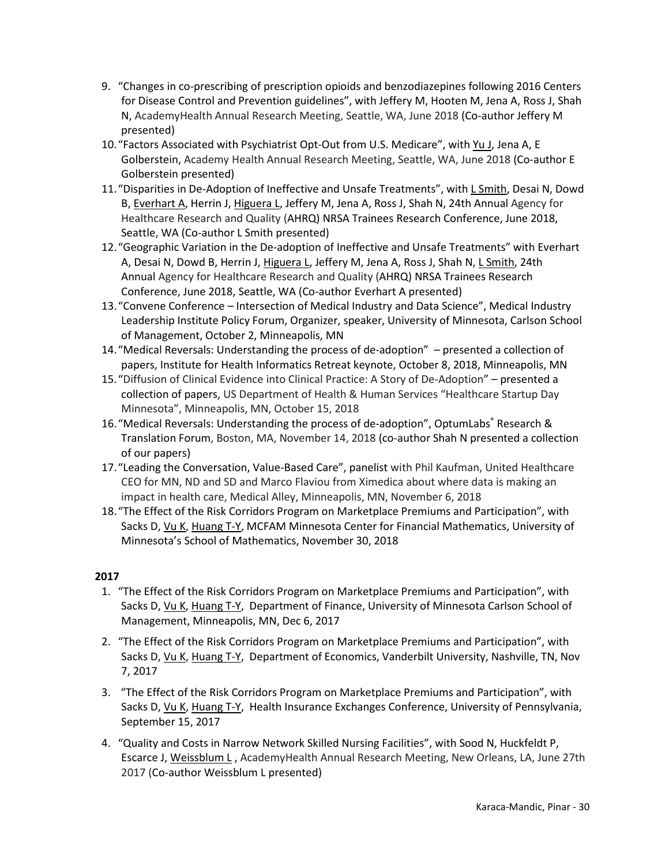- 9. "Changes in co-prescribing of prescription opioids and benzodiazepines following 2016 Centers for Disease Control and Prevention guidelines", with Jeffery M, Hooten M, Jena A, Ross J, Shah N, AcademyHealth Annual Research Meeting, Seattle, WA, June 2018 (Co-author Jeffery M presented)
- 10."Factors Associated with Psychiatrist Opt-Out from U.S. Medicare", with Yu J, Jena A, E Golberstein, Academy Health Annual Research Meeting, Seattle, WA, June 2018 (Co-author E Golberstein presented)
- 11."Disparities in De-Adoption of Ineffective and Unsafe Treatments", with L Smith, Desai N, Dowd B, Everhart A, Herrin J, Higuera L, Jeffery M, Jena A, Ross J, Shah N, 24th Annual Agency for Healthcare Research and Quality (AHRQ) NRSA Trainees Research Conference, June 2018, Seattle, WA (Co-author L Smith presented)
- 12."Geographic Variation in the De-adoption of Ineffective and Unsafe Treatments" with Everhart A, Desai N, Dowd B, Herrin J, Higuera L, Jeffery M, Jena A, Ross J, Shah N, L Smith, 24th Annual Agency for Healthcare Research and Quality (AHRQ) NRSA Trainees Research Conference, June 2018, Seattle, WA (Co-author Everhart A presented)
- 13."Convene Conference Intersection of Medical Industry and Data Science", Medical Industry Leadership Institute Policy Forum, Organizer, speaker, University of Minnesota, Carlson School of Management, October 2, Minneapolis, MN
- 14."Medical Reversals: Understanding the process of de-adoption" presented a collection of papers, Institute for Health Informatics Retreat keynote, October 8, 2018, Minneapolis, MN
- 15."Diffusion of Clinical Evidence into Clinical Practice: A Story of De-Adoption" presented a collection of papers, US Department of Health & Human Services "Healthcare Startup Day Minnesota", Minneapolis, MN, October 15, 2018
- 16. "Medical Reversals: Understanding the process of de-adoption", OptumLabs® Research & Translation Forum, Boston, MA, November 14, 2018 (co-author Shah N presented a collection of our papers)
- 17."Leading the Conversation, Value-Based Care", panelist with Phil Kaufman, United Healthcare CEO for MN, ND and SD and Marco Flaviou from Ximedica about where data is making an impact in health care, Medical Alley, Minneapolis, MN, November 6, 2018
- 18."The Effect of the Risk Corridors Program on Marketplace Premiums and Participation", with Sacks D, Vu K, Huang T-Y, MCFAM Minnesota Center for Financial Mathematics, University of Minnesota's School of Mathematics, November 30, 2018

- 1. "The Effect of the Risk Corridors Program on Marketplace Premiums and Participation", with Sacks D, Vu K, Huang T-Y, Department of Finance, University of Minnesota Carlson School of Management, Minneapolis, MN, Dec 6, 2017
- 2. "The Effect of the Risk Corridors Program on Marketplace Premiums and Participation", with Sacks D, Vu K, Huang T-Y, Department of Economics, Vanderbilt University, Nashville, TN, Nov 7, 2017
- 3. "The Effect of the Risk Corridors Program on Marketplace Premiums and Participation", with Sacks D, Vu K, Huang T-Y, Health Insurance Exchanges Conference, University of Pennsylvania, September 15, 2017
- 4. "Quality and Costs in Narrow Network Skilled Nursing Facilities", with Sood N, Huckfeldt P, Escarce J, Weissblum L , AcademyHealth Annual Research Meeting, New Orleans, LA, June 27th 2017 (Co-author Weissblum L presented)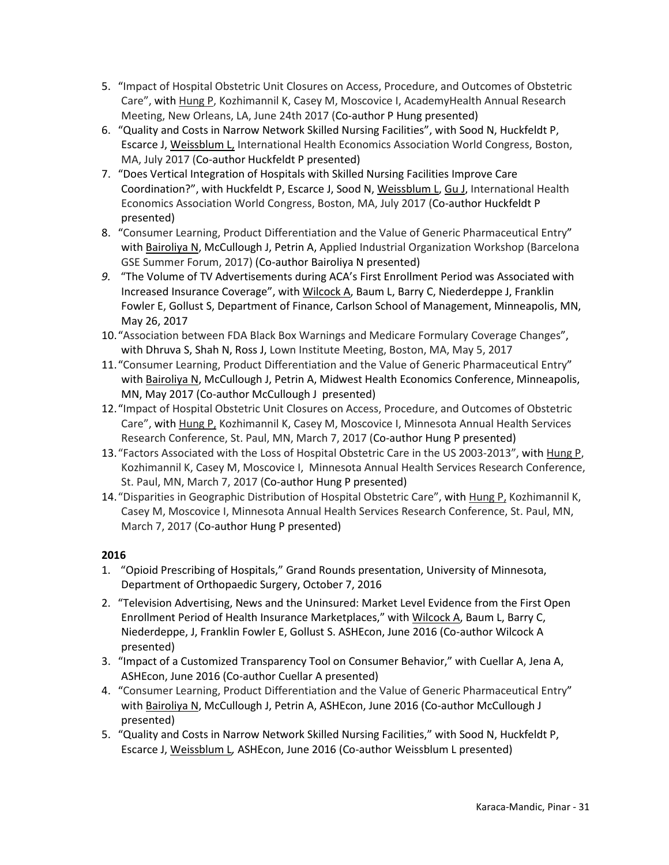- 5. "Impact of Hospital Obstetric Unit Closures on Access, Procedure, and Outcomes of Obstetric Care", with Hung P, Kozhimannil K, Casey M, Moscovice I, AcademyHealth Annual Research Meeting, New Orleans, LA, June 24th 2017 (Co-author P Hung presented)
- 6. "Quality and Costs in Narrow Network Skilled Nursing Facilities", with Sood N, Huckfeldt P, Escarce J, Weissblum L, International Health Economics Association World Congress, Boston, MA, July 2017 (Co-author Huckfeldt P presented)
- 7. "Does Vertical Integration of Hospitals with Skilled Nursing Facilities Improve Care Coordination?", with Huckfeldt P, Escarce J, Sood N, Weissblum L, Gu J, International Health Economics Association World Congress, Boston, MA, July 2017 (Co-author Huckfeldt P presented)
- 8. "Consumer Learning, Product Differentiation and the Value of Generic Pharmaceutical Entry" with Bairoliya N, McCullough J, Petrin A, Applied Industrial Organization Workshop (Barcelona GSE Summer Forum, 2017) (Co-author Bairoliya N presented)
- *9.* "The Volume of TV Advertisements during ACA's First Enrollment Period was Associated with Increased Insurance Coverage", with Wilcock A, Baum L, Barry C, Niederdeppe J, Franklin Fowler E, Gollust S, Department of Finance, Carlson School of Management, Minneapolis, MN, May 26, 2017
- 10."Association between FDA Black Box Warnings and Medicare Formulary Coverage Changes", with Dhruva S, Shah N, Ross J, Lown Institute Meeting, Boston, MA, May 5, 2017
- 11."Consumer Learning, Product Differentiation and the Value of Generic Pharmaceutical Entry" with Bairoliya N, McCullough J, Petrin A, Midwest Health Economics Conference, Minneapolis, MN, May 2017 (Co-author McCullough J presented)
- 12."Impact of Hospital Obstetric Unit Closures on Access, Procedure, and Outcomes of Obstetric Care", with Hung P, Kozhimannil K, Casey M, Moscovice I, Minnesota Annual Health Services Research Conference, St. Paul, MN, March 7, 2017 (Co-author Hung P presented)
- 13."Factors Associated with the Loss of Hospital Obstetric Care in the US 2003-2013", with Hung P, Kozhimannil K, Casey M, Moscovice I, Minnesota Annual Health Services Research Conference, St. Paul, MN, March 7, 2017 (Co-author Hung P presented)
- 14."Disparities in Geographic Distribution of Hospital Obstetric Care", with Hung P, Kozhimannil K, Casey M, Moscovice I, Minnesota Annual Health Services Research Conference, St. Paul, MN, March 7, 2017 (Co-author Hung P presented)

- 1. "Opioid Prescribing of Hospitals," Grand Rounds presentation, University of Minnesota, Department of Orthopaedic Surgery, October 7, 2016
- 2. "Television Advertising, News and the Uninsured: Market Level Evidence from the First Open Enrollment Period of Health Insurance Marketplaces," with Wilcock A, Baum L, Barry C, Niederdeppe, J, Franklin Fowler E, Gollust S. ASHEcon, June 2016 (Co-author Wilcock A presented)
- 3. "Impact of a Customized Transparency Tool on Consumer Behavior," with Cuellar A, Jena A, ASHEcon, June 2016 (Co-author Cuellar A presented)
- 4. "Consumer Learning, Product Differentiation and the Value of Generic Pharmaceutical Entry" with Bairoliya N, McCullough J, Petrin A, ASHEcon, June 2016 (Co-author McCullough J presented)
- 5. "Quality and Costs in Narrow Network Skilled Nursing Facilities," with Sood N, Huckfeldt P, Escarce J, Weissblum L*,* ASHEcon, June 2016 (Co-author Weissblum L presented)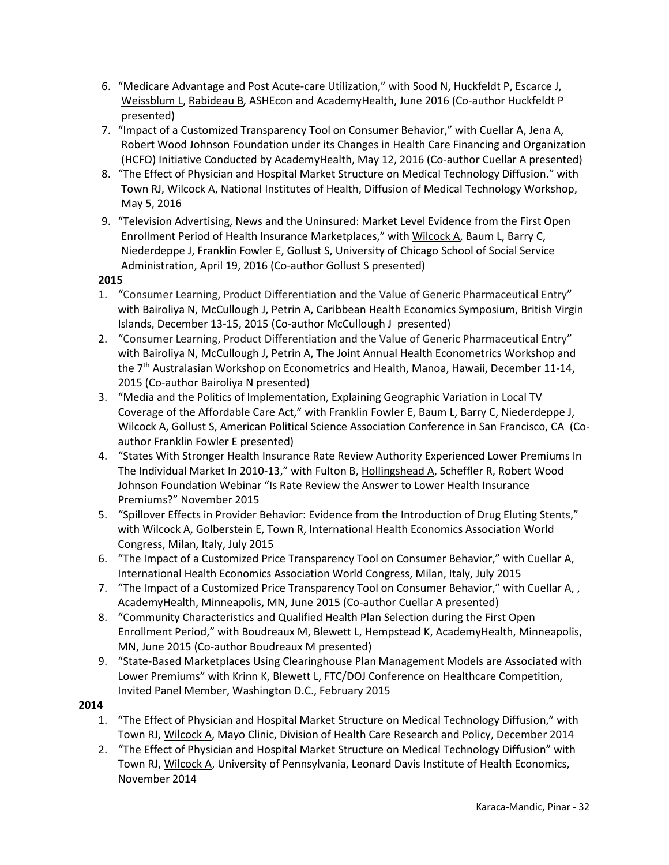- 6. "Medicare Advantage and Post Acute-care Utilization," with Sood N, Huckfeldt P, Escarce J, Weissblum L, Rabideau B*,* ASHEcon and AcademyHealth, June 2016 (Co-author Huckfeldt P presented)
- 7. "Impact of a Customized Transparency Tool on Consumer Behavior," with Cuellar A, Jena A, Robert Wood Johnson Foundation under its Changes in Health Care Financing and Organization (HCFO) Initiative Conducted by AcademyHealth, May 12, 2016 (Co-author Cuellar A presented)
- 8. "The Effect of Physician and Hospital Market Structure on Medical Technology Diffusion." with Town RJ, Wilcock A, National Institutes of Health, Diffusion of Medical Technology Workshop, May 5, 2016
- 9. "Television Advertising, News and the Uninsured: Market Level Evidence from the First Open Enrollment Period of Health Insurance Marketplaces," with Wilcock A, Baum L, Barry C, Niederdeppe J, Franklin Fowler E, Gollust S, University of Chicago School of Social Service Administration, April 19, 2016 (Co-author Gollust S presented)

- 1. "Consumer Learning, Product Differentiation and the Value of Generic Pharmaceutical Entry" with Bairoliya N, McCullough J, Petrin A, Caribbean Health Economics Symposium, British Virgin Islands, December 13-15, 2015 (Co-author McCullough J presented)
- 2. "Consumer Learning, Product Differentiation and the Value of Generic Pharmaceutical Entry" with Bairoliya N, McCullough J, Petrin A, The Joint Annual Health Econometrics Workshop and the 7<sup>th</sup> Australasian Workshop on Econometrics and Health, Manoa, Hawaii, December 11-14, 2015 (Co-author Bairoliya N presented)
- 3. "Media and the Politics of Implementation, Explaining Geographic Variation in Local TV Coverage of the Affordable Care Act," with Franklin Fowler E, Baum L, Barry C, Niederdeppe J, Wilcock A, Gollust S, American Political Science Association Conference in San Francisco, CA (Coauthor Franklin Fowler E presented)
- 4. "States With Stronger Health Insurance Rate Review Authority Experienced Lower Premiums In The Individual Market In 2010-13," with Fulton B, Hollingshead A, Scheffler R, Robert Wood Johnson Foundation Webinar "Is Rate Review the Answer to Lower Health Insurance Premiums?" November 2015
- 5. "Spillover Effects in Provider Behavior: Evidence from the Introduction of Drug Eluting Stents," with Wilcock A, Golberstein E, Town R, International Health Economics Association World Congress, Milan, Italy, July 2015
- 6. "The Impact of a Customized Price Transparency Tool on Consumer Behavior," with Cuellar A, International Health Economics Association World Congress, Milan, Italy, July 2015
- 7. "The Impact of a Customized Price Transparency Tool on Consumer Behavior," with Cuellar A, , AcademyHealth, Minneapolis, MN, June 2015 (Co-author Cuellar A presented)
- 8. "Community Characteristics and Qualified Health Plan Selection during the First Open Enrollment Period," with Boudreaux M, Blewett L, Hempstead K, AcademyHealth, Minneapolis, MN, June 2015 (Co-author Boudreaux M presented)
- 9. "State-Based Marketplaces Using Clearinghouse Plan Management Models are Associated with Lower Premiums" with Krinn K, Blewett L, FTC/DOJ Conference on Healthcare Competition, Invited Panel Member, Washington D.C., February 2015

- 1. "The Effect of Physician and Hospital Market Structure on Medical Technology Diffusion," with Town RJ, Wilcock A, Mayo Clinic, Division of Health Care Research and Policy, December 2014
- 2. "The Effect of Physician and Hospital Market Structure on Medical Technology Diffusion" with Town RJ, Wilcock A, University of Pennsylvania, Leonard Davis Institute of Health Economics, November 2014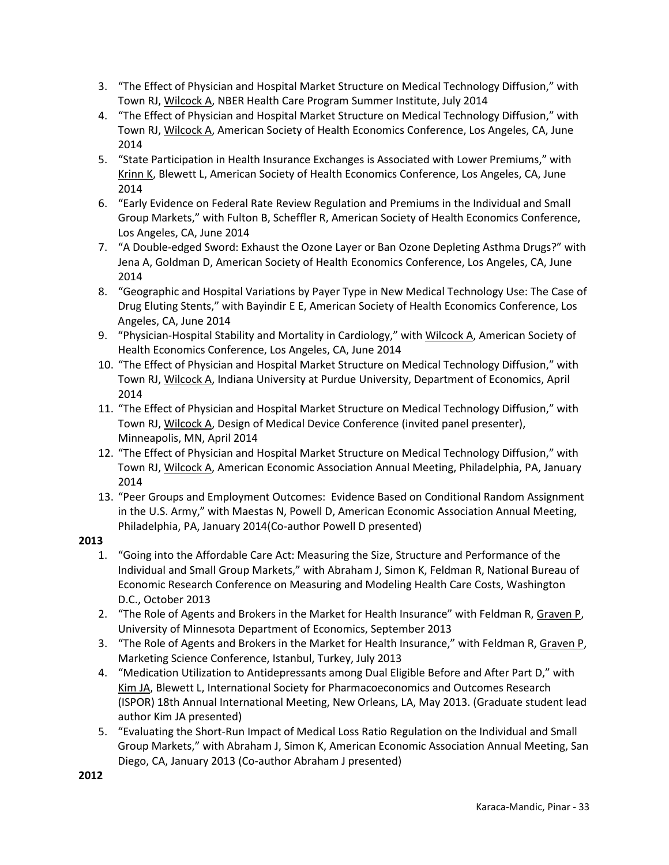- 3. "The Effect of Physician and Hospital Market Structure on Medical Technology Diffusion," with Town RJ, Wilcock A, NBER Health Care Program Summer Institute, July 2014
- 4. "The Effect of Physician and Hospital Market Structure on Medical Technology Diffusion," with Town RJ, Wilcock A, American Society of Health Economics Conference, Los Angeles, CA, June 2014
- 5. "State Participation in Health Insurance Exchanges is Associated with Lower Premiums," with Krinn K, Blewett L, American Society of Health Economics Conference, Los Angeles, CA, June 2014
- 6. "Early Evidence on Federal Rate Review Regulation and Premiums in the Individual and Small Group Markets," with Fulton B, Scheffler R, American Society of Health Economics Conference, Los Angeles, CA, June 2014
- 7. "A Double-edged Sword: Exhaust the Ozone Layer or Ban Ozone Depleting Asthma Drugs?" with Jena A, Goldman D, American Society of Health Economics Conference, Los Angeles, CA, June 2014
- 8. "Geographic and Hospital Variations by Payer Type in New Medical Technology Use: The Case of Drug Eluting Stents," with Bayindir E E, American Society of Health Economics Conference, Los Angeles, CA, June 2014
- 9. "Physician-Hospital Stability and Mortality in Cardiology," with Wilcock A, American Society of Health Economics Conference, Los Angeles, CA, June 2014
- 10. "The Effect of Physician and Hospital Market Structure on Medical Technology Diffusion," with Town RJ, Wilcock A, Indiana University at Purdue University, Department of Economics, April 2014
- 11. "The Effect of Physician and Hospital Market Structure on Medical Technology Diffusion," with Town RJ, Wilcock A, Design of Medical Device Conference (invited panel presenter), Minneapolis, MN, April 2014
- 12. "The Effect of Physician and Hospital Market Structure on Medical Technology Diffusion," with Town RJ, Wilcock A, American Economic Association Annual Meeting, Philadelphia, PA, January 2014
- 13. "Peer Groups and Employment Outcomes: Evidence Based on Conditional Random Assignment in the U.S. Army," with Maestas N, Powell D, American Economic Association Annual Meeting, Philadelphia, PA, January 2014(Co-author Powell D presented)

- 1. "Going into the Affordable Care Act: Measuring the Size, Structure and Performance of the Individual and Small Group Markets," with Abraham J, Simon K, Feldman R, National Bureau of Economic Research Conference on Measuring and Modeling Health Care Costs, Washington D.C., October 2013
- 2. "The Role of Agents and Brokers in the Market for Health Insurance" with Feldman R, Graven P, University of Minnesota Department of Economics, September 2013
- 3. "The Role of Agents and Brokers in the Market for Health Insurance," with Feldman R, Graven P, Marketing Science Conference, Istanbul, Turkey, July 2013
- 4. "Medication Utilization to Antidepressants among Dual Eligible Before and After Part D," with Kim JA, Blewett L, International Society for Pharmacoeconomics and Outcomes Research (ISPOR) 18th Annual International Meeting, New Orleans, LA, May 2013. (Graduate student lead author Kim JA presented)
- 5. "Evaluating the Short-Run Impact of Medical Loss Ratio Regulation on the Individual and Small Group Markets," with Abraham J, Simon K, American Economic Association Annual Meeting, San Diego, CA, January 2013 (Co-author Abraham J presented)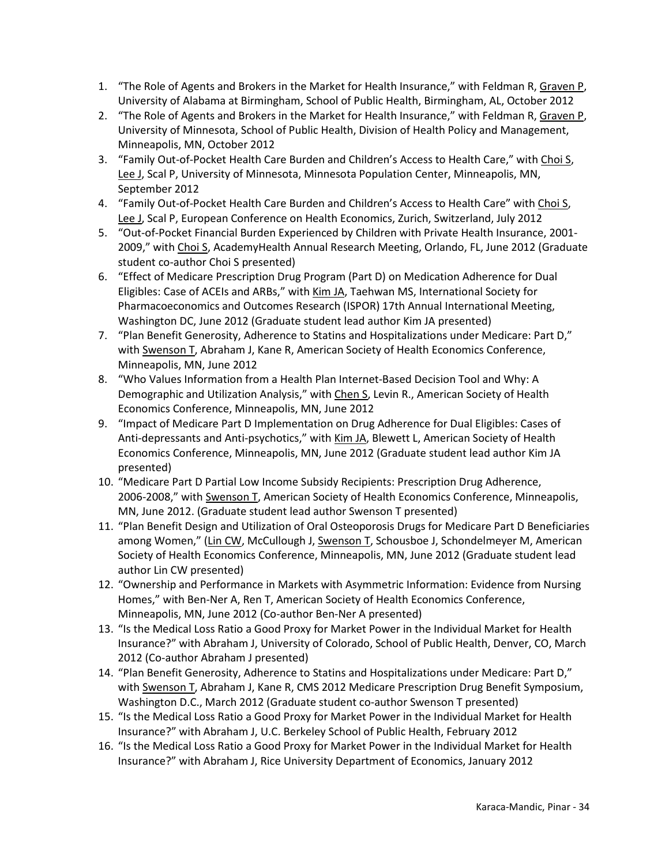- 1. "The Role of Agents and Brokers in the Market for Health Insurance," with Feldman R, Graven P, University of Alabama at Birmingham, School of Public Health, Birmingham, AL, October 2012
- 2. "The Role of Agents and Brokers in the Market for Health Insurance," with Feldman R, Graven P, University of Minnesota, School of Public Health, Division of Health Policy and Management, Minneapolis, MN, October 2012
- 3. "Family Out-of-Pocket Health Care Burden and Children's Access to Health Care," with Choi S, Lee J, Scal P, University of Minnesota, Minnesota Population Center, Minneapolis, MN, September 2012
- 4. "Family Out-of-Pocket Health Care Burden and Children's Access to Health Care" with Choi S, Lee J, Scal P, European Conference on Health Economics, Zurich, Switzerland, July 2012
- 5. "Out-of-Pocket Financial Burden Experienced by Children with Private Health Insurance, 2001- 2009," with Choi S, AcademyHealth Annual Research Meeting, Orlando, FL, June 2012 (Graduate student co-author Choi S presented)
- 6. "Effect of Medicare Prescription Drug Program (Part D) on Medication Adherence for Dual Eligibles: Case of ACEIs and ARBs," with Kim JA, Taehwan MS, International Society for Pharmacoeconomics and Outcomes Research (ISPOR) 17th Annual International Meeting, Washington DC, June 2012 (Graduate student lead author Kim JA presented)
- 7. "Plan Benefit Generosity, Adherence to Statins and Hospitalizations under Medicare: Part D," with Swenson T, Abraham J, Kane R, American Society of Health Economics Conference, Minneapolis, MN, June 2012
- 8. "Who Values Information from a Health Plan Internet-Based Decision Tool and Why: A Demographic and Utilization Analysis," with Chen S, Levin R., American Society of Health Economics Conference, Minneapolis, MN, June 2012
- 9. "Impact of Medicare Part D Implementation on Drug Adherence for Dual Eligibles: Cases of Anti-depressants and Anti-psychotics," with Kim JA, Blewett L, American Society of Health Economics Conference, Minneapolis, MN, June 2012 (Graduate student lead author Kim JA presented)
- 10. "Medicare Part D Partial Low Income Subsidy Recipients: Prescription Drug Adherence, 2006-2008," with Swenson T, American Society of Health Economics Conference, Minneapolis, MN, June 2012. (Graduate student lead author Swenson T presented)
- 11. "Plan Benefit Design and Utilization of Oral Osteoporosis Drugs for Medicare Part D Beneficiaries among Women," (Lin CW, McCullough J, Swenson T, Schousboe J, Schondelmeyer M, American Society of Health Economics Conference, Minneapolis, MN, June 2012 (Graduate student lead author Lin CW presented)
- 12. "Ownership and Performance in Markets with Asymmetric Information: Evidence from Nursing Homes," with Ben-Ner A, Ren T, American Society of Health Economics Conference, Minneapolis, MN, June 2012 (Co-author Ben-Ner A presented)
- 13. "Is the Medical Loss Ratio a Good Proxy for Market Power in the Individual Market for Health Insurance?" with Abraham J, University of Colorado, School of Public Health, Denver, CO, March 2012 (Co-author Abraham J presented)
- 14. "Plan Benefit Generosity, Adherence to Statins and Hospitalizations under Medicare: Part D," with Swenson T, Abraham J, Kane R, CMS 2012 Medicare Prescription Drug Benefit Symposium, Washington D.C., March 2012 (Graduate student co-author Swenson T presented)
- 15. "Is the Medical Loss Ratio a Good Proxy for Market Power in the Individual Market for Health Insurance?" with Abraham J, U.C. Berkeley School of Public Health, February 2012
- 16. "Is the Medical Loss Ratio a Good Proxy for Market Power in the Individual Market for Health Insurance?" with Abraham J, Rice University Department of Economics, January 2012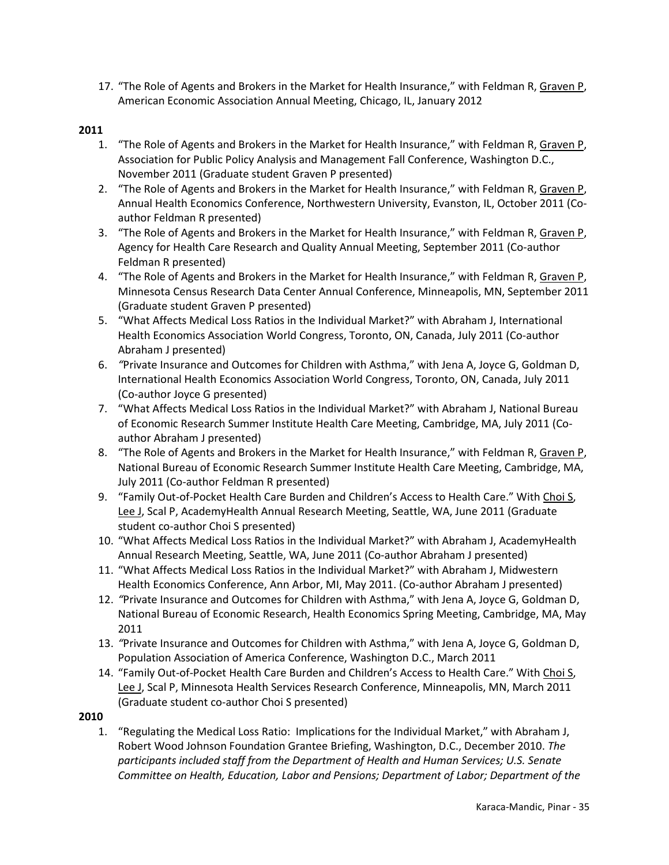17. "The Role of Agents and Brokers in the Market for Health Insurance," with Feldman R, Graven P, American Economic Association Annual Meeting, Chicago, IL, January 2012

- 1. "The Role of Agents and Brokers in the Market for Health Insurance," with Feldman R, Graven P, Association for Public Policy Analysis and Management Fall Conference, Washington D.C., November 2011 (Graduate student Graven P presented)
- 2. "The Role of Agents and Brokers in the Market for Health Insurance," with Feldman R, Graven P, Annual Health Economics Conference, Northwestern University, Evanston, IL, October 2011 (Coauthor Feldman R presented)
- 3. "The Role of Agents and Brokers in the Market for Health Insurance," with Feldman R, Graven P, Agency for Health Care Research and Quality Annual Meeting, September 2011 (Co-author Feldman R presented)
- 4. "The Role of Agents and Brokers in the Market for Health Insurance," with Feldman R, Graven P, Minnesota Census Research Data Center Annual Conference, Minneapolis, MN, September 2011 (Graduate student Graven P presented)
- 5. "What Affects Medical Loss Ratios in the Individual Market?" with Abraham J, International Health Economics Association World Congress, Toronto, ON, Canada, July 2011 (Co-author Abraham J presented)
- 6. *"*Private Insurance and Outcomes for Children with Asthma," with Jena A, Joyce G, Goldman D, International Health Economics Association World Congress, Toronto, ON, Canada, July 2011 (Co-author Joyce G presented)
- 7. "What Affects Medical Loss Ratios in the Individual Market?" with Abraham J, National Bureau of Economic Research Summer Institute Health Care Meeting, Cambridge, MA, July 2011 (Coauthor Abraham J presented)
- 8. "The Role of Agents and Brokers in the Market for Health Insurance," with Feldman R, Graven P, National Bureau of Economic Research Summer Institute Health Care Meeting, Cambridge, MA, July 2011 (Co-author Feldman R presented)
- 9. "Family Out-of-Pocket Health Care Burden and Children's Access to Health Care." With Choi S, Lee J, Scal P, AcademyHealth Annual Research Meeting, Seattle, WA, June 2011 (Graduate student co-author Choi S presented)
- 10. "What Affects Medical Loss Ratios in the Individual Market?" with Abraham J, AcademyHealth Annual Research Meeting, Seattle, WA, June 2011 (Co-author Abraham J presented)
- 11. "What Affects Medical Loss Ratios in the Individual Market?" with Abraham J, Midwestern Health Economics Conference, Ann Arbor, MI, May 2011. (Co-author Abraham J presented)
- 12. *"*Private Insurance and Outcomes for Children with Asthma," with Jena A, Joyce G, Goldman D, National Bureau of Economic Research, Health Economics Spring Meeting, Cambridge, MA, May 2011
- 13. *"*Private Insurance and Outcomes for Children with Asthma," with Jena A, Joyce G, Goldman D, Population Association of America Conference, Washington D.C., March 2011
- 14. "Family Out-of-Pocket Health Care Burden and Children's Access to Health Care." With Choi S, Lee J, Scal P, Minnesota Health Services Research Conference, Minneapolis, MN, March 2011 (Graduate student co-author Choi S presented)
- **2010**
	- 1. "Regulating the Medical Loss Ratio: Implications for the Individual Market," with Abraham J, Robert Wood Johnson Foundation Grantee Briefing, Washington, D.C., December 2010. *The participants included staff from the Department of Health and Human Services; U.S. Senate Committee on Health, Education, Labor and Pensions; Department of Labor; Department of the*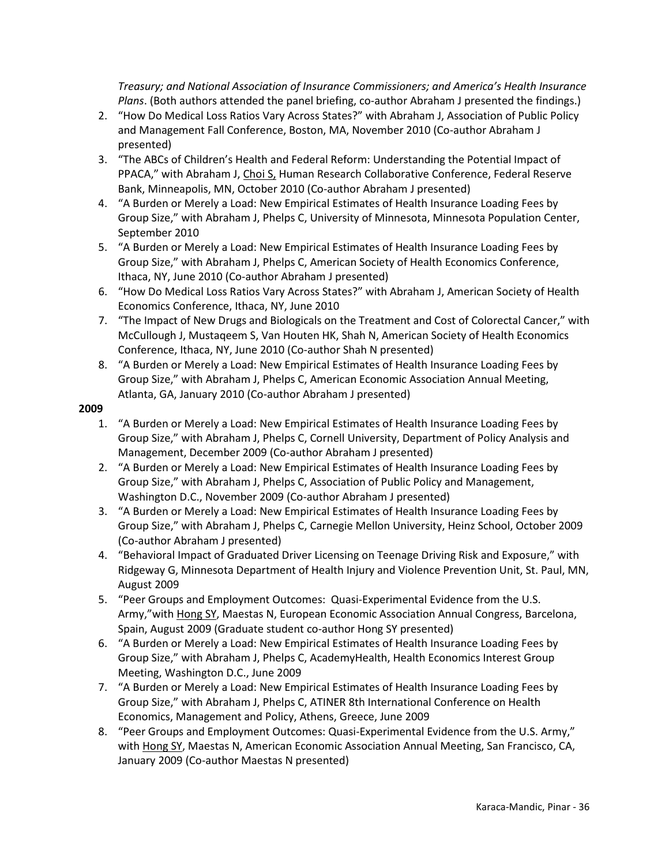*Treasury; and National Association of Insurance Commissioners; and America's Health Insurance Plans*. (Both authors attended the panel briefing, co-author Abraham J presented the findings.)

- 2. "How Do Medical Loss Ratios Vary Across States?" with Abraham J, Association of Public Policy and Management Fall Conference, Boston, MA, November 2010 (Co-author Abraham J presented)
- 3. "The ABCs of Children's Health and Federal Reform: Understanding the Potential Impact of PPACA," with Abraham J, Choi S, Human Research Collaborative Conference, Federal Reserve Bank, Minneapolis, MN, October 2010 (Co-author Abraham J presented)
- 4. "A Burden or Merely a Load: New Empirical Estimates of Health Insurance Loading Fees by Group Size," with Abraham J, Phelps C, University of Minnesota, Minnesota Population Center, September 2010
- 5. "A Burden or Merely a Load: New Empirical Estimates of Health Insurance Loading Fees by Group Size," with Abraham J, Phelps C, American Society of Health Economics Conference, Ithaca, NY, June 2010 (Co-author Abraham J presented)
- 6. "How Do Medical Loss Ratios Vary Across States?" with Abraham J, American Society of Health Economics Conference, Ithaca, NY, June 2010
- 7. "The Impact of New Drugs and Biologicals on the Treatment and Cost of Colorectal Cancer," with McCullough J, Mustaqeem S, Van Houten HK, Shah N, American Society of Health Economics Conference, Ithaca, NY, June 2010 (Co-author Shah N presented)
- 8. "A Burden or Merely a Load: New Empirical Estimates of Health Insurance Loading Fees by Group Size," with Abraham J, Phelps C, American Economic Association Annual Meeting, Atlanta, GA, January 2010 (Co-author Abraham J presented)

- 1. "A Burden or Merely a Load: New Empirical Estimates of Health Insurance Loading Fees by Group Size," with Abraham J, Phelps C, Cornell University, Department of Policy Analysis and Management, December 2009 (Co-author Abraham J presented)
- 2. "A Burden or Merely a Load: New Empirical Estimates of Health Insurance Loading Fees by Group Size," with Abraham J, Phelps C, Association of Public Policy and Management, Washington D.C., November 2009 (Co-author Abraham J presented)
- 3. "A Burden or Merely a Load: New Empirical Estimates of Health Insurance Loading Fees by Group Size," with Abraham J, Phelps C, Carnegie Mellon University, Heinz School, October 2009 (Co-author Abraham J presented)
- 4. "Behavioral Impact of Graduated Driver Licensing on Teenage Driving Risk and Exposure," with Ridgeway G, Minnesota Department of Health Injury and Violence Prevention Unit, St. Paul, MN, August 2009
- 5. "Peer Groups and Employment Outcomes: Quasi-Experimental Evidence from the U.S. Army,"with Hong SY, Maestas N, European Economic Association Annual Congress, Barcelona, Spain, August 2009 (Graduate student co-author Hong SY presented)
- 6. "A Burden or Merely a Load: New Empirical Estimates of Health Insurance Loading Fees by Group Size," with Abraham J, Phelps C, AcademyHealth, Health Economics Interest Group Meeting, Washington D.C., June 2009
- 7. "A Burden or Merely a Load: New Empirical Estimates of Health Insurance Loading Fees by Group Size," with Abraham J, Phelps C, ATINER 8th International Conference on Health Economics, Management and Policy, Athens, Greece, June 2009
- 8. "Peer Groups and Employment Outcomes: Quasi-Experimental Evidence from the U.S. Army," with Hong SY, Maestas N, American Economic Association Annual Meeting, San Francisco, CA, January 2009 (Co-author Maestas N presented)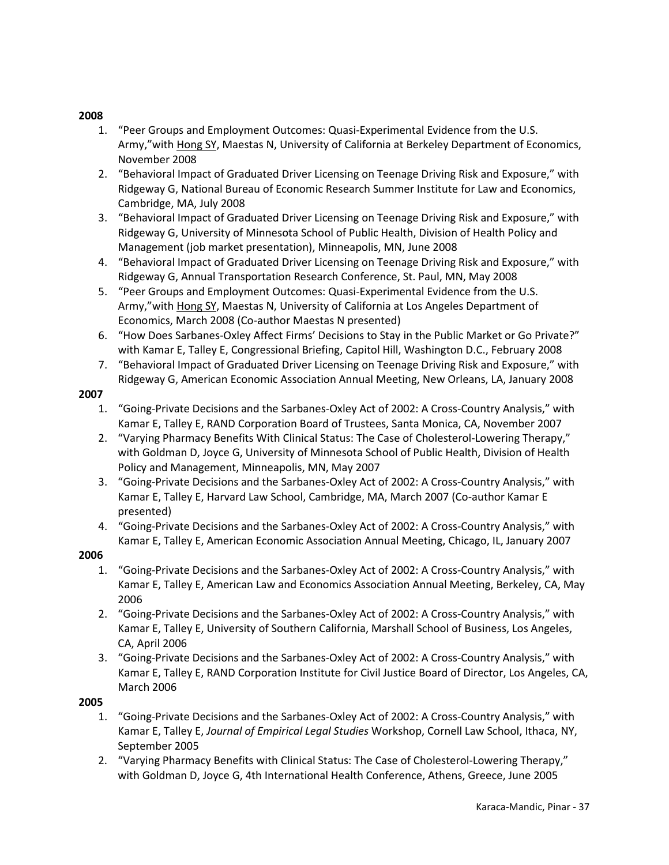- 1. "Peer Groups and Employment Outcomes: Quasi-Experimental Evidence from the U.S. Army,"with Hong SY, Maestas N, University of California at Berkeley Department of Economics, November 2008
- 2. "Behavioral Impact of Graduated Driver Licensing on Teenage Driving Risk and Exposure," with Ridgeway G, National Bureau of Economic Research Summer Institute for Law and Economics, Cambridge, MA, July 2008
- 3. "Behavioral Impact of Graduated Driver Licensing on Teenage Driving Risk and Exposure," with Ridgeway G, University of Minnesota School of Public Health, Division of Health Policy and Management (job market presentation), Minneapolis, MN, June 2008
- 4. "Behavioral Impact of Graduated Driver Licensing on Teenage Driving Risk and Exposure," with Ridgeway G, Annual Transportation Research Conference, St. Paul, MN, May 2008
- 5. "Peer Groups and Employment Outcomes: Quasi-Experimental Evidence from the U.S. Army,"with Hong SY, Maestas N, University of California at Los Angeles Department of Economics, March 2008 (Co-author Maestas N presented)
- 6. "How Does Sarbanes-Oxley Affect Firms' Decisions to Stay in the Public Market or Go Private?" with Kamar E, Talley E, Congressional Briefing, Capitol Hill, Washington D.C., February 2008
- 7. "Behavioral Impact of Graduated Driver Licensing on Teenage Driving Risk and Exposure," with Ridgeway G, American Economic Association Annual Meeting, New Orleans, LA, January 2008

## **2007**

- 1. "Going-Private Decisions and the Sarbanes-Oxley Act of 2002: A Cross-Country Analysis," with Kamar E, Talley E, RAND Corporation Board of Trustees, Santa Monica, CA, November 2007
- 2. "Varying Pharmacy Benefits With Clinical Status: The Case of Cholesterol-Lowering Therapy," with Goldman D, Joyce G, University of Minnesota School of Public Health, Division of Health Policy and Management, Minneapolis, MN, May 2007
- 3. "Going-Private Decisions and the Sarbanes-Oxley Act of 2002: A Cross-Country Analysis," with Kamar E, Talley E, Harvard Law School, Cambridge, MA, March 2007 (Co-author Kamar E presented)
- 4. "Going-Private Decisions and the Sarbanes-Oxley Act of 2002: A Cross-Country Analysis," with Kamar E, Talley E, American Economic Association Annual Meeting, Chicago, IL, January 2007

## **2006**

- 1. "Going-Private Decisions and the Sarbanes-Oxley Act of 2002: A Cross-Country Analysis," with Kamar E, Talley E, American Law and Economics Association Annual Meeting, Berkeley, CA, May 2006
- 2. "Going-Private Decisions and the Sarbanes-Oxley Act of 2002: A Cross-Country Analysis," with Kamar E, Talley E, University of Southern California, Marshall School of Business, Los Angeles, CA, April 2006
- 3. "Going-Private Decisions and the Sarbanes-Oxley Act of 2002: A Cross-Country Analysis," with Kamar E, Talley E, RAND Corporation Institute for Civil Justice Board of Director, Los Angeles, CA, March 2006

- 1. "Going-Private Decisions and the Sarbanes-Oxley Act of 2002: A Cross-Country Analysis," with Kamar E, Talley E, *Journal of Empirical Legal Studies* Workshop, Cornell Law School, Ithaca, NY, September 2005
- 2. "Varying Pharmacy Benefits with Clinical Status: The Case of Cholesterol-Lowering Therapy," with Goldman D, Joyce G, 4th International Health Conference, Athens, Greece, June 2005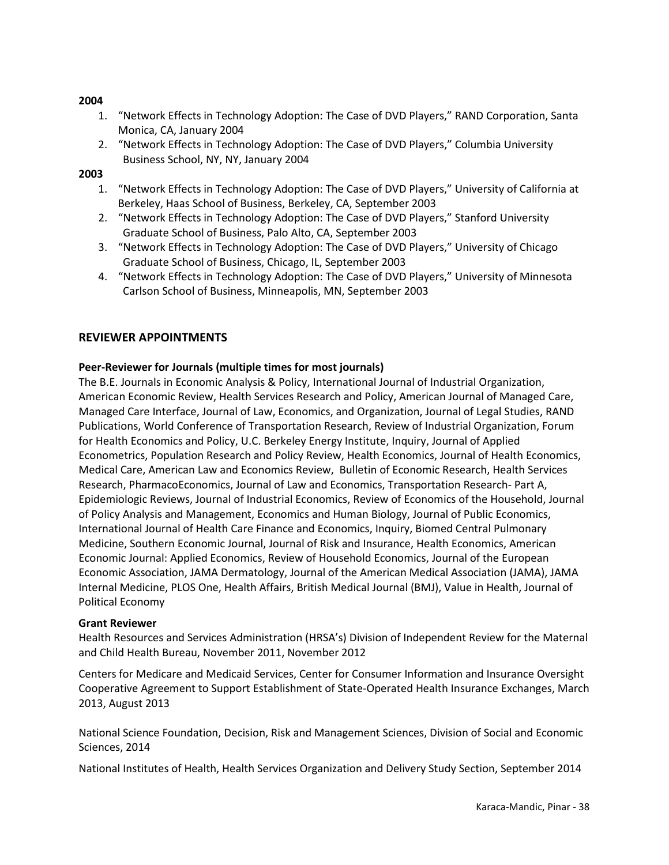- 1. "Network Effects in Technology Adoption: The Case of DVD Players," RAND Corporation, Santa Monica, CA, January 2004
- 2. "Network Effects in Technology Adoption: The Case of DVD Players," Columbia University Business School, NY, NY, January 2004

## **2003**

- 1. "Network Effects in Technology Adoption: The Case of DVD Players," University of California at Berkeley, Haas School of Business, Berkeley, CA, September 2003
- 2. "Network Effects in Technology Adoption: The Case of DVD Players," Stanford University Graduate School of Business, Palo Alto, CA, September 2003
- 3. "Network Effects in Technology Adoption: The Case of DVD Players," University of Chicago Graduate School of Business, Chicago, IL, September 2003
- 4. "Network Effects in Technology Adoption: The Case of DVD Players," University of Minnesota Carlson School of Business, Minneapolis, MN, September 2003

## **REVIEWER APPOINTMENTS**

## **Peer-Reviewer for Journals (multiple times for most journals)**

The B.E. Journals in Economic Analysis & Policy, International Journal of Industrial Organization, American Economic Review, Health Services Research and Policy, American Journal of Managed Care, Managed Care Interface, Journal of Law, Economics, and Organization, Journal of Legal Studies, RAND Publications, World Conference of Transportation Research, Review of Industrial Organization, Forum for Health Economics and Policy, U.C. Berkeley Energy Institute, Inquiry, Journal of Applied Econometrics, Population Research and Policy Review, Health Economics, Journal of Health Economics, Medical Care, American Law and Economics Review, Bulletin of Economic Research, Health Services Research, PharmacoEconomics, Journal of Law and Economics, Transportation Research- Part A, Epidemiologic Reviews, Journal of Industrial Economics, Review of Economics of the Household, Journal of Policy Analysis and Management, Economics and Human Biology, Journal of Public Economics, International Journal of Health Care Finance and Economics, Inquiry, Biomed Central Pulmonary Medicine, Southern Economic Journal, Journal of Risk and Insurance, Health Economics, American Economic Journal: Applied Economics, Review of Household Economics, Journal of the European Economic Association, JAMA Dermatology, Journal of the American Medical Association (JAMA), JAMA Internal Medicine, PLOS One, Health Affairs, British Medical Journal (BMJ), Value in Health, Journal of Political Economy

#### **Grant Reviewer**

Health Resources and Services Administration (HRSA's) Division of Independent Review for the Maternal and Child Health Bureau, November 2011, November 2012

Centers for Medicare and Medicaid Services, Center for Consumer Information and Insurance Oversight Cooperative Agreement to Support Establishment of State-Operated Health Insurance Exchanges, March 2013, August 2013

National Science Foundation, Decision, Risk and Management Sciences, Division of Social and Economic Sciences, 2014

National Institutes of Health, Health Services Organization and Delivery Study Section, September 2014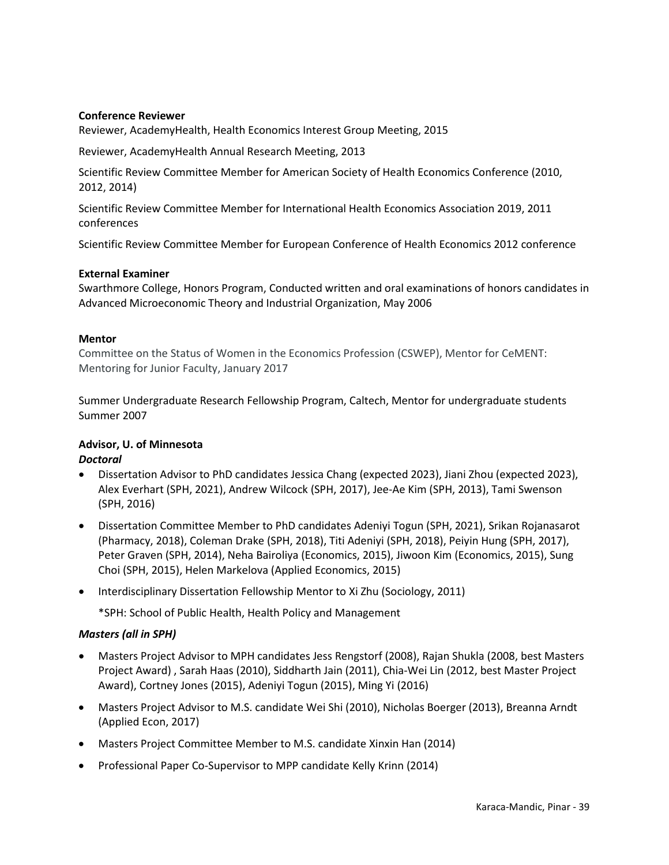#### **Conference Reviewer**

Reviewer, AcademyHealth, Health Economics Interest Group Meeting, 2015

Reviewer, AcademyHealth Annual Research Meeting, 2013

Scientific Review Committee Member for American Society of Health Economics Conference (2010, 2012, 2014)

Scientific Review Committee Member for International Health Economics Association 2019, 2011 conferences

Scientific Review Committee Member for European Conference of Health Economics 2012 conference

#### **External Examiner**

Swarthmore College, Honors Program, Conducted written and oral examinations of honors candidates in Advanced Microeconomic Theory and Industrial Organization, May 2006

#### **Mentor**

Committee on the Status of Women in the Economics Profession (CSWEP), Mentor for CeMENT: Mentoring for Junior Faculty, January 2017

Summer Undergraduate Research Fellowship Program, Caltech, Mentor for undergraduate students Summer 2007

#### **Advisor, U. of Minnesota** *Doctoral*

- Dissertation Advisor to PhD candidates Jessica Chang (expected 2023), Jiani Zhou (expected 2023), Alex Everhart (SPH, 2021), Andrew Wilcock (SPH, 2017), Jee-Ae Kim (SPH, 2013), Tami Swenson (SPH, 2016)
- Dissertation Committee Member to PhD candidates Adeniyi Togun (SPH, 2021), Srikan Rojanasarot (Pharmacy, 2018), Coleman Drake (SPH, 2018), Titi Adeniyi (SPH, 2018), Peiyin Hung (SPH, 2017), Peter Graven (SPH, 2014), Neha Bairoliya (Economics, 2015), Jiwoon Kim (Economics, 2015), Sung Choi (SPH, 2015), Helen Markelova (Applied Economics, 2015)
- Interdisciplinary Dissertation Fellowship Mentor to Xi Zhu (Sociology, 2011)

\*SPH: School of Public Health, Health Policy and Management

## *Masters (all in SPH)*

- Masters Project Advisor to MPH candidates Jess Rengstorf (2008), Rajan Shukla (2008, best Masters Project Award) , Sarah Haas (2010), Siddharth Jain (2011), Chia-Wei Lin (2012, best Master Project Award), Cortney Jones (2015), Adeniyi Togun (2015), Ming Yi (2016)
- Masters Project Advisor to M.S. candidate Wei Shi (2010), Nicholas Boerger (2013), Breanna Arndt (Applied Econ, 2017)
- Masters Project Committee Member to M.S. candidate Xinxin Han (2014)
- Professional Paper Co-Supervisor to MPP candidate Kelly Krinn (2014)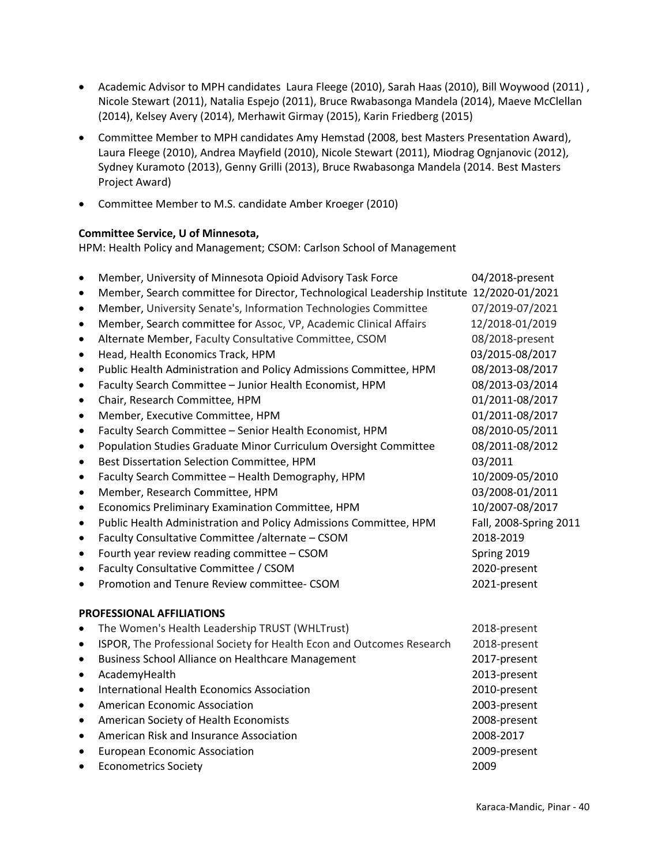- Academic Advisor to MPH candidates Laura Fleege (2010), Sarah Haas (2010), Bill Woywood (2011) , Nicole Stewart (2011), Natalia Espejo (2011), Bruce Rwabasonga Mandela (2014), Maeve McClellan (2014), Kelsey Avery (2014), Merhawit Girmay (2015), Karin Friedberg (2015)
- Committee Member to MPH candidates Amy Hemstad (2008, best Masters Presentation Award), Laura Fleege (2010), Andrea Mayfield (2010), Nicole Stewart (2011), Miodrag Ognjanovic (2012), Sydney Kuramoto (2013), Genny Grilli (2013), Bruce Rwabasonga Mandela (2014. Best Masters Project Award)
- Committee Member to M.S. candidate Amber Kroeger (2010)

## **Committee Service, U of Minnesota,**

HPM: Health Policy and Management; CSOM: Carlson School of Management

| $\bullet$ | Member, University of Minnesota Opioid Advisory Task Force                                | 04/2018-present        |
|-----------|-------------------------------------------------------------------------------------------|------------------------|
| $\bullet$ | Member, Search committee for Director, Technological Leadership Institute 12/2020-01/2021 |                        |
| $\bullet$ | Member, University Senate's, Information Technologies Committee                           | 07/2019-07/2021        |
| $\bullet$ | Member, Search committee for Assoc, VP, Academic Clinical Affairs                         | 12/2018-01/2019        |
| $\bullet$ | Alternate Member, Faculty Consultative Committee, CSOM                                    | 08/2018-present        |
| $\bullet$ | Head, Health Economics Track, HPM                                                         | 03/2015-08/2017        |
| $\bullet$ | Public Health Administration and Policy Admissions Committee, HPM                         | 08/2013-08/2017        |
| $\bullet$ | Faculty Search Committee - Junior Health Economist, HPM                                   | 08/2013-03/2014        |
| $\bullet$ | Chair, Research Committee, HPM                                                            | 01/2011-08/2017        |
| $\bullet$ | Member, Executive Committee, HPM                                                          | 01/2011-08/2017        |
| $\bullet$ | Faculty Search Committee - Senior Health Economist, HPM                                   | 08/2010-05/2011        |
| $\bullet$ | Population Studies Graduate Minor Curriculum Oversight Committee                          | 08/2011-08/2012        |
| $\bullet$ | Best Dissertation Selection Committee, HPM                                                | 03/2011                |
| $\bullet$ | Faculty Search Committee - Health Demography, HPM                                         | 10/2009-05/2010        |
| $\bullet$ | Member, Research Committee, HPM                                                           | 03/2008-01/2011        |
| $\bullet$ | Economics Preliminary Examination Committee, HPM                                          | 10/2007-08/2017        |
| $\bullet$ | Public Health Administration and Policy Admissions Committee, HPM                         | Fall, 2008-Spring 2011 |
| $\bullet$ | Faculty Consultative Committee /alternate - CSOM                                          | 2018-2019              |
| $\bullet$ | Fourth year review reading committee - CSOM                                               | Spring 2019            |
| $\bullet$ | Faculty Consultative Committee / CSOM                                                     | 2020-present           |
| ٠         | Promotion and Tenure Review committee- CSOM                                               | 2021-present           |
|           | <b>PROFESSIONAL AFFILIATIONS</b>                                                          |                        |
| $\bullet$ | The Women's Health Leadership TRUST (WHLTrust)                                            | 2018-present           |
| $\bullet$ | ISPOR, The Professional Society for Health Econ and Outcomes Research                     | 2018-present           |
| $\bullet$ | Business School Alliance on Healthcare Management                                         | 2017-present           |
| $\bullet$ | AcademyHealth                                                                             | 2013-present           |
| $\bullet$ | International Health Economics Association                                                | 2010-present           |
| $\bullet$ | American Economic Association                                                             | 2003-present           |
| ٠         | American Society of Health Economists                                                     | 2008-present           |
| $\bullet$ | American Risk and Insurance Association                                                   | 2008-2017              |
| $\bullet$ | <b>European Economic Association</b>                                                      | 2009-present           |
| $\bullet$ | <b>Econometrics Society</b>                                                               | 2009                   |